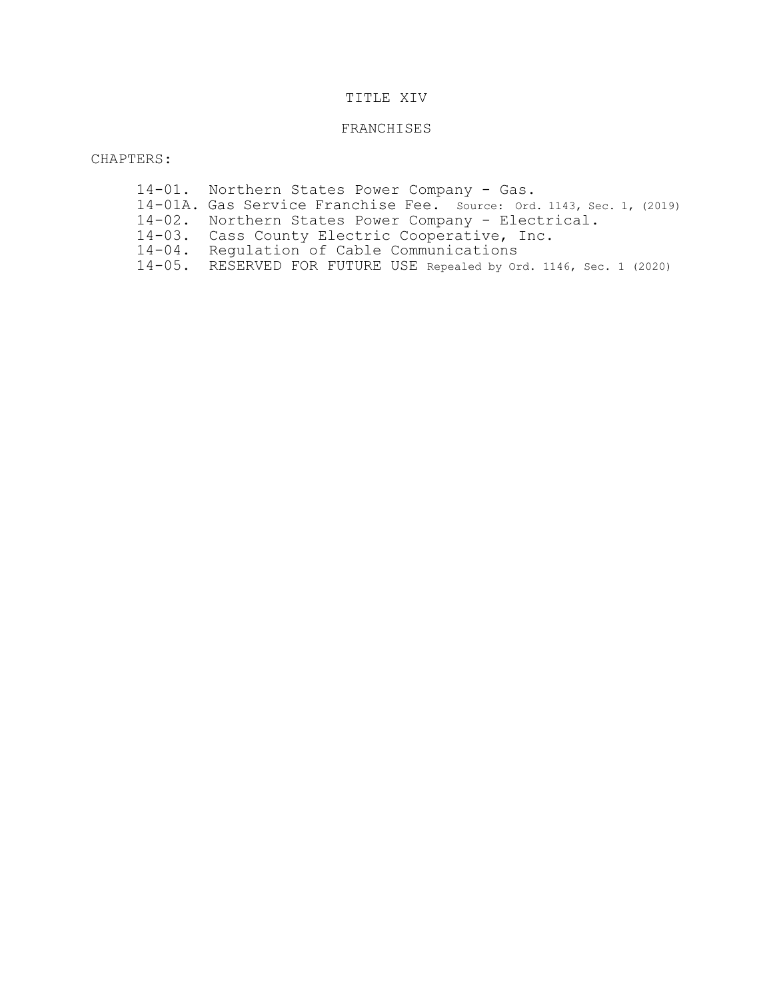# TITLE XIV

### FRANCHISES

CHAPTERS:

- 14-01. Northern States Power Company Gas.
- 14-01A. Gas Service Franchise Fee. Source: Ord. 1143, Sec. 1, (2019)
- 14-02. Northern States Power Company Electrical.
- 14-03. Cass County Electric Cooperative, Inc.
- 14-04. Regulation of Cable Communications
- 14-05. RESERVED FOR FUTURE USE Repealed by Ord. 1146, Sec. 1 (2020)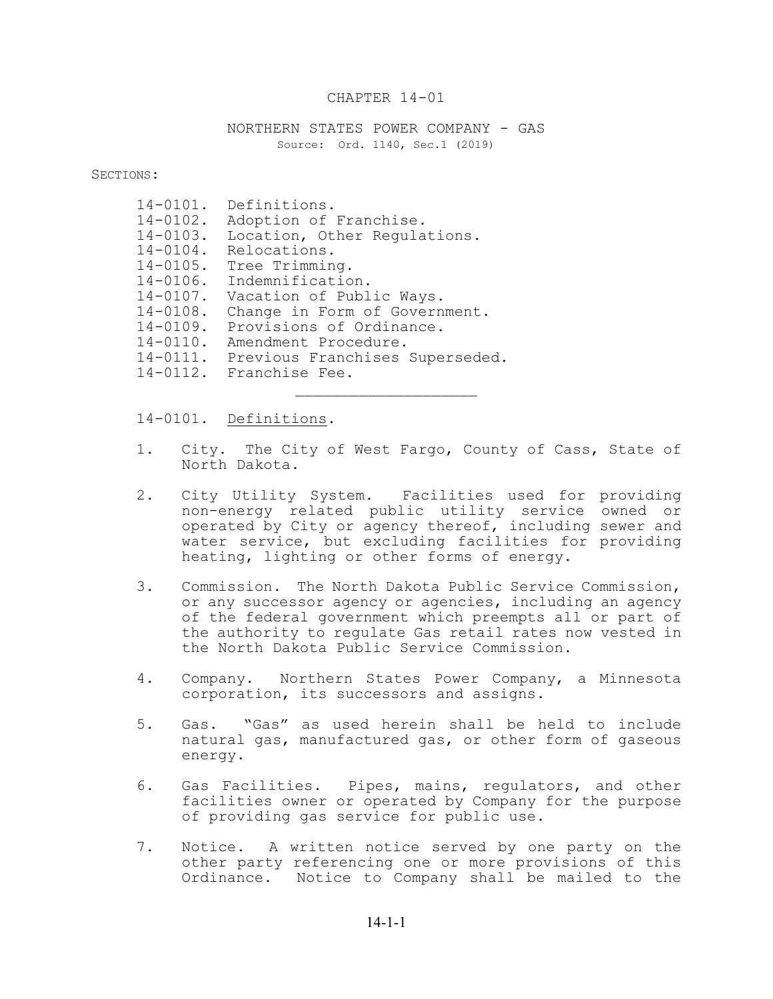### CHAPTER 14-01

NORTHERN STATES POWER COMPANY - GAS Source: Ord. 1140, Sec.1 (2019)

SECTIONS:

| Definitions.                    |
|---------------------------------|
| Adoption of Franchise.          |
| Location, Other Requlations.    |
| $14 - 0104$ .<br>Relocations.   |
| Tree Trimming.                  |
| Indemnification.                |
| Vacation of Public Ways.        |
| Change in Form of Government.   |
| Provisions of Ordinance.        |
| Amendment Procedure.            |
| Previous Franchises Superseded. |
| 14-0112. Franchise Fee.         |
|                                 |

#### 14-0101. Definitions.

1. City. The City of West Fargo, County of Cass, State of North Dakota.

 $\mathcal{L}_\text{max}$ 

- 2. City Utility System. Facilities used for providing non-energy related public utility service owned or operated by City or agency thereof, including sewer and water service, but excluding facilities for providing heating, lighting or other forms of energy.
- 3. Commission. The North Dakota Public Service Commission, or any successor agency or agencies, including an agency of the federal government which preempts all or part of the authority to regulate Gas retail rates now vested in the North Dakota Public Service Commission.
- 4. Company. Northern States Power Company, a Minnesota corporation, its successors and assigns.
- 5. Gas. "Gas" as used herein shall be held to include natural gas, manufactured gas, or other form of gaseous energy.
- 6. Gas Facilities. Pipes, mains, regulators, and other facilities owner or operated by Company for the purpose of providing gas service for public use.
- 7. Notice. A written notice served by one party on the other party referencing one or more provisions of this Ordinance. Notice to Company shall be mailed to the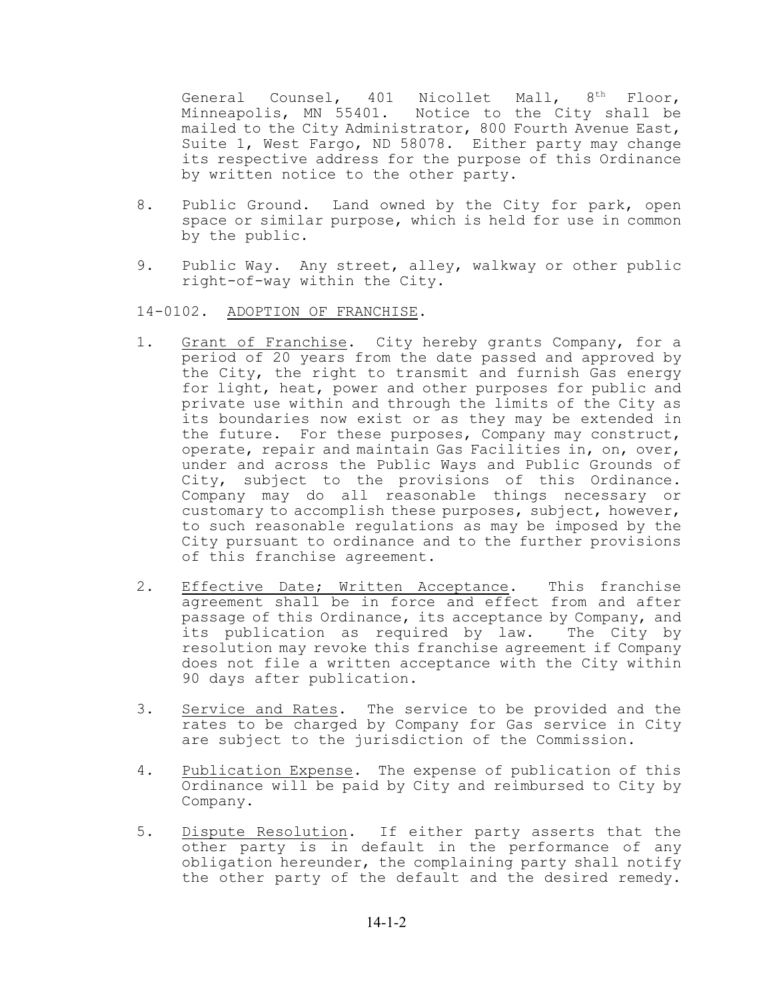General Counsel, 401 Nicollet Mall, 8<sup>th</sup> Floor, Minneapolis, MN 55401. Notice to the City shall be mailed to the City Administrator, 800 Fourth Avenue East, Suite 1, West Fargo, ND 58078. Either party may change its respective address for the purpose of this Ordinance by written notice to the other party.

- 8. Public Ground. Land owned by the City for park, open space or similar purpose, which is held for use in common by the public.
- 9. Public Way. Any street, alley, walkway or other public right-of-way within the City.

## 14-0102. ADOPTION OF FRANCHISE.

- 1. Grant of Franchise. City hereby grants Company, for a period of 20 years from the date passed and approved by the City, the right to transmit and furnish Gas energy for light, heat, power and other purposes for public and private use within and through the limits of the City as its boundaries now exist or as they may be extended in the future. For these purposes, Company may construct, operate, repair and maintain Gas Facilities in, on, over, under and across the Public Ways and Public Grounds of City, subject to the provisions of this Ordinance. Company may do all reasonable things necessary or customary to accomplish these purposes, subject, however, to such reasonable regulations as may be imposed by the City pursuant to ordinance and to the further provisions of this franchise agreement.
- 2. Effective Date; Written Acceptance. This franchise agreement shall be in force and effect from and after passage of this Ordinance, its acceptance by Company, and its publication as required by law. The City by resolution may revoke this franchise agreement if Company does not file a written acceptance with the City within 90 days after publication.
- 3. Service and Rates. The service to be provided and the rates to be charged by Company for Gas service in City are subject to the jurisdiction of the Commission.
- 4. Publication Expense. The expense of publication of this Ordinance will be paid by City and reimbursed to City by Company.
- 5. Dispute Resolution. If either party asserts that the other party is in default in the performance of any obligation hereunder, the complaining party shall notify the other party of the default and the desired remedy.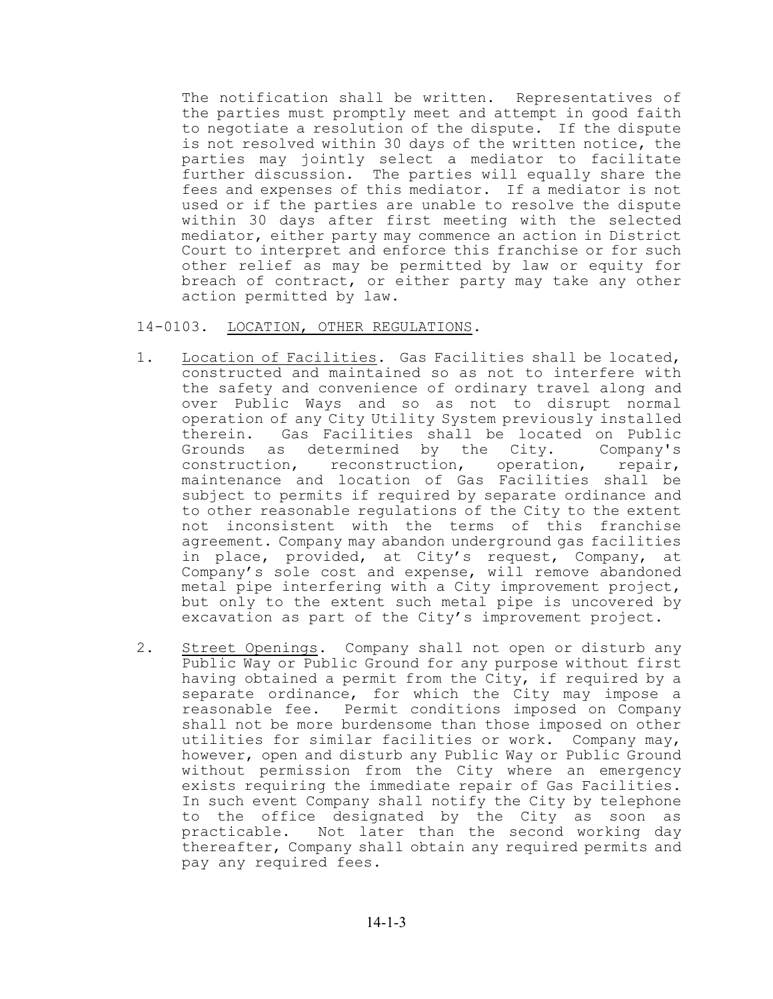The notification shall be written. Representatives of the parties must promptly meet and attempt in good faith to negotiate a resolution of the dispute. If the dispute is not resolved within 30 days of the written notice, the parties may jointly select a mediator to facilitate further discussion. The parties will equally share the fees and expenses of this mediator. If a mediator is not used or if the parties are unable to resolve the dispute within 30 days after first meeting with the selected mediator, either party may commence an action in District Court to interpret and enforce this franchise or for such other relief as may be permitted by law or equity for breach of contract, or either party may take any other action permitted by law.

14-0103. LOCATION, OTHER REGULATIONS.

- 1. Location of Facilities. Gas Facilities shall be located, constructed and maintained so as not to interfere with the safety and convenience of ordinary travel along and over Public Ways and so as not to disrupt normal operation of any City Utility System previously installed therein. Gas Facilities shall be located on Public Grounds as determined by the City. Company's<br>construction, reconstruction, operation, repair, reconstruction, operation, repair, maintenance and location of Gas Facilities shall be subject to permits if required by separate ordinance and to other reasonable regulations of the City to the extent not inconsistent with the terms of this franchise agreement. Company may abandon underground gas facilities in place, provided, at City's request, Company, at Company's sole cost and expense, will remove abandoned metal pipe interfering with a City improvement project, but only to the extent such metal pipe is uncovered by excavation as part of the City's improvement project.
- 2. Street Openings. Company shall not open or disturb any Public Way or Public Ground for any purpose without first having obtained a permit from the City, if required by a separate ordinance, for which the City may impose a reasonable fee. Permit conditions imposed on Company shall not be more burdensome than those imposed on other utilities for similar facilities or work. Company may, however, open and disturb any Public Way or Public Ground without permission from the City where an emergency exists requiring the immediate repair of Gas Facilities. In such event Company shall notify the City by telephone to the office designated by the City as soon as practicable. Not later than the second working day thereafter, Company shall obtain any required permits and pay any required fees.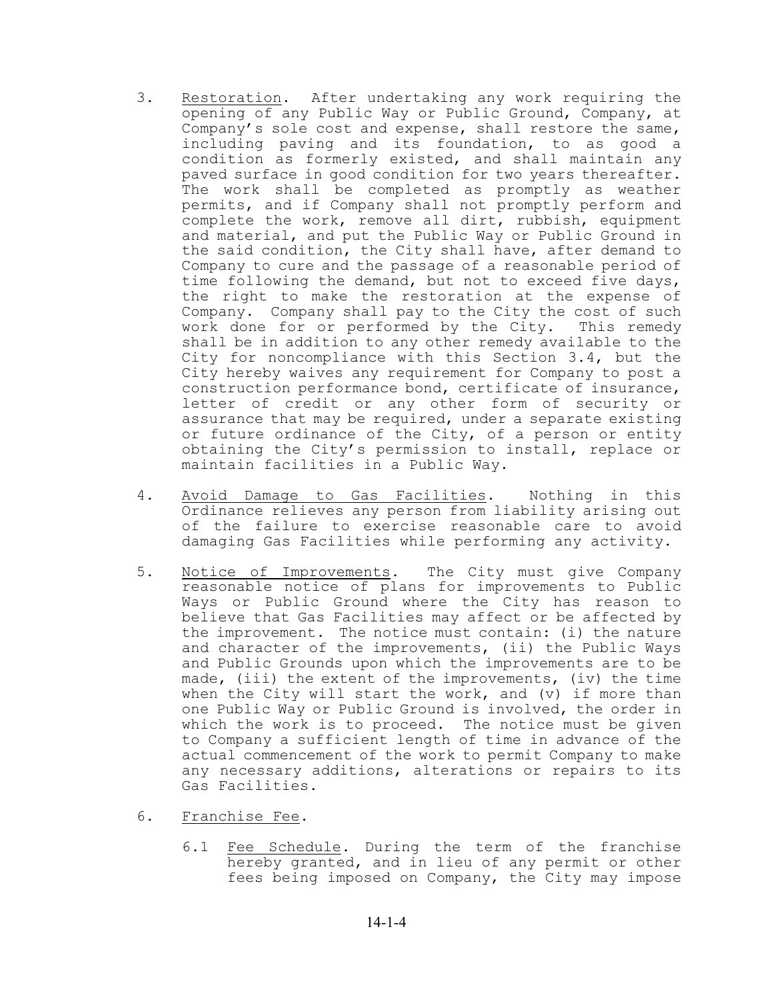- 3. Restoration. After undertaking any work requiring the opening of any Public Way or Public Ground, Company, at Company's sole cost and expense, shall restore the same, including paving and its foundation, to as good a condition as formerly existed, and shall maintain any paved surface in good condition for two years thereafter. The work shall be completed as promptly as weather permits, and if Company shall not promptly perform and complete the work, remove all dirt, rubbish, equipment and material, and put the Public Way or Public Ground in the said condition, the City shall have, after demand to Company to cure and the passage of a reasonable period of time following the demand, but not to exceed five days, the right to make the restoration at the expense of Company. Company shall pay to the City the cost of such work done for or performed by the City. This remedy shall be in addition to any other remedy available to the City for noncompliance with this Section 3.4, but the City hereby waives any requirement for Company to post a construction performance bond, certificate of insurance, letter of credit or any other form of security or assurance that may be required, under a separate existing or future ordinance of the City, of a person or entity obtaining the City's permission to install, replace or maintain facilities in a Public Way.
- 4. Avoid Damage to Gas Facilities. Nothing in this Ordinance relieves any person from liability arising out of the failure to exercise reasonable care to avoid damaging Gas Facilities while performing any activity.
- 5. Notice of Improvements. The City must give Company reasonable notice of plans for improvements to Public Ways or Public Ground where the City has reason to believe that Gas Facilities may affect or be affected by the improvement. The notice must contain: (i) the nature and character of the improvements, (ii) the Public Ways and Public Grounds upon which the improvements are to be made, (iii) the extent of the improvements, (iv) the time when the City will start the work, and (v) if more than one Public Way or Public Ground is involved, the order in which the work is to proceed. The notice must be given to Company a sufficient length of time in advance of the actual commencement of the work to permit Company to make any necessary additions, alterations or repairs to its Gas Facilities.
- 6. Franchise Fee.
	- 6.1 Fee Schedule. During the term of the franchise hereby granted, and in lieu of any permit or other fees being imposed on Company, the City may impose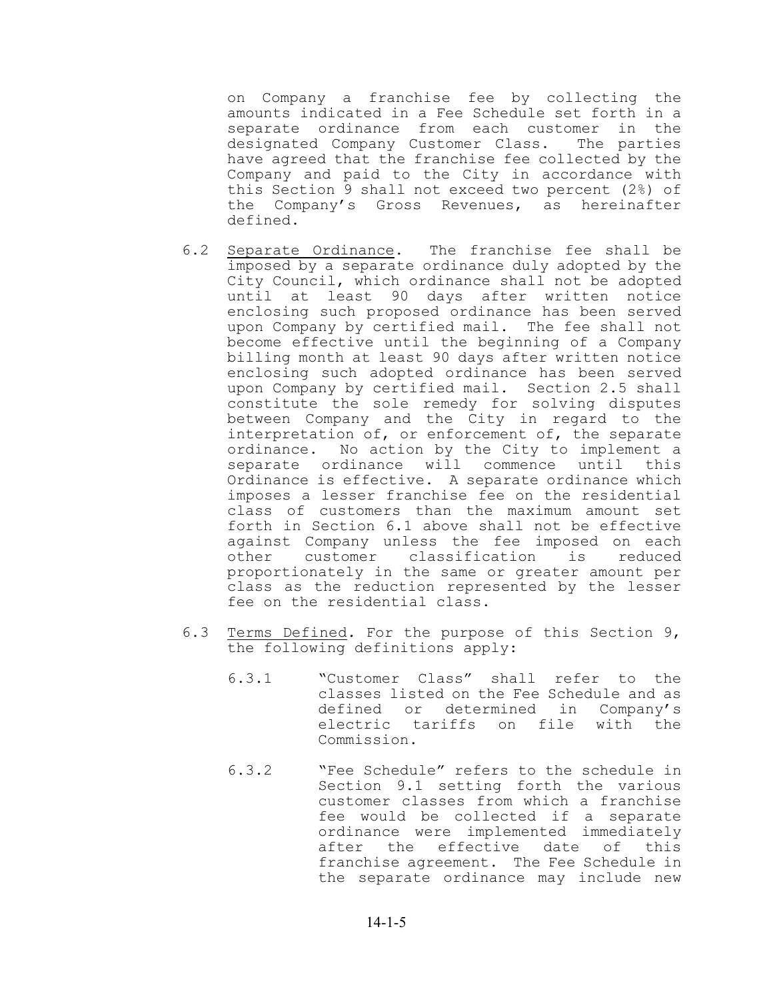on Company a franchise fee by collecting the amounts indicated in a Fee Schedule set forth in a separate ordinance from each customer in the designated Company Customer Class. The parties have agreed that the franchise fee collected by the Company and paid to the City in accordance with this Section 9 shall not exceed two percent (2%) of the Company's Gross Revenues, as hereinafter defined.

- 6.2 Separate Ordinance. The franchise fee shall be imposed by a separate ordinance duly adopted by the City Council, which ordinance shall not be adopted until at least 90 days after written notice enclosing such proposed ordinance has been served upon Company by certified mail. The fee shall not become effective until the beginning of a Company billing month at least 90 days after written notice enclosing such adopted ordinance has been served upon Company by certified mail. Section 2.5 shall constitute the sole remedy for solving disputes between Company and the City in regard to the interpretation of, or enforcement of, the separate ordinance. No action by the City to implement a separate ordinance will commence until this Ordinance is effective. A separate ordinance which imposes a lesser franchise fee on the residential class of customers than the maximum amount set forth in Section 6.1 above shall not be effective against Company unless the fee imposed on each other customer classification is reduced proportionately in the same or greater amount per class as the reduction represented by the lesser fee on the residential class.
- 6.3 Terms Defined*.* For the purpose of this Section 9, the following definitions apply:
	- 6.3.1 "Customer Class" shall refer to the classes listed on the Fee Schedule and as defined or determined in Company's electric tariffs on file with the Commission.
	- 6.3.2 "Fee Schedule" refers to the schedule in Section 9.1 setting forth the various customer classes from which a franchise fee would be collected if a separate ordinance were implemented immediately after the effective date of this franchise agreement. The Fee Schedule in the separate ordinance may include new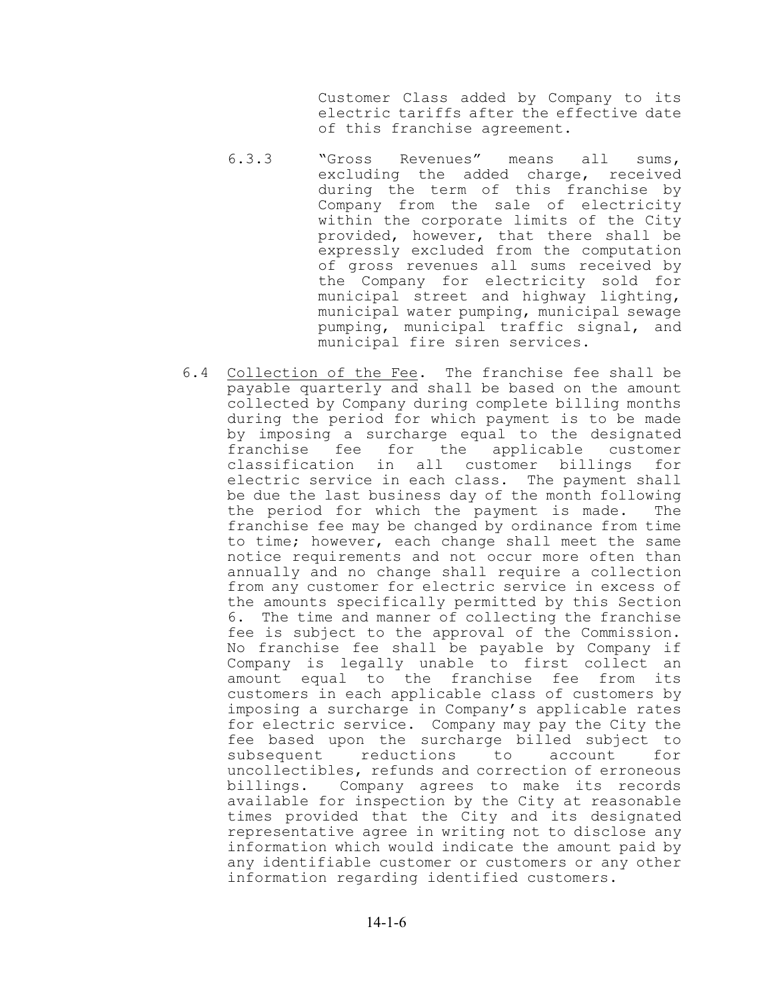Customer Class added by Company to its electric tariffs after the effective date of this franchise agreement.

- 6.3.3 "Gross Revenues" means all sums, excluding the added charge, received during the term of this franchise by Company from the sale of electricity within the corporate limits of the City provided, however, that there shall be expressly excluded from the computation of gross revenues all sums received by the Company for electricity sold for municipal street and highway lighting, municipal water pumping, municipal sewage pumping, municipal traffic signal, and municipal fire siren services.
- 6.4 Collection of the Fee. The franchise fee shall be payable quarterly and shall be based on the amount collected by Company during complete billing months during the period for which payment is to be made by imposing a surcharge equal to the designated franchise fee for the applicable customer classification in all customer billings for electric service in each class. The payment shall be due the last business day of the month following the period for which the payment is made. The franchise fee may be changed by ordinance from time to time; however, each change shall meet the same notice requirements and not occur more often than annually and no change shall require a collection from any customer for electric service in excess of the amounts specifically permitted by this Section 6. The time and manner of collecting the franchise fee is subject to the approval of the Commission. No franchise fee shall be payable by Company if Company is legally unable to first collect an amount equal to the franchise fee from its customers in each applicable class of customers by imposing a surcharge in Company's applicable rates for electric service. Company may pay the City the fee based upon the surcharge billed subject to subsequent reductions to account for uncollectibles, refunds and correction of erroneous billings. Company agrees to make its records available for inspection by the City at reasonable times provided that the City and its designated representative agree in writing not to disclose any information which would indicate the amount paid by any identifiable customer or customers or any other information regarding identified customers.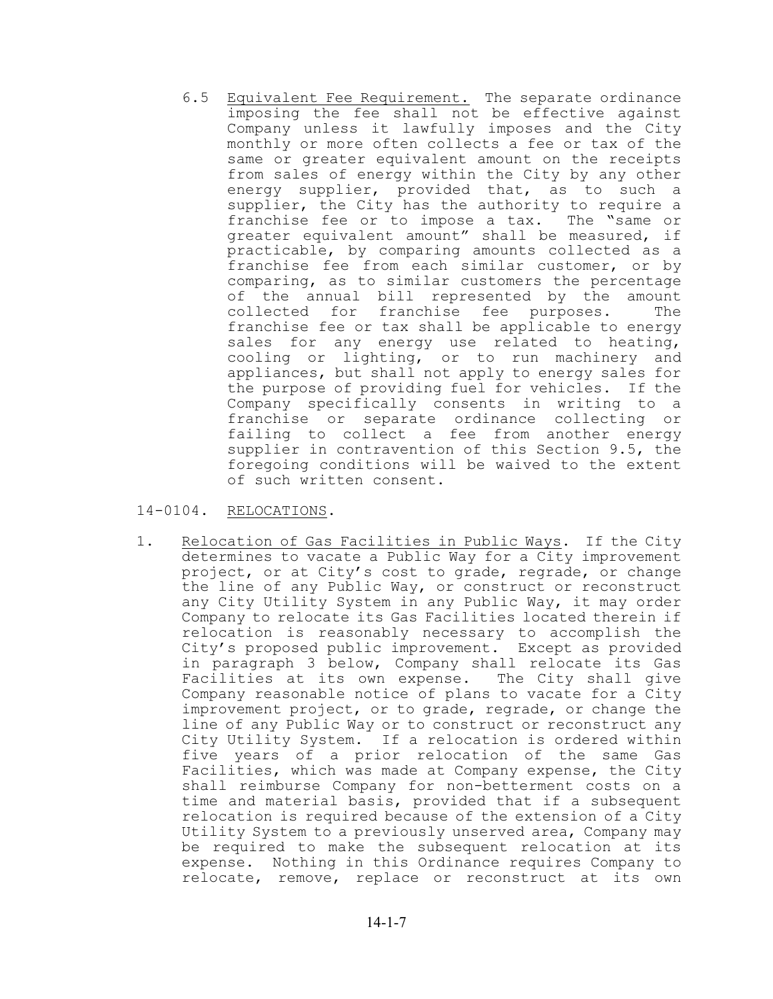6.5 Equivalent Fee Requirement. The separate ordinance imposing the fee shall not be effective against Company unless it lawfully imposes and the City monthly or more often collects a fee or tax of the same or greater equivalent amount on the receipts from sales of energy within the City by any other energy supplier, provided that, as to such a supplier, the City has the authority to require a franchise fee or to impose a tax. The "same or greater equivalent amount" shall be measured, if practicable, by comparing amounts collected as a franchise fee from each similar customer, or by comparing, as to similar customers the percentage of the annual bill represented by the amount collected for franchise fee purposes. The franchise fee or tax shall be applicable to energy sales for any energy use related to heating, cooling or lighting, or to run machinery and appliances, but shall not apply to energy sales for the purpose of providing fuel for vehicles. If the Company specifically consents in writing to a franchise or separate ordinance collecting or failing to collect a fee from another energy supplier in contravention of this Section 9.5, the foregoing conditions will be waived to the extent of such written consent.

## 14-0104. RELOCATIONS.

1. Relocation of Gas Facilities in Public Ways. If the City determines to vacate a Public Way for a City improvement project, or at City's cost to grade, regrade, or change the line of any Public Way, or construct or reconstruct any City Utility System in any Public Way, it may order Company to relocate its Gas Facilities located therein if relocation is reasonably necessary to accomplish the City's proposed public improvement. Except as provided in paragraph 3 below, Company shall relocate its Gas Facilities at its own expense. The City shall give Company reasonable notice of plans to vacate for a City improvement project, or to grade, regrade, or change the line of any Public Way or to construct or reconstruct any City Utility System. If a relocation is ordered within five years of a prior relocation of the same Gas Facilities, which was made at Company expense, the City shall reimburse Company for non-betterment costs on a time and material basis, provided that if a subsequent relocation is required because of the extension of a City Utility System to a previously unserved area, Company may be required to make the subsequent relocation at its expense. Nothing in this Ordinance requires Company to relocate, remove, replace or reconstruct at its own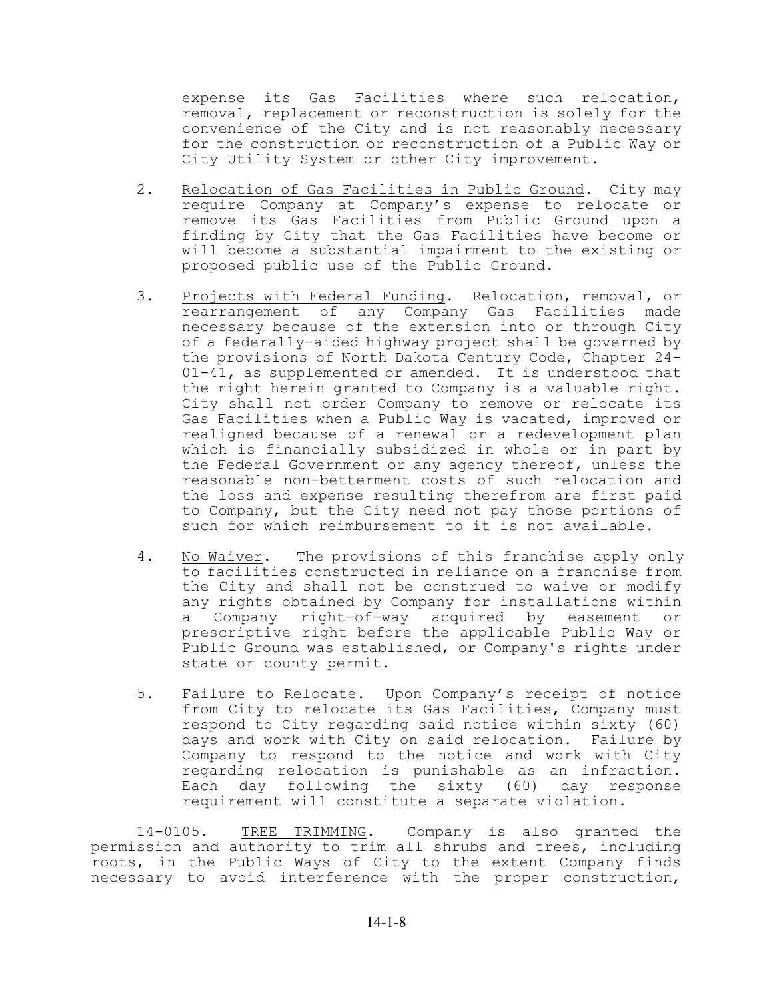expense its Gas Facilities where such relocation, removal, replacement or reconstruction is solely for the convenience of the City and is not reasonably necessary for the construction or reconstruction of a Public Way or City Utility System or other City improvement.

- 2. Relocation of Gas Facilities in Public Ground. City may require Company at Company's expense to relocate or remove its Gas Facilities from Public Ground upon a finding by City that the Gas Facilities have become or will become a substantial impairment to the existing or proposed public use of the Public Ground.
- 3. Projects with Federal Funding. Relocation, removal, or rearrangement of any Company Gas Facilities made necessary because of the extension into or through City of a federally-aided highway project shall be governed by the provisions of North Dakota Century Code, Chapter 24- 01-41, as supplemented or amended. It is understood that the right herein granted to Company is a valuable right. City shall not order Company to remove or relocate its Gas Facilities when a Public Way is vacated, improved or realigned because of a renewal or a redevelopment plan which is financially subsidized in whole or in part by the Federal Government or any agency thereof, unless the reasonable non-betterment costs of such relocation and the loss and expense resulting therefrom are first paid to Company, but the City need not pay those portions of such for which reimbursement to it is not available.
- 4. No Waiver. The provisions of this franchise apply only to facilities constructed in reliance on a franchise from the City and shall not be construed to waive or modify any rights obtained by Company for installations within a Company right-of-way acquired by easement or prescriptive right before the applicable Public Way or Public Ground was established, or Company's rights under state or county permit.
- 5. Failure to Relocate. Upon Company's receipt of notice from City to relocate its Gas Facilities, Company must respond to City regarding said notice within sixty (60) days and work with City on said relocation. Failure by Company to respond to the notice and work with City regarding relocation is punishable as an infraction. Each day following the sixty (60) day response requirement will constitute a separate violation.

14-0105. TREE TRIMMING. Company is also granted the permission and authority to trim all shrubs and trees, including roots, in the Public Ways of City to the extent Company finds necessary to avoid interference with the proper construction,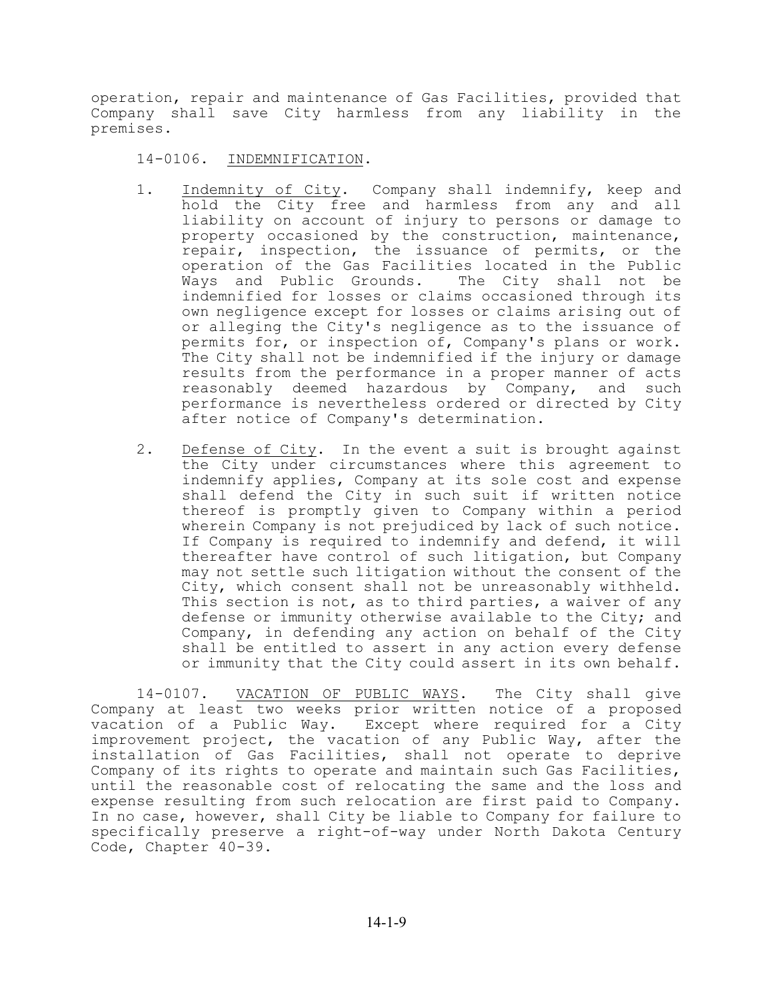operation, repair and maintenance of Gas Facilities, provided that Company shall save City harmless from any liability in the premises.

14-0106. INDEMNIFICATION.

- 1. Indemnity of City. Company shall indemnify, keep and hold the City free and harmless from any and all liability on account of injury to persons or damage to property occasioned by the construction, maintenance, repair, inspection, the issuance of permits, or the operation of the Gas Facilities located in the Public Ways and Public Grounds. The City shall not be indemnified for losses or claims occasioned through its own negligence except for losses or claims arising out of or alleging the City's negligence as to the issuance of permits for, or inspection of, Company's plans or work. The City shall not be indemnified if the injury or damage results from the performance in a proper manner of acts reasonably deemed hazardous by Company, and such performance is nevertheless ordered or directed by City after notice of Company's determination.
- 2. Defense of City. In the event a suit is brought against the City under circumstances where this agreement to indemnify applies, Company at its sole cost and expense shall defend the City in such suit if written notice thereof is promptly given to Company within a period wherein Company is not prejudiced by lack of such notice. If Company is required to indemnify and defend, it will thereafter have control of such litigation, but Company may not settle such litigation without the consent of the City, which consent shall not be unreasonably withheld. This section is not, as to third parties, a waiver of any defense or immunity otherwise available to the City; and Company, in defending any action on behalf of the City shall be entitled to assert in any action every defense or immunity that the City could assert in its own behalf.

14-0107. VACATION OF PUBLIC WAYS. The City shall give Company at least two weeks prior written notice of a proposed vacation of a Public Way. Except where required for a City improvement project, the vacation of any Public Way, after the installation of Gas Facilities, shall not operate to deprive Company of its rights to operate and maintain such Gas Facilities, until the reasonable cost of relocating the same and the loss and expense resulting from such relocation are first paid to Company. In no case, however, shall City be liable to Company for failure to specifically preserve a right-of-way under North Dakota Century Code, Chapter 40-39.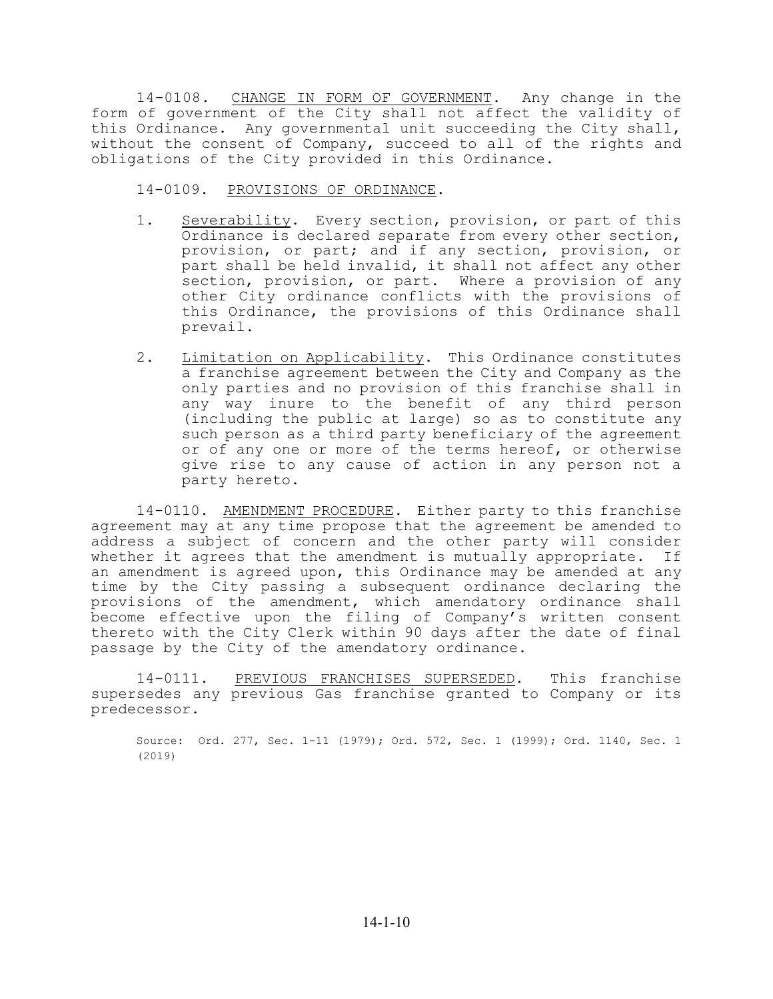14-0108. CHANGE IN FORM OF GOVERNMENT. Any change in the form of government of the City shall not affect the validity of this Ordinance. Any governmental unit succeeding the City shall, without the consent of Company, succeed to all of the rights and obligations of the City provided in this Ordinance.

14-0109. PROVISIONS OF ORDINANCE.

- 1. Severability. Every section, provision, or part of this Ordinance is declared separate from every other section, provision, or part; and if any section, provision, or part shall be held invalid, it shall not affect any other section, provision, or part. Where a provision of any other City ordinance conflicts with the provisions of this Ordinance, the provisions of this Ordinance shall prevail.
- 2. Limitation on Applicability. This Ordinance constitutes a franchise agreement between the City and Company as the only parties and no provision of this franchise shall in any way inure to the benefit of any third person (including the public at large) so as to constitute any such person as a third party beneficiary of the agreement or of any one or more of the terms hereof, or otherwise give rise to any cause of action in any person not a party hereto.

14-0110. AMENDMENT PROCEDURE. Either party to this franchise agreement may at any time propose that the agreement be amended to address a subject of concern and the other party will consider whether it agrees that the amendment is mutually appropriate. If an amendment is agreed upon, this Ordinance may be amended at any time by the City passing a subsequent ordinance declaring the provisions of the amendment, which amendatory ordinance shall become effective upon the filing of Company's written consent thereto with the City Clerk within 90 days after the date of final passage by the City of the amendatory ordinance.

14-0111. PREVIOUS FRANCHISES SUPERSEDED. This franchise supersedes any previous Gas franchise granted to Company or its predecessor.

Source: Ord. 277, Sec. 1-11 (1979); Ord. 572, Sec. 1 (1999); Ord. 1140, Sec. 1 (2019)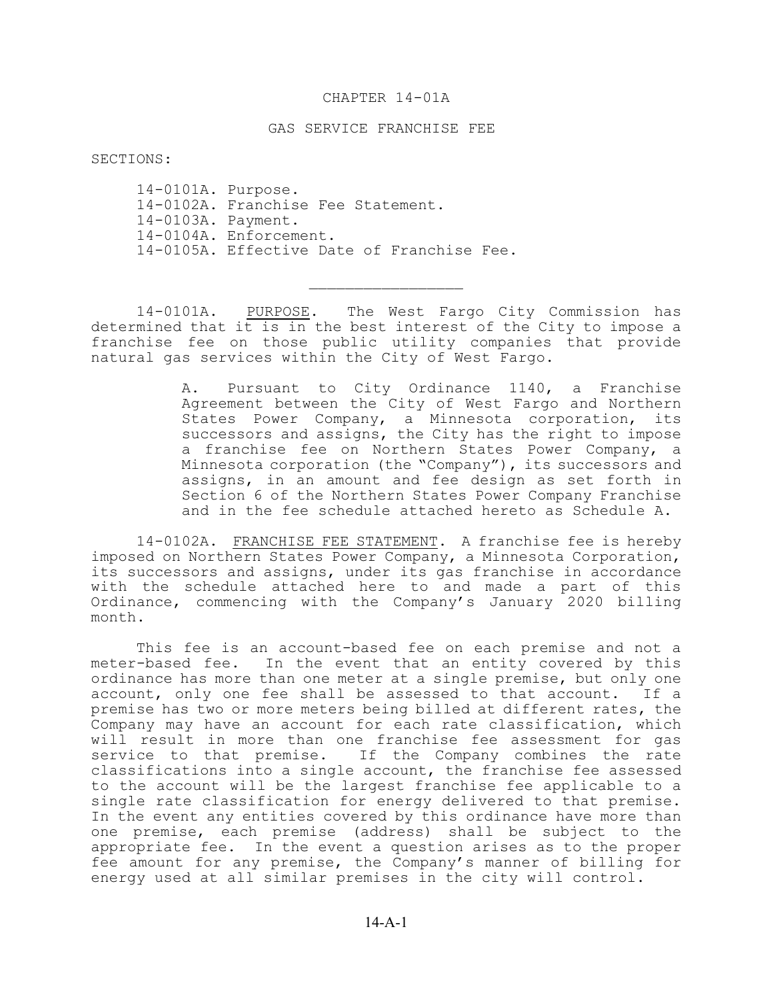### CHAPTER 14-01A

#### GAS SERVICE FRANCHISE FEE

SECTIONS:

14-0101A. Purpose. 14-0102A. Franchise Fee Statement. 14-0103A. Payment. 14-0104A. Enforcement. 14-0105A. Effective Date of Franchise Fee.

14-0101A. PURPOSE. The West Fargo City Commission has determined that it is in the best interest of the City to impose a franchise fee on those public utility companies that provide natural gas services within the City of West Fargo.

 $\mathcal{L}_\text{max}$ 

A. Pursuant to City Ordinance 1140, a Franchise Agreement between the City of West Fargo and Northern States Power Company, a Minnesota corporation, its successors and assigns, the City has the right to impose a franchise fee on Northern States Power Company, a Minnesota corporation (the "Company"), its successors and assigns, in an amount and fee design as set forth in Section 6 of the Northern States Power Company Franchise and in the fee schedule attached hereto as Schedule A.

14-0102A. FRANCHISE FEE STATEMENT. A franchise fee is hereby imposed on Northern States Power Company, a Minnesota Corporation, its successors and assigns, under its gas franchise in accordance with the schedule attached here to and made a part of this Ordinance, commencing with the Company's January 2020 billing month.

This fee is an account-based fee on each premise and not a meter-based fee. In the event that an entity covered by this ordinance has more than one meter at a single premise, but only one account, only one fee shall be assessed to that account. If a premise has two or more meters being billed at different rates, the Company may have an account for each rate classification, which will result in more than one franchise fee assessment for gas service to that premise. If the Company combines the rate classifications into a single account, the franchise fee assessed to the account will be the largest franchise fee applicable to a single rate classification for energy delivered to that premise. In the event any entities covered by this ordinance have more than one premise, each premise (address) shall be subject to the appropriate fee. In the event a question arises as to the proper fee amount for any premise, the Company's manner of billing for energy used at all similar premises in the city will control.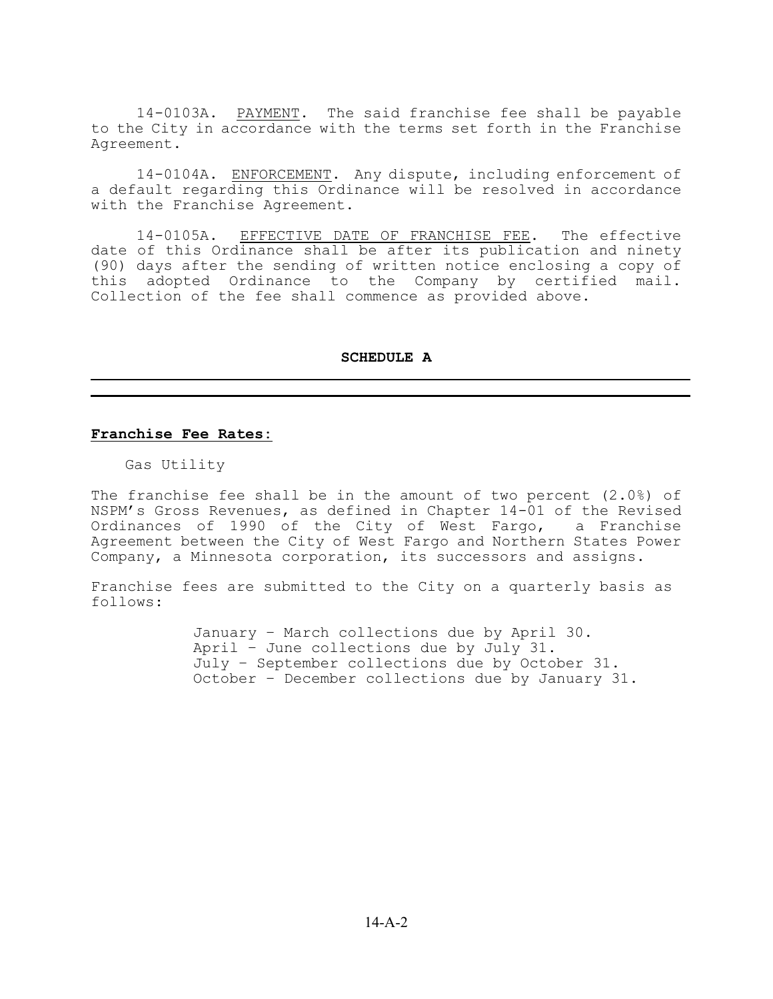14-0103A. PAYMENT. The said franchise fee shall be payable to the City in accordance with the terms set forth in the Franchise Agreement.

14-0104A. ENFORCEMENT. Any dispute, including enforcement of a default regarding this Ordinance will be resolved in accordance with the Franchise Agreement.

14-0105A. EFFECTIVE DATE OF FRANCHISE FEE. The effective date of this Ordinance shall be after its publication and ninety (90) days after the sending of written notice enclosing a copy of this adopted Ordinance to the Company by certified mail. Collection of the fee shall commence as provided above.

#### **SCHEDULE A**

### **Franchise Fee Rates:**

Gas Utility

The franchise fee shall be in the amount of two percent  $(2.0%)$  of NSPM's Gross Revenues, as defined in Chapter 14-01 of the Revised Ordinances of 1990 of the City of West Fargo, a Franchise Agreement between the City of West Fargo and Northern States Power Company, a Minnesota corporation, its successors and assigns.

Franchise fees are submitted to the City on a quarterly basis as follows:

> January – March collections due by April 30. April – June collections due by July 31. July – September collections due by October 31. October – December collections due by January 31.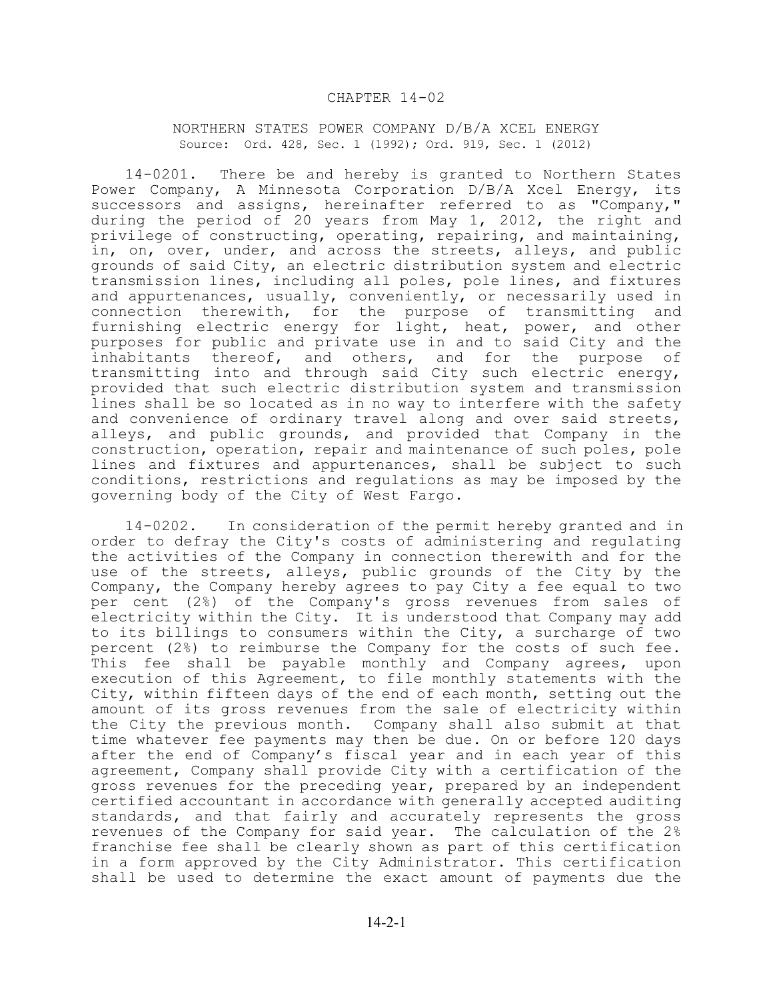#### CHAPTER 14-02

#### NORTHERN STATES POWER COMPANY D/B/A XCEL ENERGY Source: Ord. 428, Sec. 1 (1992); Ord. 919, Sec. 1 (2012)

14-0201. There be and hereby is granted to Northern States Power Company, A Minnesota Corporation D/B/A Xcel Energy, its successors and assigns, hereinafter referred to as "Company," during the period of 20 years from May 1, 2012, the right and privilege of constructing, operating, repairing, and maintaining, in, on, over, under, and across the streets, alleys, and public grounds of said City, an electric distribution system and electric transmission lines, including all poles, pole lines, and fixtures and appurtenances, usually, conveniently, or necessarily used in connection therewith, for the purpose of transmitting and furnishing electric energy for light, heat, power, and other purposes for public and private use in and to said City and the inhabitants thereof, and others, and for the purpose of transmitting into and through said City such electric energy, provided that such electric distribution system and transmission lines shall be so located as in no way to interfere with the safety and convenience of ordinary travel along and over said streets, alleys, and public grounds, and provided that Company in the construction, operation, repair and maintenance of such poles, pole lines and fixtures and appurtenances, shall be subject to such conditions, restrictions and regulations as may be imposed by the governing body of the City of West Fargo.

14-0202. In consideration of the permit hereby granted and in order to defray the City's costs of administering and regulating the activities of the Company in connection therewith and for the use of the streets, alleys, public grounds of the City by the Company, the Company hereby agrees to pay City a fee equal to two per cent (2%) of the Company's gross revenues from sales of electricity within the City. It is understood that Company may add to its billings to consumers within the City, a surcharge of two percent (2%) to reimburse the Company for the costs of such fee. This fee shall be payable monthly and Company agrees, upon execution of this Agreement, to file monthly statements with the City, within fifteen days of the end of each month, setting out the amount of its gross revenues from the sale of electricity within the City the previous month. Company shall also submit at that time whatever fee payments may then be due. On or before 120 days after the end of Company's fiscal year and in each year of this agreement, Company shall provide City with a certification of the gross revenues for the preceding year, prepared by an independent certified accountant in accordance with generally accepted auditing standards, and that fairly and accurately represents the gross revenues of the Company for said year. The calculation of the 2% franchise fee shall be clearly shown as part of this certification in a form approved by the City Administrator. This certification shall be used to determine the exact amount of payments due the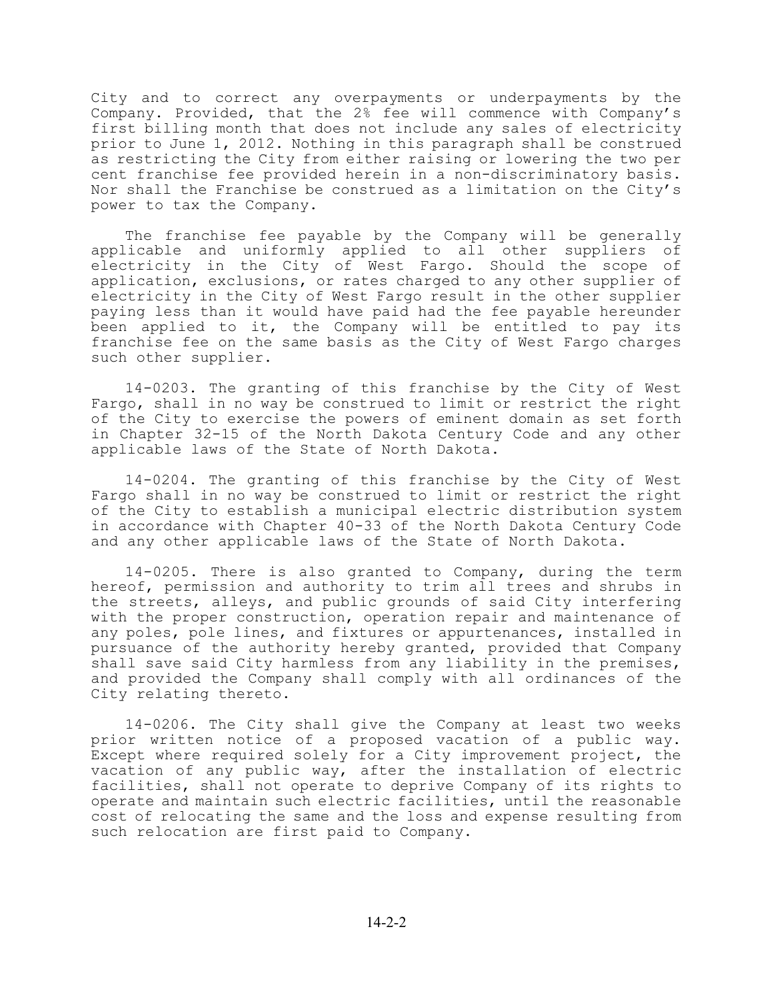City and to correct any overpayments or underpayments by the Company. Provided, that the 2% fee will commence with Company's first billing month that does not include any sales of electricity prior to June 1, 2012. Nothing in this paragraph shall be construed as restricting the City from either raising or lowering the two per cent franchise fee provided herein in a non-discriminatory basis. Nor shall the Franchise be construed as a limitation on the City's power to tax the Company.

The franchise fee payable by the Company will be generally applicable and uniformly applied to all other suppliers of electricity in the City of West Fargo. Should the scope of application, exclusions, or rates charged to any other supplier of electricity in the City of West Fargo result in the other supplier paying less than it would have paid had the fee payable hereunder been applied to it, the Company will be entitled to pay its franchise fee on the same basis as the City of West Fargo charges such other supplier.

14-0203. The granting of this franchise by the City of West Fargo, shall in no way be construed to limit or restrict the right of the City to exercise the powers of eminent domain as set forth in Chapter 32-15 of the North Dakota Century Code and any other applicable laws of the State of North Dakota.

14-0204. The granting of this franchise by the City of West Fargo shall in no way be construed to limit or restrict the right of the City to establish a municipal electric distribution system in accordance with Chapter 40-33 of the North Dakota Century Code and any other applicable laws of the State of North Dakota.

14-0205. There is also granted to Company, during the term hereof, permission and authority to trim all trees and shrubs in the streets, alleys, and public grounds of said City interfering with the proper construction, operation repair and maintenance of any poles, pole lines, and fixtures or appurtenances, installed in pursuance of the authority hereby granted, provided that Company shall save said City harmless from any liability in the premises, and provided the Company shall comply with all ordinances of the City relating thereto.

14-0206. The City shall give the Company at least two weeks prior written notice of a proposed vacation of a public way. Except where required solely for a City improvement project, the vacation of any public way, after the installation of electric facilities, shall not operate to deprive Company of its rights to operate and maintain such electric facilities, until the reasonable cost of relocating the same and the loss and expense resulting from such relocation are first paid to Company.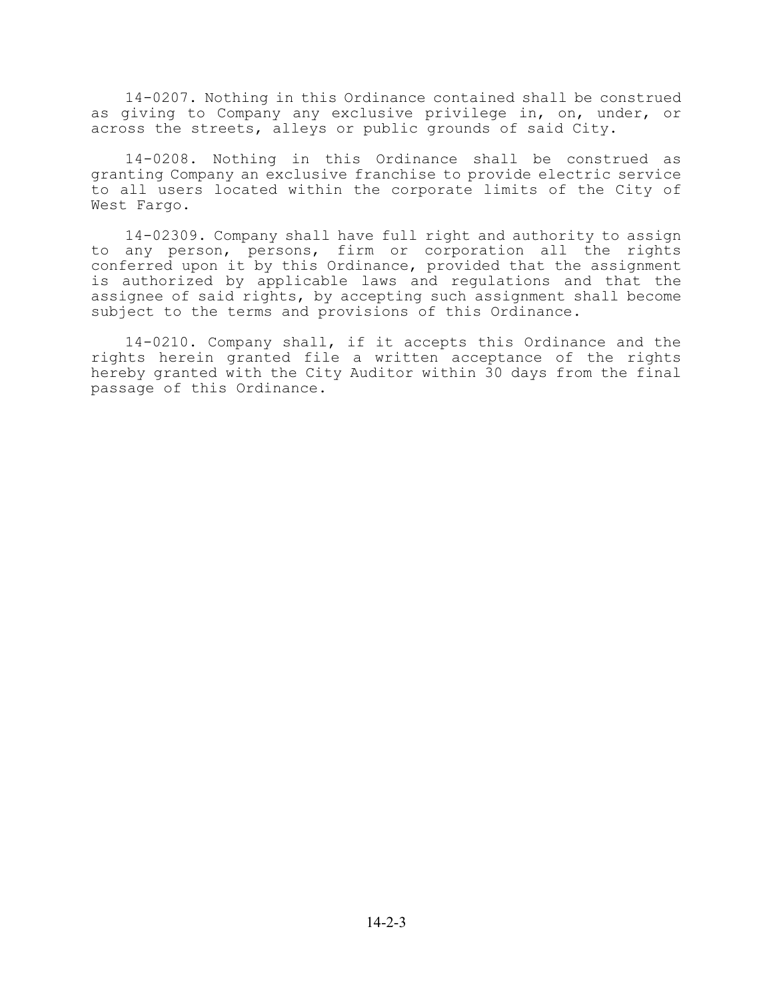14-0207. Nothing in this Ordinance contained shall be construed as giving to Company any exclusive privilege in, on, under, or across the streets, alleys or public grounds of said City.

14-0208. Nothing in this Ordinance shall be construed as granting Company an exclusive franchise to provide electric service to all users located within the corporate limits of the City of West Fargo.

14-02309. Company shall have full right and authority to assign to any person, persons, firm or corporation all the rights conferred upon it by this Ordinance, provided that the assignment is authorized by applicable laws and regulations and that the assignee of said rights, by accepting such assignment shall become subject to the terms and provisions of this Ordinance.

14-0210. Company shall, if it accepts this Ordinance and the rights herein granted file a written acceptance of the rights hereby granted with the City Auditor within 30 days from the final passage of this Ordinance.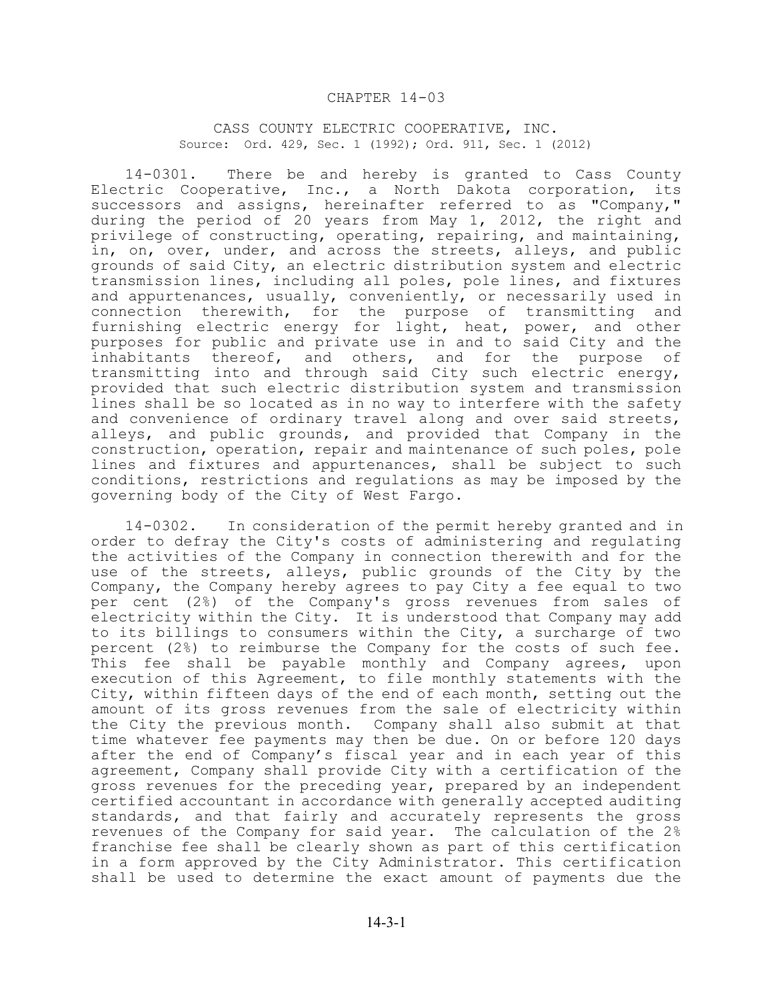#### CHAPTER 14-03

#### CASS COUNTY ELECTRIC COOPERATIVE, INC. Source: Ord. 429, Sec. 1 (1992); Ord. 911, Sec. 1 (2012)

14-0301. There be and hereby is granted to Cass County Electric Cooperative, Inc., a North Dakota corporation, its successors and assigns, hereinafter referred to as "Company," during the period of 20 years from May 1, 2012, the right and privilege of constructing, operating, repairing, and maintaining, in, on, over, under, and across the streets, alleys, and public grounds of said City, an electric distribution system and electric transmission lines, including all poles, pole lines, and fixtures and appurtenances, usually, conveniently, or necessarily used in connection therewith, for the purpose of transmitting and furnishing electric energy for light, heat, power, and other purposes for public and private use in and to said City and the inhabitants thereof, and others, and for the purpose of transmitting into and through said City such electric energy, provided that such electric distribution system and transmission lines shall be so located as in no way to interfere with the safety and convenience of ordinary travel along and over said streets, alleys, and public grounds, and provided that Company in the construction, operation, repair and maintenance of such poles, pole lines and fixtures and appurtenances, shall be subject to such conditions, restrictions and regulations as may be imposed by the governing body of the City of West Fargo.

14-0302. In consideration of the permit hereby granted and in order to defray the City's costs of administering and regulating the activities of the Company in connection therewith and for the use of the streets, alleys, public grounds of the City by the Company, the Company hereby agrees to pay City a fee equal to two per cent (2%) of the Company's gross revenues from sales of electricity within the City. It is understood that Company may add to its billings to consumers within the City, a surcharge of two percent (2%) to reimburse the Company for the costs of such fee. This fee shall be payable monthly and Company agrees, upon execution of this Agreement, to file monthly statements with the City, within fifteen days of the end of each month, setting out the amount of its gross revenues from the sale of electricity within the City the previous month. Company shall also submit at that time whatever fee payments may then be due. On or before 120 days after the end of Company's fiscal year and in each year of this agreement, Company shall provide City with a certification of the gross revenues for the preceding year, prepared by an independent certified accountant in accordance with generally accepted auditing standards, and that fairly and accurately represents the gross revenues of the Company for said year. The calculation of the 2% franchise fee shall be clearly shown as part of this certification in a form approved by the City Administrator. This certification shall be used to determine the exact amount of payments due the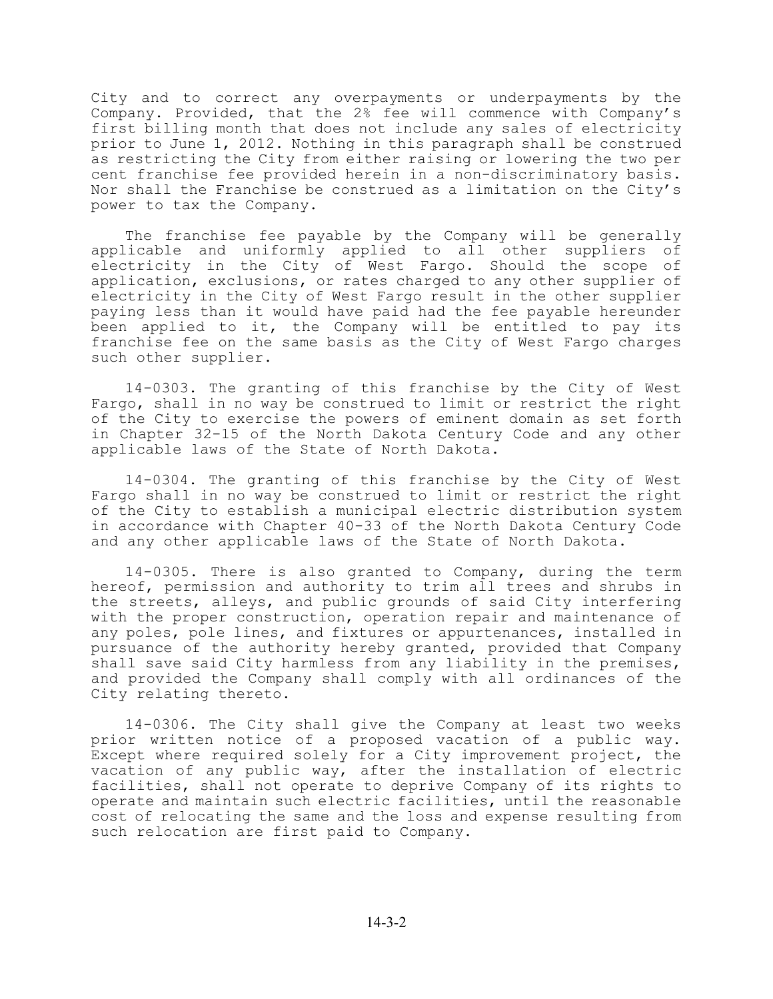City and to correct any overpayments or underpayments by the Company. Provided, that the 2% fee will commence with Company's first billing month that does not include any sales of electricity prior to June 1, 2012. Nothing in this paragraph shall be construed as restricting the City from either raising or lowering the two per cent franchise fee provided herein in a non-discriminatory basis. Nor shall the Franchise be construed as a limitation on the City's power to tax the Company.

The franchise fee payable by the Company will be generally applicable and uniformly applied to all other suppliers of electricity in the City of West Fargo. Should the scope of application, exclusions, or rates charged to any other supplier of electricity in the City of West Fargo result in the other supplier paying less than it would have paid had the fee payable hereunder been applied to it, the Company will be entitled to pay its franchise fee on the same basis as the City of West Fargo charges such other supplier.

14-0303. The granting of this franchise by the City of West Fargo, shall in no way be construed to limit or restrict the right of the City to exercise the powers of eminent domain as set forth in Chapter 32-15 of the North Dakota Century Code and any other applicable laws of the State of North Dakota.

14-0304. The granting of this franchise by the City of West Fargo shall in no way be construed to limit or restrict the right of the City to establish a municipal electric distribution system in accordance with Chapter 40-33 of the North Dakota Century Code and any other applicable laws of the State of North Dakota.

14-0305. There is also granted to Company, during the term hereof, permission and authority to trim all trees and shrubs in the streets, alleys, and public grounds of said City interfering with the proper construction, operation repair and maintenance of any poles, pole lines, and fixtures or appurtenances, installed in pursuance of the authority hereby granted, provided that Company shall save said City harmless from any liability in the premises, and provided the Company shall comply with all ordinances of the City relating thereto.

14-0306. The City shall give the Company at least two weeks prior written notice of a proposed vacation of a public way. Except where required solely for a City improvement project, the vacation of any public way, after the installation of electric facilities, shall not operate to deprive Company of its rights to operate and maintain such electric facilities, until the reasonable cost of relocating the same and the loss and expense resulting from such relocation are first paid to Company.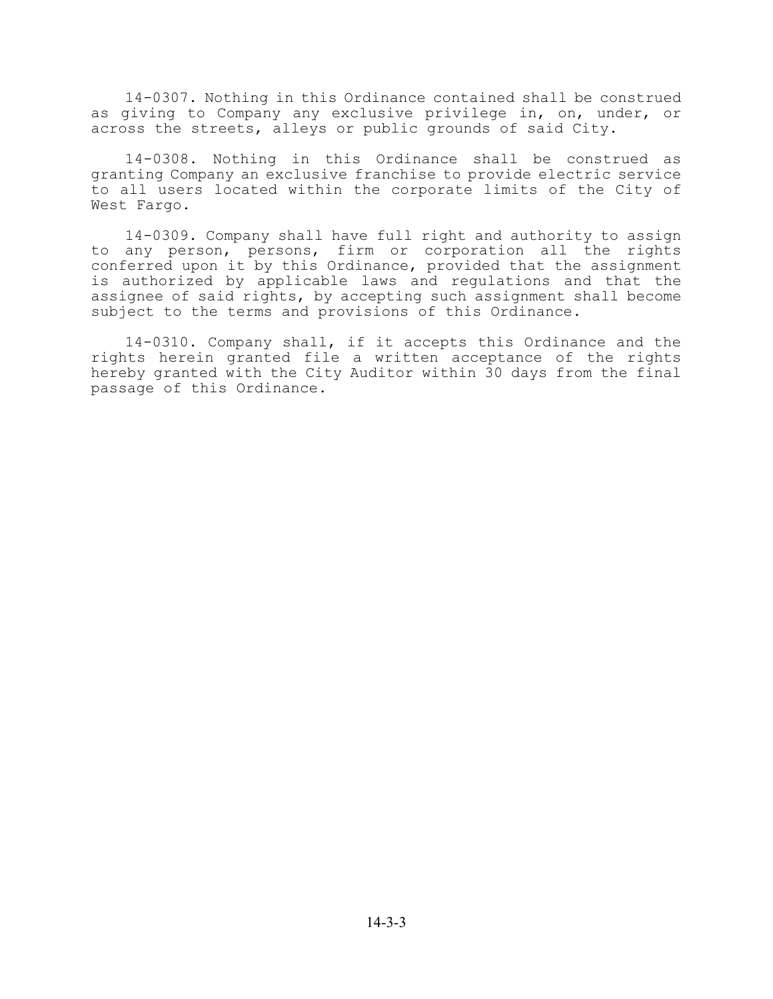14-0307. Nothing in this Ordinance contained shall be construed as giving to Company any exclusive privilege in, on, under, or across the streets, alleys or public grounds of said City.

14-0308. Nothing in this Ordinance shall be construed as granting Company an exclusive franchise to provide electric service to all users located within the corporate limits of the City of West Fargo.

14-0309. Company shall have full right and authority to assign to any person, persons, firm or corporation all the rights conferred upon it by this Ordinance, provided that the assignment is authorized by applicable laws and regulations and that the assignee of said rights, by accepting such assignment shall become subject to the terms and provisions of this Ordinance.

14-0310. Company shall, if it accepts this Ordinance and the rights herein granted file a written acceptance of the rights hereby granted with the City Auditor within 30 days from the final passage of this Ordinance.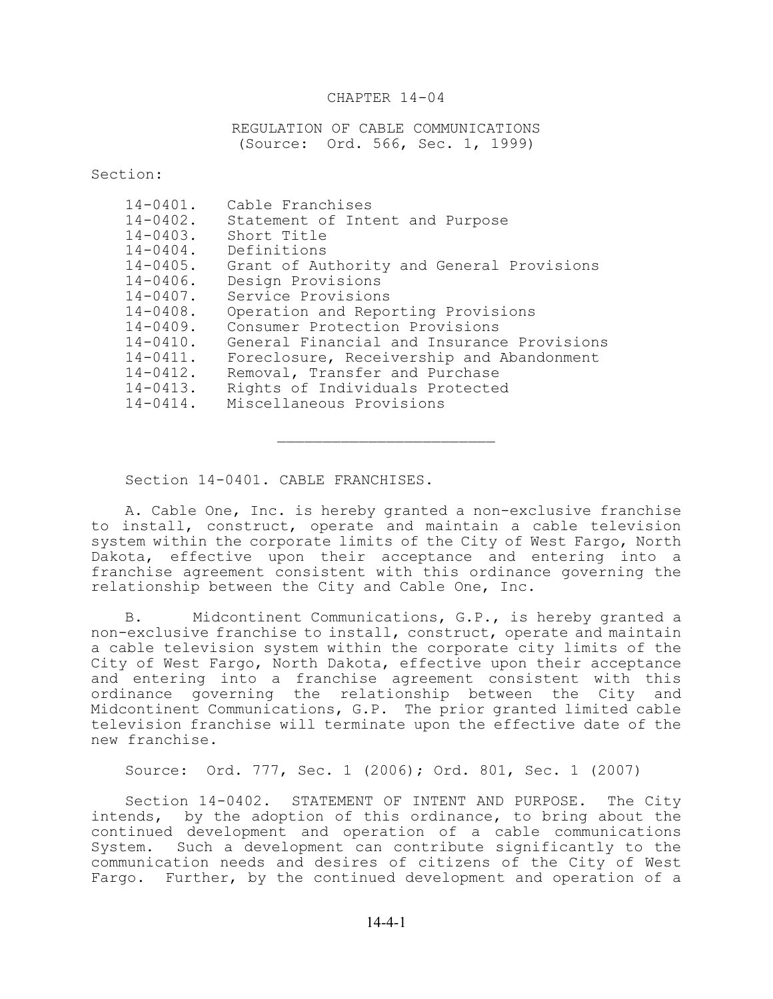### CHAPTER 14-04

REGULATION OF CABLE COMMUNICATIONS (Source: Ord. 566, Sec. 1, 1999)

Section:

| $14 - 0401$ . | Cable Franchises                           |
|---------------|--------------------------------------------|
| $14 - 0402$ . | Statement of Intent and Purpose            |
| $14 - 0403$ . | Short Title                                |
| $14 - 0404$ . | Definitions                                |
| $14 - 0405$ . | Grant of Authority and General Provisions  |
| $14 - 0406$ . | Design Provisions                          |
| $14 - 0407$ . | Service Provisions                         |
| $14 - 0408$ . | Operation and Reporting Provisions         |
| $14 - 0409$ . | Consumer Protection Provisions             |
| $14 - 0410$ . | General Financial and Insurance Provisions |
| $14 - 0411$ . | Foreclosure, Receivership and Abandonment  |
| $14 - 0412$ . | Removal, Transfer and Purchase             |
| $14 - 0413$ . | Rights of Individuals Protected            |
| $14 - 0414$ . | Miscellaneous Provisions                   |
|               |                                            |

Section 14-0401. CABLE FRANCHISES.

A. Cable One, Inc. is hereby granted a non-exclusive franchise to install, construct, operate and maintain a cable television system within the corporate limits of the City of West Fargo, North Dakota, effective upon their acceptance and entering into a franchise agreement consistent with this ordinance governing the relationship between the City and Cable One, Inc.

B. Midcontinent Communications, G.P., is hereby granted a non-exclusive franchise to install, construct, operate and maintain a cable television system within the corporate city limits of the City of West Fargo, North Dakota, effective upon their acceptance and entering into a franchise agreement consistent with this ordinance governing the relationship between the City and Midcontinent Communications, G.P. The prior granted limited cable television franchise will terminate upon the effective date of the new franchise.

Source: Ord. 777, Sec. 1 (2006); Ord. 801, Sec. 1 (2007)

Section 14-0402. STATEMENT OF INTENT AND PURPOSE. The City intends, by the adoption of this ordinance, to bring about the continued development and operation of a cable communications System. Such a development can contribute significantly to the communication needs and desires of citizens of the City of West Fargo. Further, by the continued development and operation of a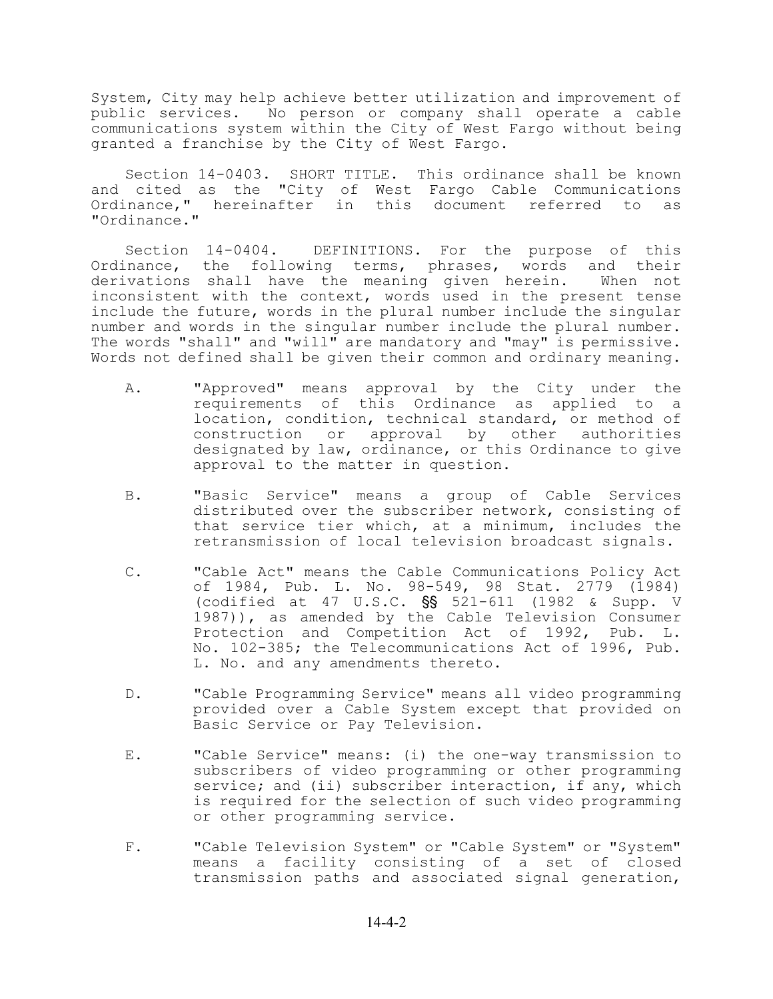System, City may help achieve better utilization and improvement of public services. No person or company shall operate a cable communications system within the City of West Fargo without being granted a franchise by the City of West Fargo.

Section 14-0403. SHORT TITLE. This ordinance shall be known and cited as the "City of West Fargo Cable Communications Ordinance," hereinafter in this document referred to as "Ordinance."

Section 14-0404. DEFINITIONS. For the purpose of this Ordinance, the following terms, phrases, words and their derivations shall have the meaning given herein. When not inconsistent with the context, words used in the present tense include the future, words in the plural number include the singular number and words in the singular number include the plural number. The words "shall" and "will" are mandatory and "may" is permissive. Words not defined shall be given their common and ordinary meaning.

- A. "Approved" means approval by the City under the requirements of this Ordinance as applied to a location, condition, technical standard, or method of construction or approval by other authorities designated by law, ordinance, or this Ordinance to give approval to the matter in question.
- B. "Basic Service" means a group of Cable Services distributed over the subscriber network, consisting of that service tier which, at a minimum, includes the retransmission of local television broadcast signals.
- C. "Cable Act" means the Cable Communications Policy Act of 1984, Pub. L. No. 98-549, 98 Stat. 2779 (1984) (codified at 47 U.S.C.  $S_S = 521-611$  (1982 & Supp. V 1987)), as amended by the Cable Television Consumer Protection and Competition Act of 1992, Pub. L. No. 102-385; the Telecommunications Act of 1996, Pub. L. No. and any amendments thereto.
- D. "Cable Programming Service" means all video programming provided over a Cable System except that provided on Basic Service or Pay Television.
- E. "Cable Service" means: (i) the one-way transmission to subscribers of video programming or other programming service; and (ii) subscriber interaction, if any, which is required for the selection of such video programming or other programming service.
- F. "Cable Television System" or "Cable System" or "System" means a facility consisting of a set of closed transmission paths and associated signal generation,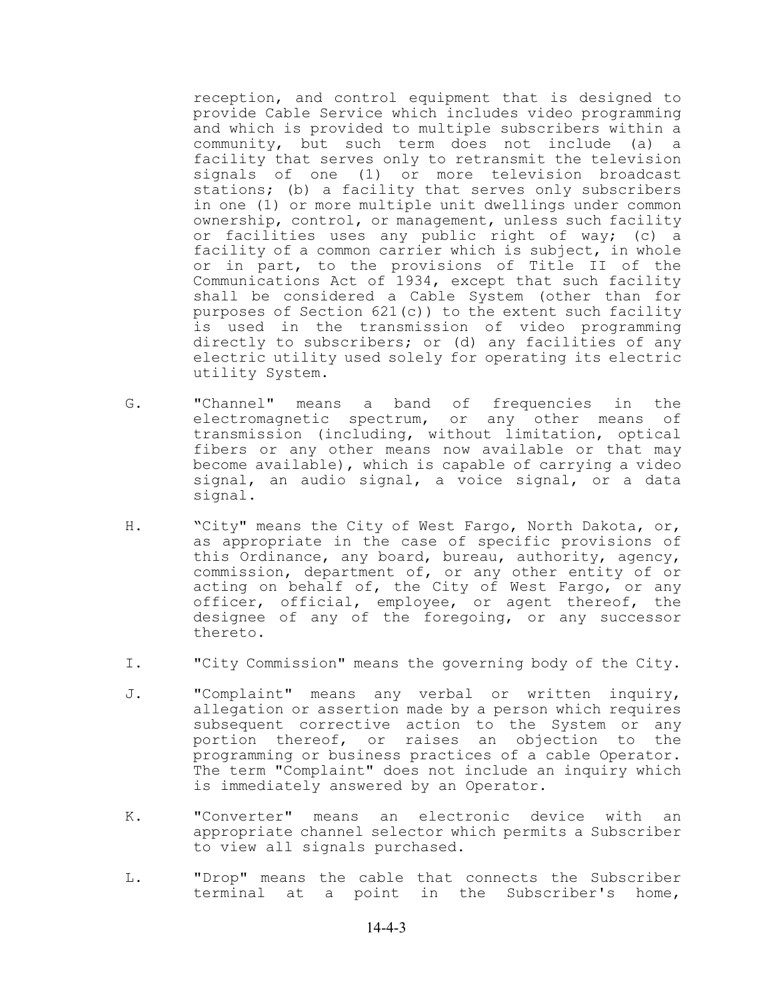reception, and control equipment that is designed to provide Cable Service which includes video programming and which is provided to multiple subscribers within a community, but such term does not include (a) a facility that serves only to retransmit the television signals of one (1) or more television broadcast stations; (b) a facility that serves only subscribers in one (1) or more multiple unit dwellings under common ownership, control, or management, unless such facility or facilities uses any public right of way; (c) a facility of a common carrier which is subject, in whole or in part, to the provisions of Title II of the Communications Act of 1934, except that such facility shall be considered a Cable System (other than for purposes of Section 621(c)) to the extent such facility is used in the transmission of video programming directly to subscribers; or (d) any facilities of any electric utility used solely for operating its electric utility System.

- G. "Channel" means a band of frequencies in the electromagnetic spectrum, or any other means of transmission (including, without limitation, optical fibers or any other means now available or that may become available), which is capable of carrying a video signal, an audio signal, a voice signal, or a data signal.
- H. "City" means the City of West Fargo, North Dakota, or, as appropriate in the case of specific provisions of this Ordinance, any board, bureau, authority, agency, commission, department of, or any other entity of or acting on behalf of, the City of West Fargo, or any officer, official, employee, or agent thereof, the designee of any of the foregoing, or any successor thereto.
- I. "City Commission" means the governing body of the City.
- J. "Complaint" means any verbal or written inquiry, allegation or assertion made by a person which requires subsequent corrective action to the System or any portion thereof, or raises an objection to the programming or business practices of a cable Operator. The term "Complaint" does not include an inquiry which is immediately answered by an Operator.
- K. "Converter" means an electronic device with an appropriate channel selector which permits a Subscriber to view all signals purchased.
- L. "Drop" means the cable that connects the Subscriber terminal at a point in the Subscriber's home,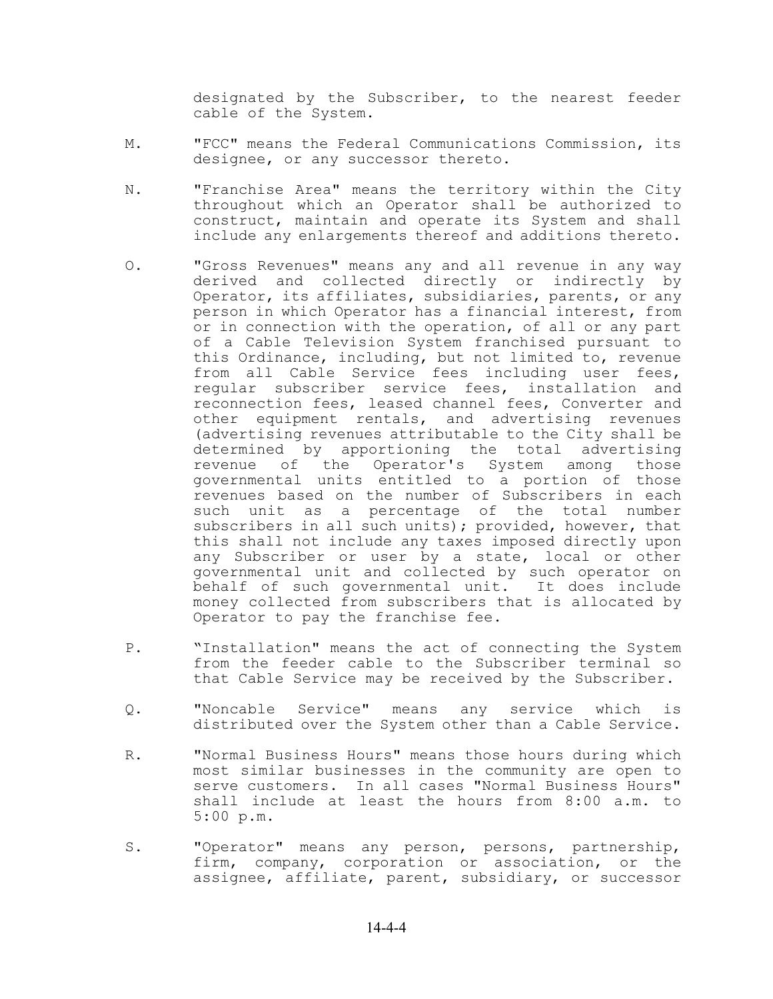designated by the Subscriber, to the nearest feeder cable of the System.

- M. "FCC" means the Federal Communications Commission, its designee, or any successor thereto.
- N. "Franchise Area" means the territory within the City throughout which an Operator shall be authorized to construct, maintain and operate its System and shall include any enlargements thereof and additions thereto.
- O. "Gross Revenues" means any and all revenue in any way derived and collected directly or indirectly by Operator, its affiliates, subsidiaries, parents, or any person in which Operator has a financial interest, from or in connection with the operation, of all or any part of a Cable Television System franchised pursuant to this Ordinance, including, but not limited to, revenue from all Cable Service fees including user fees, regular subscriber service fees, installation and reconnection fees, leased channel fees, Converter and other equipment rentals, and advertising revenues (advertising revenues attributable to the City shall be determined by apportioning the total advertising revenue of the Operator's System among those governmental units entitled to a portion of those revenues based on the number of Subscribers in each such unit as a percentage of the total number subscribers in all such units); provided, however, that this shall not include any taxes imposed directly upon any Subscriber or user by a state, local or other governmental unit and collected by such operator on behalf of such governmental unit. It does include money collected from subscribers that is allocated by Operator to pay the franchise fee.
- P. "Installation" means the act of connecting the System from the feeder cable to the Subscriber terminal so that Cable Service may be received by the Subscriber.
- Q. "Noncable Service" means any service which is distributed over the System other than a Cable Service.
- R. "Normal Business Hours" means those hours during which most similar businesses in the community are open to serve customers. In all cases "Normal Business Hours" shall include at least the hours from 8:00 a.m. to 5:00 p.m.
- S. "Operator" means any person, persons, partnership, firm, company, corporation or association, or the assignee, affiliate, parent, subsidiary, or successor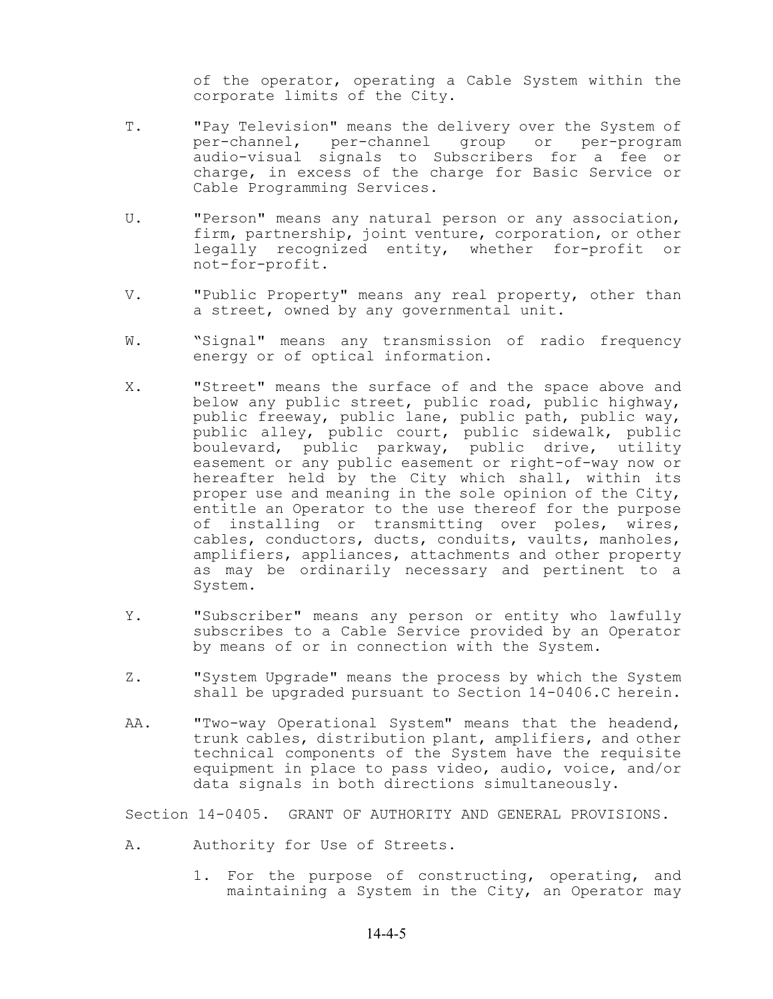of the operator, operating a Cable System within the corporate limits of the City.

- T. "Pay Television" means the delivery over the System of per-channel, per-channel group or per-program audio-visual signals to Subscribers for a fee or charge, in excess of the charge for Basic Service or Cable Programming Services.
- U. "Person" means any natural person or any association, firm, partnership, joint venture, corporation, or other legally recognized entity, whether for-profit or not-for-profit.
- V. "Public Property" means any real property, other than a street, owned by any governmental unit.
- W. "Signal" means any transmission of radio frequency energy or of optical information.
- X. "Street" means the surface of and the space above and below any public street, public road, public highway, public freeway, public lane, public path, public way, public alley, public court, public sidewalk, public boulevard, public parkway, public drive, utility easement or any public easement or right-of-way now or hereafter held by the City which shall, within its proper use and meaning in the sole opinion of the City, entitle an Operator to the use thereof for the purpose of installing or transmitting over poles, wires, cables, conductors, ducts, conduits, vaults, manholes, amplifiers, appliances, attachments and other property as may be ordinarily necessary and pertinent to a System.
- Y. "Subscriber" means any person or entity who lawfully subscribes to a Cable Service provided by an Operator by means of or in connection with the System.
- Z. "System Upgrade" means the process by which the System shall be upgraded pursuant to Section 14-0406.C herein.
- AA. "Two-way Operational System" means that the headend, trunk cables, distribution plant, amplifiers, and other technical components of the System have the requisite equipment in place to pass video, audio, voice, and/or data signals in both directions simultaneously.

Section 14-0405. GRANT OF AUTHORITY AND GENERAL PROVISIONS.

- A. Authority for Use of Streets.
	- 1. For the purpose of constructing, operating, and maintaining a System in the City, an Operator may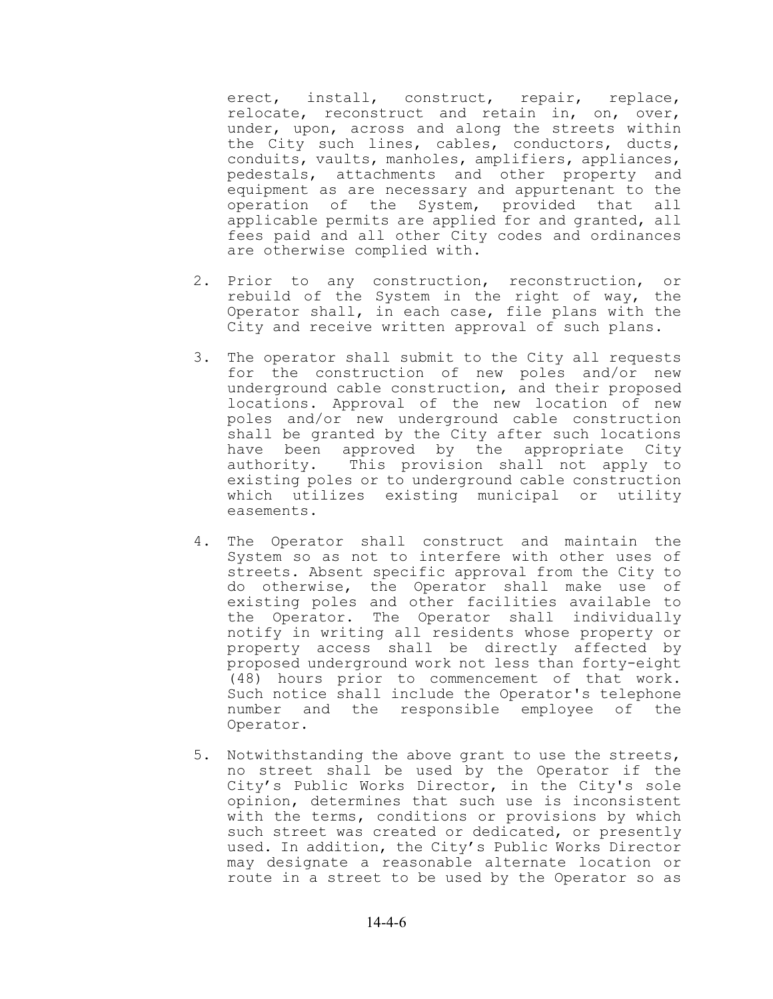erect, install, construct, repair, replace, relocate, reconstruct and retain in, on, over, under, upon, across and along the streets within the City such lines, cables, conductors, ducts, conduits, vaults, manholes, amplifiers, appliances, pedestals, attachments and other property and equipment as are necessary and appurtenant to the operation of the System, provided that all applicable permits are applied for and granted, all fees paid and all other City codes and ordinances are otherwise complied with.

- 2. Prior to any construction, reconstruction, or rebuild of the System in the right of way, the Operator shall, in each case, file plans with the City and receive written approval of such plans.
- 3. The operator shall submit to the City all requests for the construction of new poles and/or new underground cable construction, and their proposed locations. Approval of the new location of new poles and/or new underground cable construction shall be granted by the City after such locations have been approved by the appropriate City authority. This provision shall not apply to existing poles or to underground cable construction which utilizes existing municipal or utility easements.
- 4. The Operator shall construct and maintain the System so as not to interfere with other uses of streets. Absent specific approval from the City to do otherwise, the Operator shall make use of existing poles and other facilities available to the Operator. The Operator shall individually notify in writing all residents whose property or property access shall be directly affected by proposed underground work not less than forty-eight (48) hours prior to commencement of that work. Such notice shall include the Operator's telephone number and the responsible employee of the Operator.
- 5. Notwithstanding the above grant to use the streets, no street shall be used by the Operator if the City's Public Works Director, in the City's sole opinion, determines that such use is inconsistent with the terms, conditions or provisions by which such street was created or dedicated, or presently used. In addition, the City's Public Works Director may designate a reasonable alternate location or route in a street to be used by the Operator so as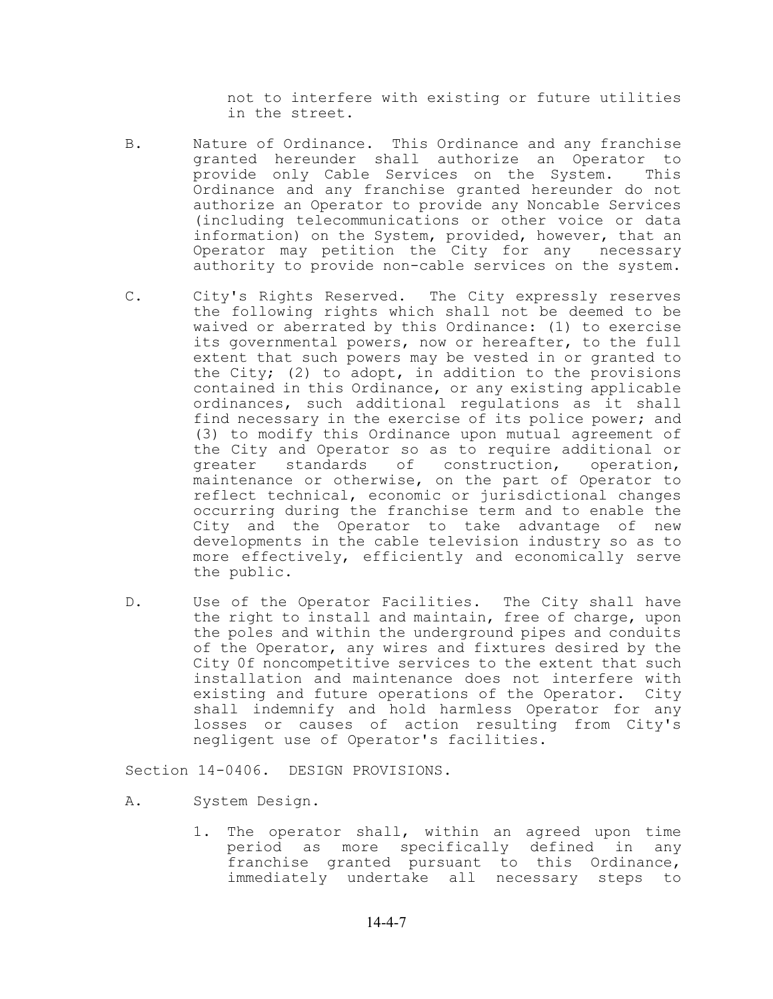not to interfere with existing or future utilities in the street.

- B. Nature of Ordinance. This Ordinance and any franchise granted hereunder shall authorize an Operator to provide only Cable Services on the System. This Ordinance and any franchise granted hereunder do not authorize an Operator to provide any Noncable Services (including telecommunications or other voice or data information) on the System, provided, however, that an Operator may petition the City for any necessary authority to provide non-cable services on the system.
- C. City's Rights Reserved. The City expressly reserves the following rights which shall not be deemed to be waived or aberrated by this Ordinance: (1) to exercise its governmental powers, now or hereafter, to the full extent that such powers may be vested in or granted to the City; (2) to adopt, in addition to the provisions contained in this Ordinance, or any existing applicable ordinances, such additional regulations as it shall find necessary in the exercise of its police power; and (3) to modify this Ordinance upon mutual agreement of the City and Operator so as to require additional or greater standards of construction, operation, maintenance or otherwise, on the part of Operator to reflect technical, economic or jurisdictional changes occurring during the franchise term and to enable the City and the Operator to take advantage of new developments in the cable television industry so as to more effectively, efficiently and economically serve the public.
- D. Use of the Operator Facilities. The City shall have the right to install and maintain, free of charge, upon the poles and within the underground pipes and conduits of the Operator, any wires and fixtures desired by the City 0f noncompetitive services to the extent that such installation and maintenance does not interfere with existing and future operations of the Operator. City shall indemnify and hold harmless Operator for any losses or causes of action resulting from City's negligent use of Operator's facilities.

Section 14-0406. DESIGN PROVISIONS.

- A. System Design.
	- 1. The operator shall, within an agreed upon time period as more specifically defined in any franchise granted pursuant to this Ordinance, immediately undertake all necessary steps to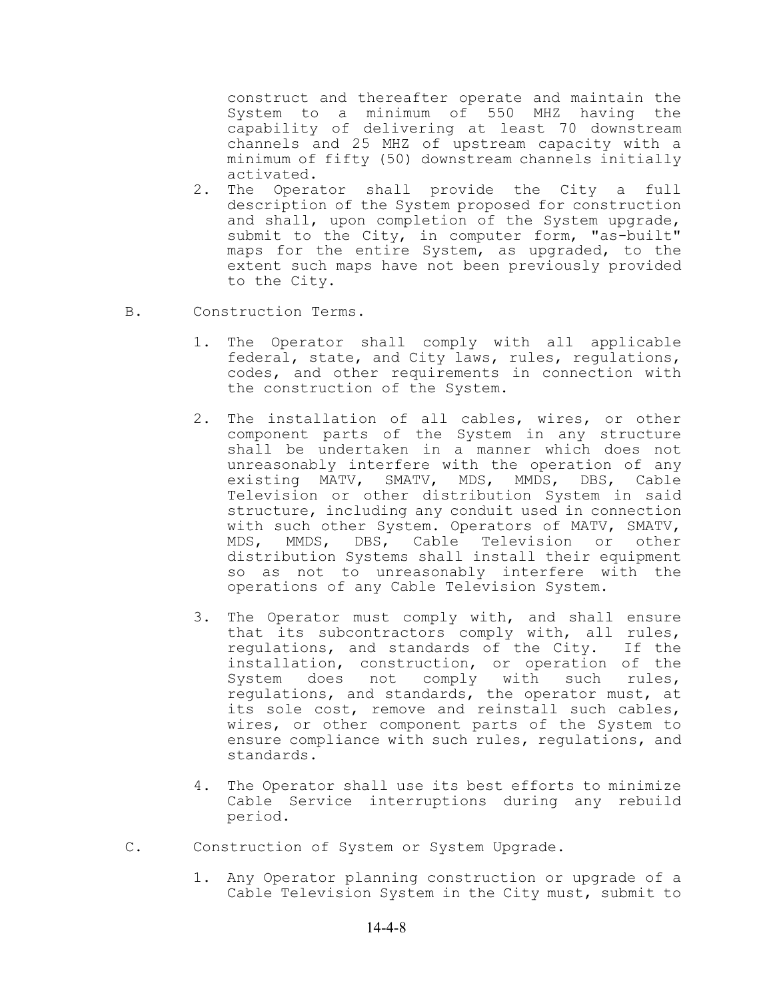construct and thereafter operate and maintain the System to a minimum of 550 MHZ having the capability of delivering at least 70 downstream channels and 25 MHZ of upstream capacity with a minimum of fifty (50) downstream channels initially activated.

- 2. The Operator shall provide the City a full description of the System proposed for construction and shall, upon completion of the System upgrade, submit to the City, in computer form, "as-built" maps for the entire System, as upgraded, to the extent such maps have not been previously provided to the City.
- B. Construction Terms.
	- 1. The Operator shall comply with all applicable federal, state, and City laws, rules, regulations, codes, and other requirements in connection with the construction of the System.
	- 2. The installation of all cables, wires, or other component parts of the System in any structure shall be undertaken in a manner which does not unreasonably interfere with the operation of any existing MATV, SMATV, MDS, MMDS, DBS, Cable Television or other distribution System in said structure, including any conduit used in connection with such other System. Operators of MATV, SMATV, MDS, MMDS, DBS, Cable Television or other distribution Systems shall install their equipment so as not to unreasonably interfere with the operations of any Cable Television System.
	- 3. The Operator must comply with, and shall ensure that its subcontractors comply with, all rules, regulations, and standards of the City. If the installation, construction, or operation of the System does not comply with such rules, regulations, and standards, the operator must, at its sole cost, remove and reinstall such cables, wires, or other component parts of the System to ensure compliance with such rules, regulations, and standards.
	- 4. The Operator shall use its best efforts to minimize Cable Service interruptions during any rebuild period.
- C. Construction of System or System Upgrade.
	- 1. Any Operator planning construction or upgrade of a Cable Television System in the City must, submit to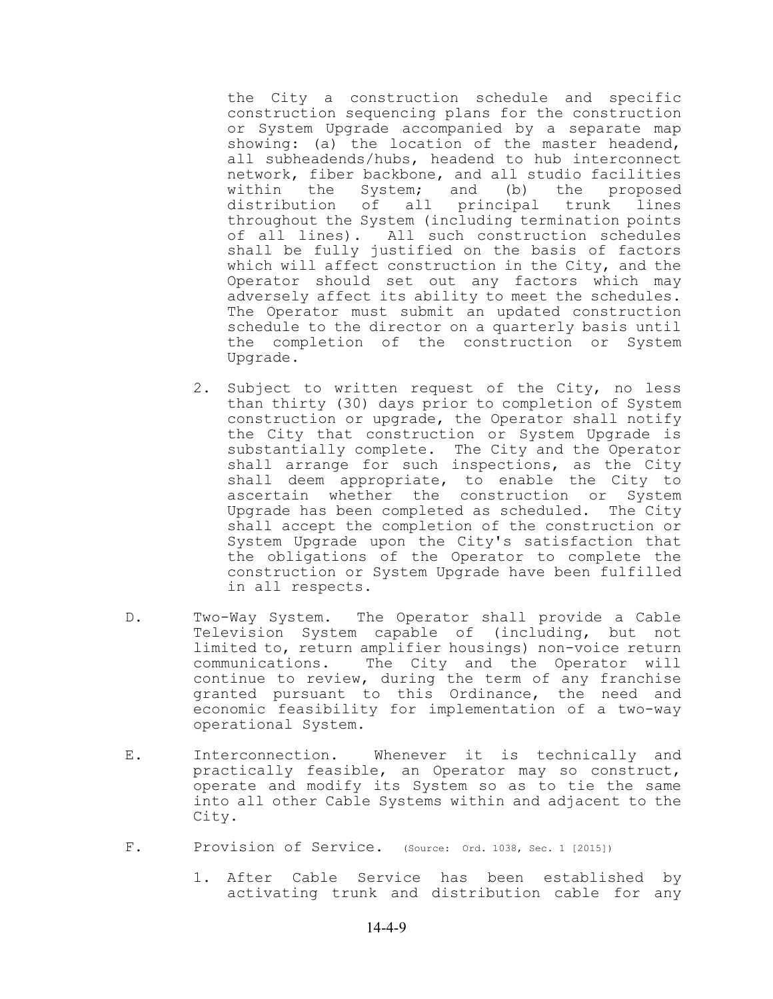the City a construction schedule and specific construction sequencing plans for the construction or System Upgrade accompanied by a separate map showing: (a) the location of the master headend, all subheadends/hubs, headend to hub interconnect network, fiber backbone, and all studio facilities within the System; and (b) the proposed distribution of all principal trunk lines throughout the System (including termination points of all lines). All such construction schedules shall be fully justified on the basis of factors which will affect construction in the City, and the Operator should set out any factors which may adversely affect its ability to meet the schedules. The Operator must submit an updated construction schedule to the director on a quarterly basis until the completion of the construction or System Upgrade.

- 2. Subject to written request of the City, no less than thirty (30) days prior to completion of System construction or upgrade, the Operator shall notify the City that construction or System Upgrade is substantially complete. The City and the Operator shall arrange for such inspections, as the City shall deem appropriate, to enable the City to ascertain whether the construction or System Upgrade has been completed as scheduled. The City shall accept the completion of the construction or System Upgrade upon the City's satisfaction that the obligations of the Operator to complete the construction or System Upgrade have been fulfilled in all respects.
- D. Two-Way System. The Operator shall provide a Cable Television System capable of (including, but not limited to, return amplifier housings) non-voice return communications. The City and the Operator will continue to review, during the term of any franchise granted pursuant to this Ordinance, the need and economic feasibility for implementation of a two-way operational System.
- E. Interconnection. Whenever it is technically and practically feasible, an Operator may so construct, operate and modify its System so as to tie the same into all other Cable Systems within and adjacent to the City.
- F. Provision of Service. (Source: Ord. 1038, Sec. 1 [2015])
	- 1. After Cable Service has been established by activating trunk and distribution cable for any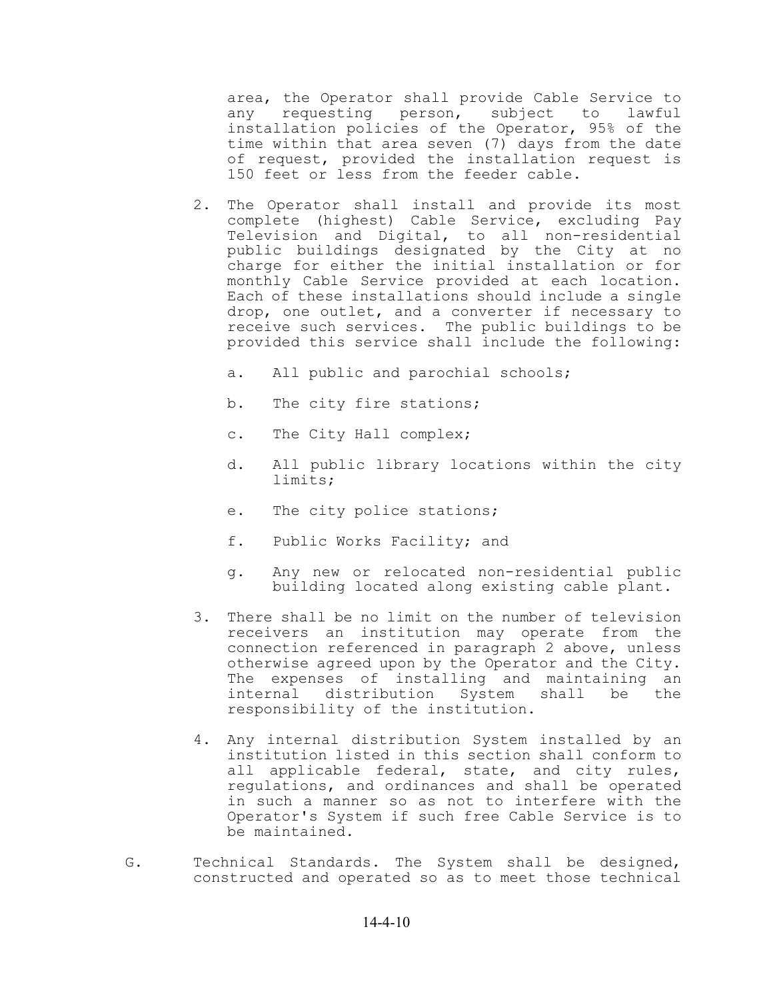area, the Operator shall provide Cable Service to any requesting person, subject to lawful installation policies of the Operator, 95% of the time within that area seven (7) days from the date of request, provided the installation request is 150 feet or less from the feeder cable.

- 2. The Operator shall install and provide its most complete (highest) Cable Service, excluding Pay Television and Digital, to all non-residential public buildings designated by the City at no charge for either the initial installation or for monthly Cable Service provided at each location. Each of these installations should include a single drop, one outlet, and a converter if necessary to receive such services. The public buildings to be provided this service shall include the following:
	- a. All public and parochial schools;
	- b. The city fire stations;
	- c. The City Hall complex;
	- d. All public library locations within the city limits;
	- e. The city police stations;
	- f. Public Works Facility; and
	- g. Any new or relocated non-residential public building located along existing cable plant.
- 3. There shall be no limit on the number of television receivers an institution may operate from the connection referenced in paragraph 2 above, unless otherwise agreed upon by the Operator and the City. The expenses of installing and maintaining an internal distribution System shall be the responsibility of the institution.
- 4. Any internal distribution System installed by an institution listed in this section shall conform to all applicable federal, state, and city rules, regulations, and ordinances and shall be operated in such a manner so as not to interfere with the Operator's System if such free Cable Service is to be maintained.
- G. Technical Standards. The System shall be designed, constructed and operated so as to meet those technical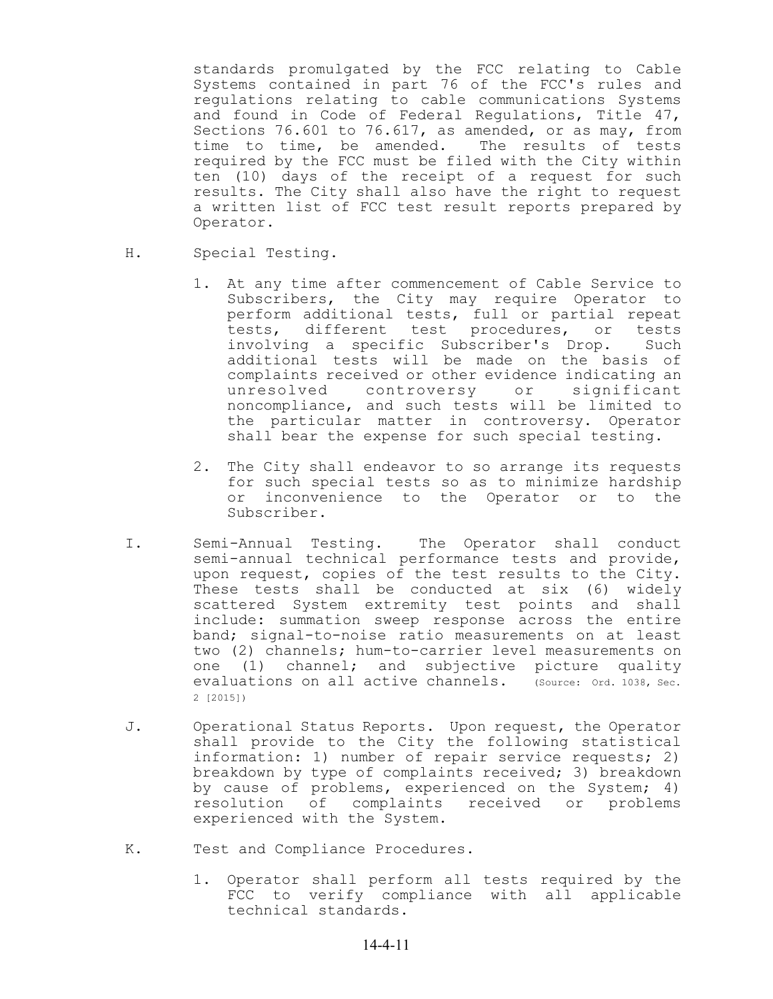standards promulgated by the FCC relating to Cable Systems contained in part 76 of the FCC's rules and regulations relating to cable communications Systems and found in Code of Federal Regulations, Title 47, Sections 76.601 to 76.617, as amended, or as may, from<br>time to time, be amended. The results of tests time to time, be amended. required by the FCC must be filed with the City within ten (10) days of the receipt of a request for such results. The City shall also have the right to request a written list of FCC test result reports prepared by Operator.

- H. Special Testing.
	- 1. At any time after commencement of Cable Service to Subscribers, the City may require Operator to perform additional tests, full or partial repeat tests, different test procedures, or tests involving a specific Subscriber's Drop. Such additional tests will be made on the basis of complaints received or other evidence indicating an unresolved controversy or significant noncompliance, and such tests will be limited to the particular matter in controversy. Operator shall bear the expense for such special testing.
	- 2. The City shall endeavor to so arrange its requests for such special tests so as to minimize hardship or inconvenience to the Operator or to the Subscriber.
- I. Semi-Annual Testing. The Operator shall conduct semi-annual technical performance tests and provide, upon request, copies of the test results to the City. These tests shall be conducted at six (6) widely scattered System extremity test points and shall include: summation sweep response across the entire band; signal-to-noise ratio measurements on at least two (2) channels; hum-to-carrier level measurements on one (1) channel; and subjective picture quality evaluations on all active channels. (Source: Ord. 1038, Sec. 2 [2015])
- J. Operational Status Reports. Upon request, the Operator shall provide to the City the following statistical information: 1) number of repair service requests; 2) breakdown by type of complaints received; 3) breakdown by cause of problems, experienced on the System; 4) resolution of complaints received or problems experienced with the System.
- K. Test and Compliance Procedures.
	- 1. Operator shall perform all tests required by the FCC to verify compliance with all applicable technical standards.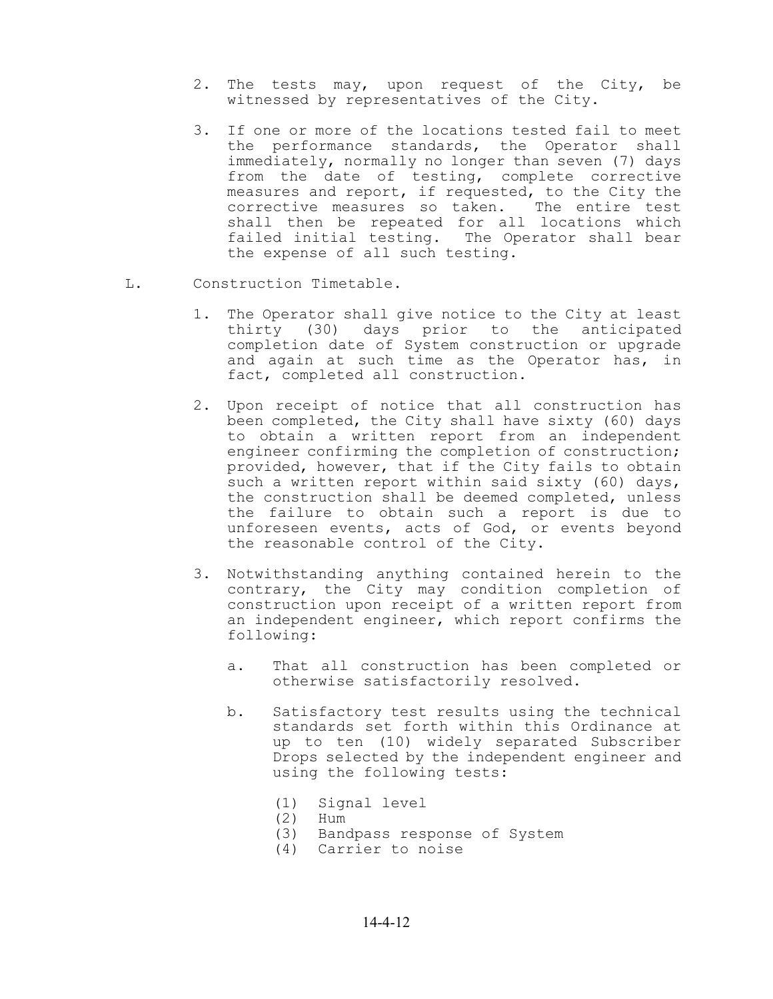- 2. The tests may, upon request of the City, be witnessed by representatives of the City.
- 3. If one or more of the locations tested fail to meet the performance standards, the Operator shall immediately, normally no longer than seven (7) days from the date of testing, complete corrective measures and report, if requested, to the City the corrective measures so taken. The entire test shall then be repeated for all locations which failed initial testing. The Operator shall bear the expense of all such testing.
- L. Construction Timetable.
	- 1. The Operator shall give notice to the City at least thirty (30) days prior to the anticipated completion date of System construction or upgrade and again at such time as the Operator has, in fact, completed all construction.
	- 2. Upon receipt of notice that all construction has been completed, the City shall have sixty (60) days to obtain a written report from an independent engineer confirming the completion of construction; provided, however, that if the City fails to obtain such a written report within said sixty (60) days, the construction shall be deemed completed, unless the failure to obtain such a report is due to unforeseen events, acts of God, or events beyond the reasonable control of the City.
	- 3. Notwithstanding anything contained herein to the contrary, the City may condition completion of construction upon receipt of a written report from an independent engineer, which report confirms the following:
		- a. That all construction has been completed or otherwise satisfactorily resolved.
		- b. Satisfactory test results using the technical standards set forth within this Ordinance at up to ten (10) widely separated Subscriber Drops selected by the independent engineer and using the following tests:
			- (1) Signal level
			- (2) Hum
			- (3) Bandpass response of System
			- (4) Carrier to noise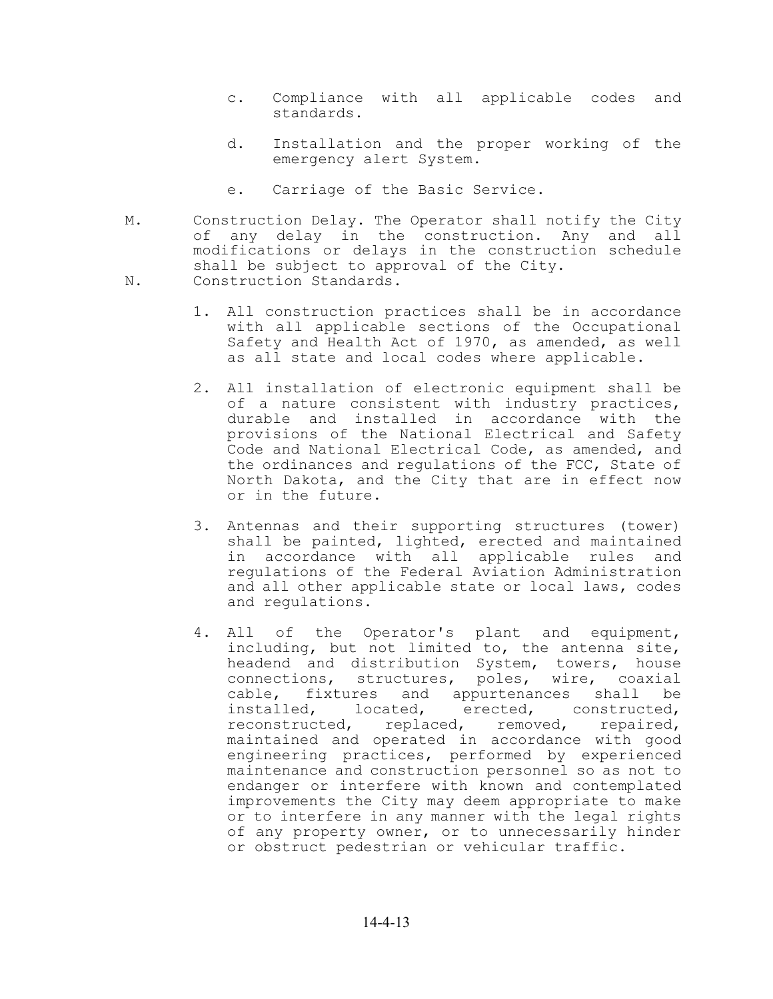- c. Compliance with all applicable codes and standards.
- d. Installation and the proper working of the emergency alert System.
- e. Carriage of the Basic Service.
- M. Construction Delay. The Operator shall notify the City of any delay in the construction. Any and all modifications or delays in the construction schedule shall be subject to approval of the City.
- N. Construction Standards.
	- 1. All construction practices shall be in accordance with all applicable sections of the Occupational Safety and Health Act of 1970, as amended, as well as all state and local codes where applicable.
	- 2. All installation of electronic equipment shall be of a nature consistent with industry practices, durable and installed in accordance with the provisions of the National Electrical and Safety Code and National Electrical Code, as amended, and the ordinances and regulations of the FCC, State of North Dakota, and the City that are in effect now or in the future.
	- 3. Antennas and their supporting structures (tower) shall be painted, lighted, erected and maintained in accordance with all applicable rules and regulations of the Federal Aviation Administration and all other applicable state or local laws, codes and regulations.
	- 4. All of the Operator's plant and equipment, including, but not limited to, the antenna site, headend and distribution System, towers, house connections, structures, poles, wire, coaxial cable, fixtures and appurtenances shall be installed, located, erected, constructed, reconstructed, replaced, removed, repaired, maintained and operated in accordance with good engineering practices, performed by experienced maintenance and construction personnel so as not to endanger or interfere with known and contemplated improvements the City may deem appropriate to make or to interfere in any manner with the legal rights of any property owner, or to unnecessarily hinder or obstruct pedestrian or vehicular traffic.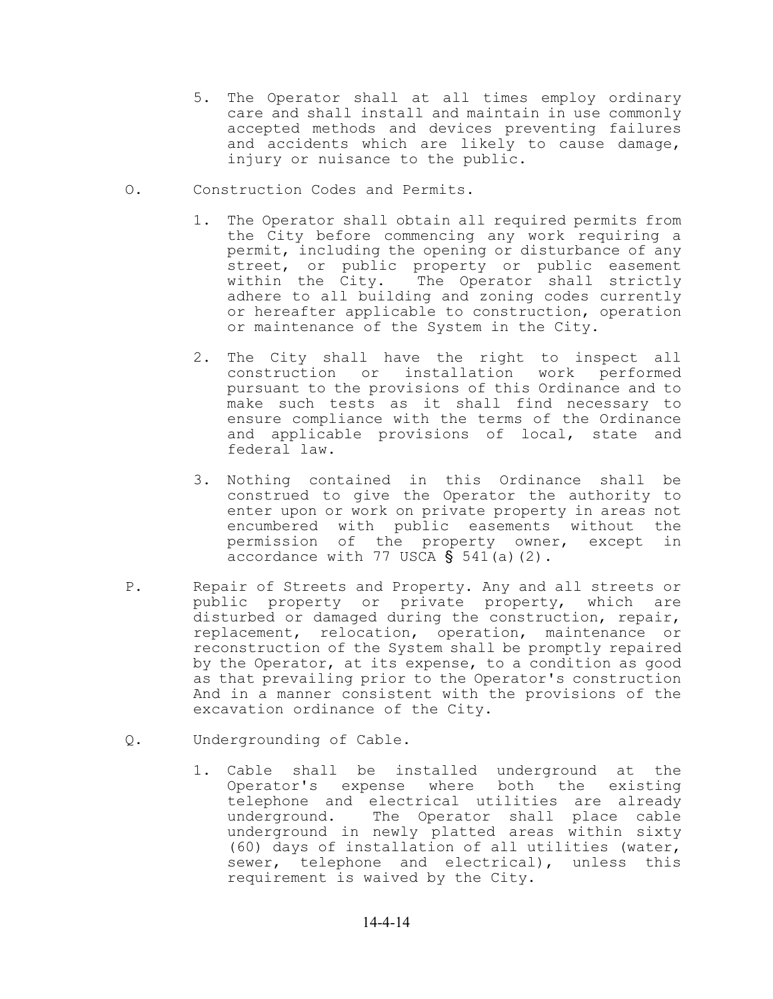- 5. The Operator shall at all times employ ordinary care and shall install and maintain in use commonly accepted methods and devices preventing failures and accidents which are likely to cause damage, injury or nuisance to the public.
- O. Construction Codes and Permits.
	- 1. The Operator shall obtain all required permits from the City before commencing any work requiring a permit, including the opening or disturbance of any street, or public property or public easement<br>within the City. The Operator shall strictly The Operator shall strictly adhere to all building and zoning codes currently or hereafter applicable to construction, operation or maintenance of the System in the City.
	- 2. The City shall have the right to inspect all construction or installation work performed pursuant to the provisions of this Ordinance and to make such tests as it shall find necessary to ensure compliance with the terms of the Ordinance and applicable provisions of local, state and federal law.
	- 3. Nothing contained in this Ordinance shall be construed to give the Operator the authority to enter upon or work on private property in areas not encumbered with public easements without the permission of the property owner, except in accordance with 77 USCA  $\S$  541(a)(2).
- P. Repair of Streets and Property. Any and all streets or public property or private property, which are disturbed or damaged during the construction, repair, replacement, relocation, operation, maintenance or reconstruction of the System shall be promptly repaired by the Operator, at its expense, to a condition as good as that prevailing prior to the Operator's construction And in a manner consistent with the provisions of the excavation ordinance of the City.
- Q. Undergrounding of Cable.
	- 1. Cable shall be installed underground at the Operator's expense where both the existing telephone and electrical utilities are already underground. The Operator shall place cable underground in newly platted areas within sixty (60) days of installation of all utilities (water, sewer, telephone and electrical), unless this requirement is waived by the City.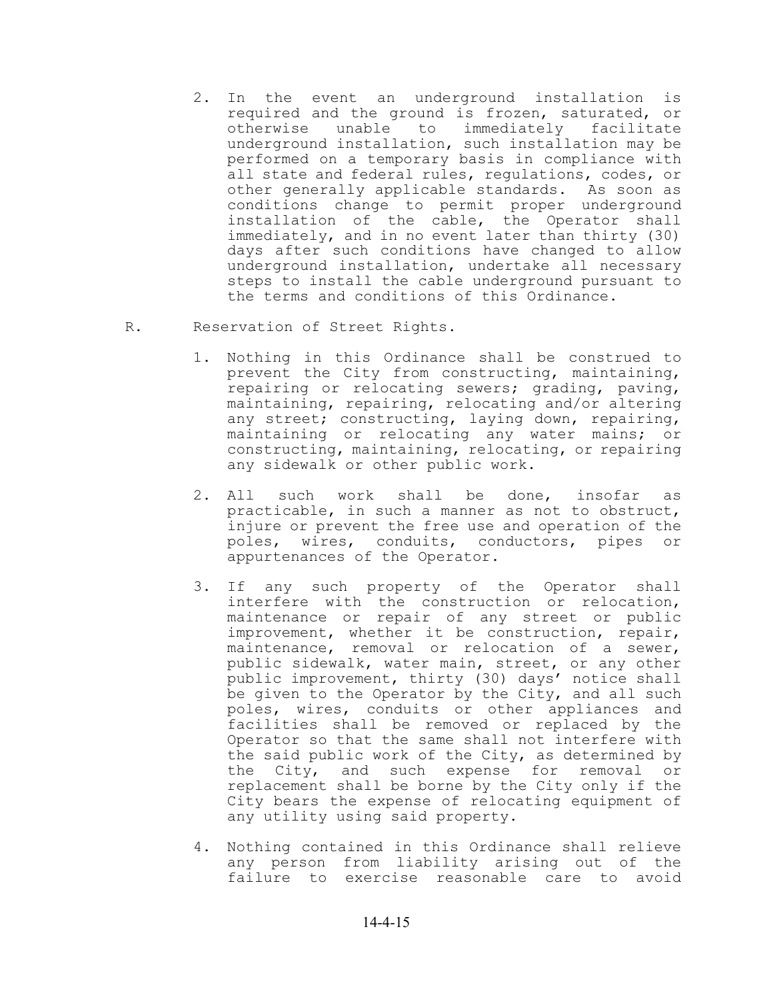- 2. In the event an underground installation is required and the ground is frozen, saturated, or<br>otherwise unable to immediately facilitate otherwise unable to immediately underground installation, such installation may be performed on a temporary basis in compliance with all state and federal rules, regulations, codes, or other generally applicable standards. As soon as conditions change to permit proper underground installation of the cable, the Operator shall immediately, and in no event later than thirty (30) days after such conditions have changed to allow underground installation, undertake all necessary steps to install the cable underground pursuant to the terms and conditions of this Ordinance.
- R. Reservation of Street Rights.
	- 1. Nothing in this Ordinance shall be construed to prevent the City from constructing, maintaining, repairing or relocating sewers; grading, paving, maintaining, repairing, relocating and/or altering any street; constructing, laying down, repairing, maintaining or relocating any water mains; or constructing, maintaining, relocating, or repairing any sidewalk or other public work.
	- 2. All such work shall be done, insofar as practicable, in such a manner as not to obstruct, injure or prevent the free use and operation of the poles, wires, conduits, conductors, pipes or appurtenances of the Operator.
	- 3. If any such property of the Operator shall interfere with the construction or relocation, maintenance or repair of any street or public improvement, whether it be construction, repair, maintenance, removal or relocation of a sewer, public sidewalk, water main, street, or any other public improvement, thirty (30) days' notice shall be given to the Operator by the City, and all such poles, wires, conduits or other appliances and facilities shall be removed or replaced by the Operator so that the same shall not interfere with the said public work of the City, as determined by the City, and such expense for removal or replacement shall be borne by the City only if the City bears the expense of relocating equipment of any utility using said property.
	- 4. Nothing contained in this Ordinance shall relieve any person from liability arising out of the failure to exercise reasonable care to avoid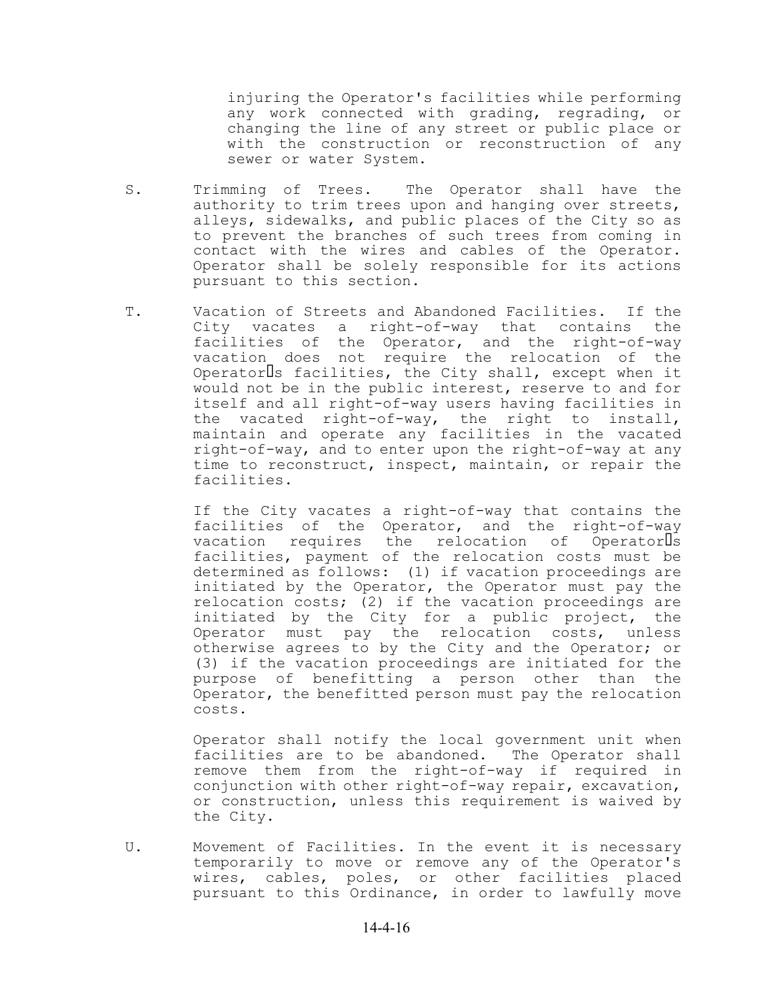injuring the Operator's facilities while performing any work connected with grading, regrading, or changing the line of any street or public place or with the construction or reconstruction of any sewer or water System.

- S. Trimming of Trees. The Operator shall have the authority to trim trees upon and hanging over streets, alleys, sidewalks, and public places of the City so as to prevent the branches of such trees from coming in contact with the wires and cables of the Operator. Operator shall be solely responsible for its actions pursuant to this section.
- T. Vacation of Streets and Abandoned Facilities. If the City vacates a right-of-way that contains the facilities of the Operator, and the right-of-way vacation does not require the relocation of the Operatorls facilities, the City shall, except when it would not be in the public interest, reserve to and for itself and all right-of-way users having facilities in the vacated right-of-way, the right to install, maintain and operate any facilities in the vacated right-of-way, and to enter upon the right-of-way at any time to reconstruct, inspect, maintain, or repair the facilities.

If the City vacates a right-of-way that contains the facilities of the Operator, and the right-of-way vacation requires the relocation of Operatorls facilities, payment of the relocation costs must be determined as follows: (1) if vacation proceedings are initiated by the Operator, the Operator must pay the relocation costs; (2) if the vacation proceedings are initiated by the City for a public project, the Operator must pay the relocation costs, unless otherwise agrees to by the City and the Operator; or (3) if the vacation proceedings are initiated for the purpose of benefitting a person other than the Operator, the benefitted person must pay the relocation costs.

Operator shall notify the local government unit when facilities are to be abandoned. The Operator shall remove them from the right-of-way if required in conjunction with other right-of-way repair, excavation, or construction, unless this requirement is waived by the City.

U. Movement of Facilities. In the event it is necessary temporarily to move or remove any of the Operator's wires, cables, poles, or other facilities placed pursuant to this Ordinance, in order to lawfully move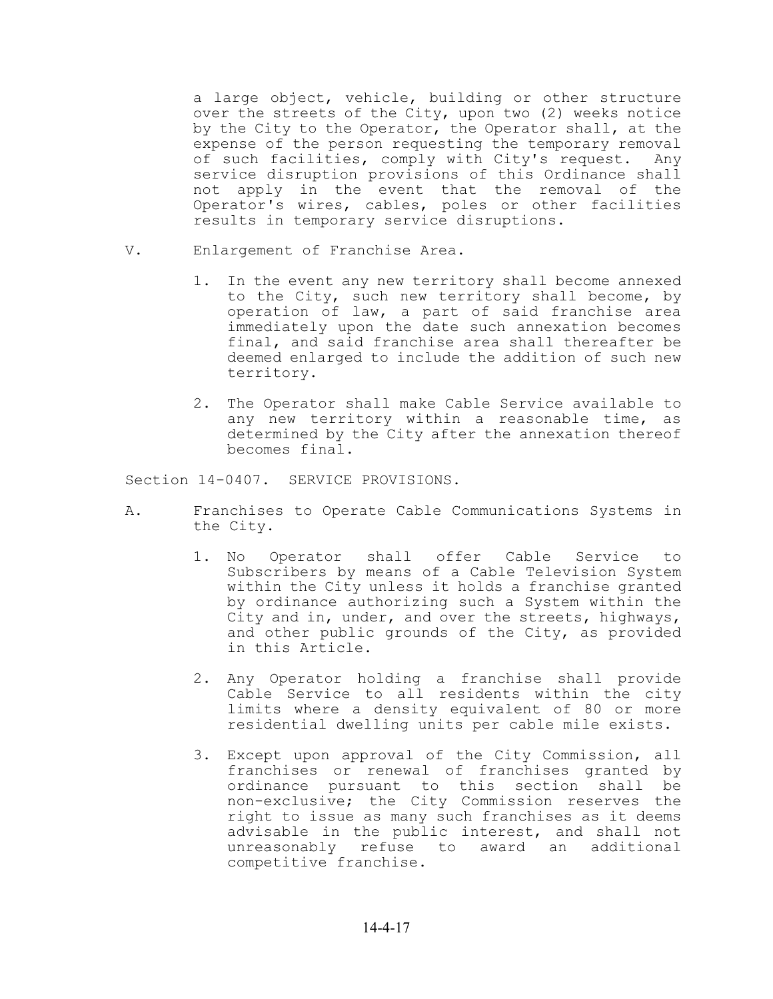a large object, vehicle, building or other structure over the streets of the City, upon two (2) weeks notice by the City to the Operator, the Operator shall, at the expense of the person requesting the temporary removal of such facilities, comply with City's request. Any service disruption provisions of this Ordinance shall not apply in the event that the removal of the Operator's wires, cables, poles or other facilities results in temporary service disruptions.

- V. Enlargement of Franchise Area.
	- 1. In the event any new territory shall become annexed to the City, such new territory shall become, by operation of law, a part of said franchise area immediately upon the date such annexation becomes final, and said franchise area shall thereafter be deemed enlarged to include the addition of such new territory.
	- 2. The Operator shall make Cable Service available to any new territory within a reasonable time, as determined by the City after the annexation thereof becomes final.

Section 14-0407. SERVICE PROVISIONS.

- A. Franchises to Operate Cable Communications Systems in the City.
	- 1. No Operator shall offer Cable Service to Subscribers by means of a Cable Television System within the City unless it holds a franchise granted by ordinance authorizing such a System within the City and in, under, and over the streets, highways, and other public grounds of the City, as provided in this Article.
	- 2. Any Operator holding a franchise shall provide Cable Service to all residents within the city limits where a density equivalent of 80 or more residential dwelling units per cable mile exists.
	- 3. Except upon approval of the City Commission, all franchises or renewal of franchises granted by ordinance pursuant to this section shall be non-exclusive; the City Commission reserves the right to issue as many such franchises as it deems advisable in the public interest, and shall not unreasonably refuse to award an additional competitive franchise.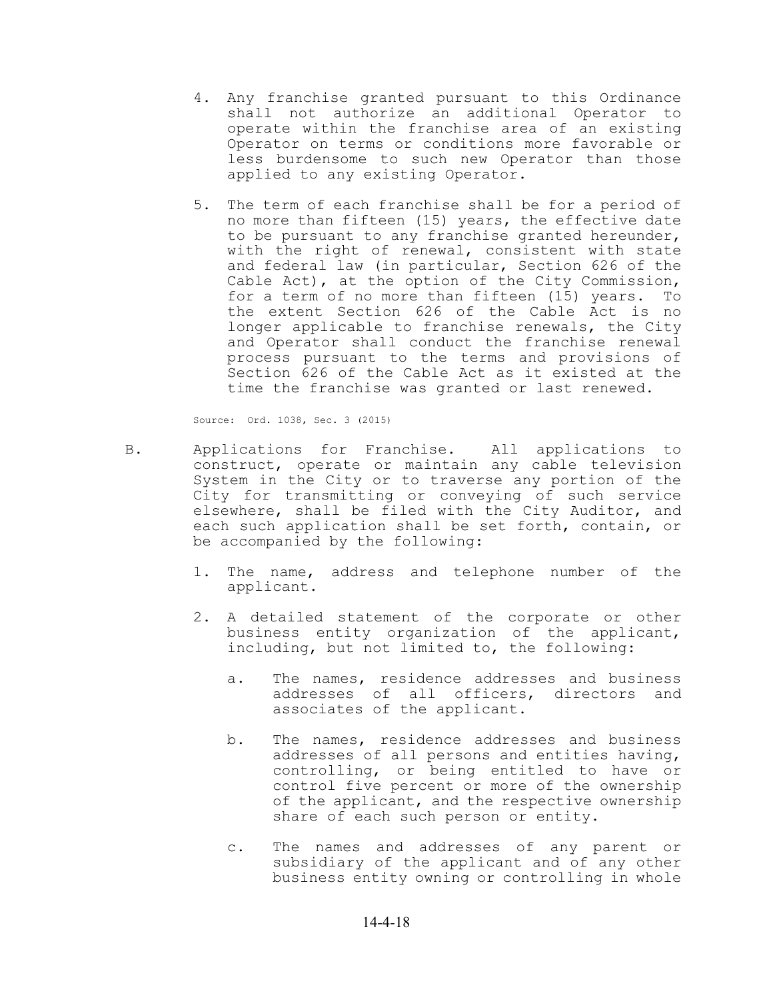- 4. Any franchise granted pursuant to this Ordinance shall not authorize an additional Operator to operate within the franchise area of an existing Operator on terms or conditions more favorable or less burdensome to such new Operator than those applied to any existing Operator.
- 5. The term of each franchise shall be for a period of no more than fifteen (15) years, the effective date to be pursuant to any franchise granted hereunder, with the right of renewal, consistent with state and federal law (in particular, Section 626 of the Cable Act), at the option of the City Commission, for a term of no more than fifteen (15) years. To the extent Section 626 of the Cable Act is no longer applicable to franchise renewals, the City and Operator shall conduct the franchise renewal process pursuant to the terms and provisions of Section 626 of the Cable Act as it existed at the time the franchise was granted or last renewed.

Source: Ord. 1038, Sec. 3 (2015)

- B. Applications for Franchise. All applications to construct, operate or maintain any cable television System in the City or to traverse any portion of the City for transmitting or conveying of such service elsewhere, shall be filed with the City Auditor, and each such application shall be set forth, contain, or be accompanied by the following:
	- 1. The name, address and telephone number of the applicant.
	- 2. A detailed statement of the corporate or other business entity organization of the applicant, including, but not limited to, the following:
		- a. The names, residence addresses and business addresses of all officers, directors and associates of the applicant.
		- b. The names, residence addresses and business addresses of all persons and entities having, controlling, or being entitled to have or control five percent or more of the ownership of the applicant, and the respective ownership share of each such person or entity.
		- c. The names and addresses of any parent or subsidiary of the applicant and of any other business entity owning or controlling in whole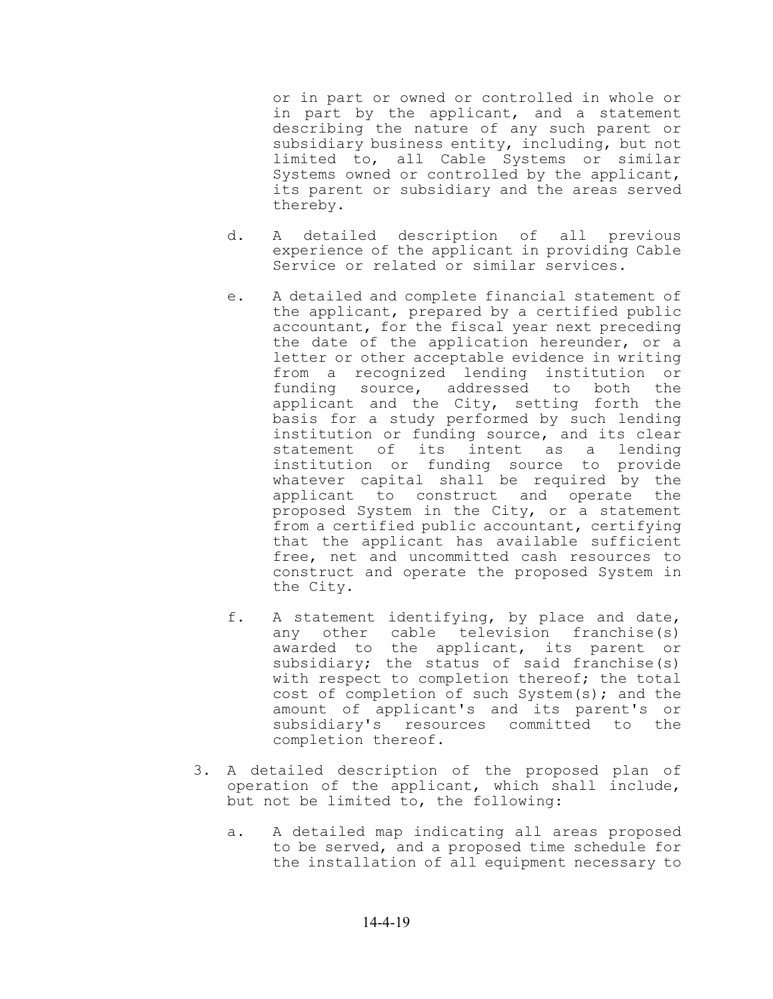or in part or owned or controlled in whole or in part by the applicant, and a statement describing the nature of any such parent or subsidiary business entity, including, but not limited to, all Cable Systems or similar Systems owned or controlled by the applicant, its parent or subsidiary and the areas served thereby.

- d. A detailed description of all previous experience of the applicant in providing Cable Service or related or similar services.
- e. A detailed and complete financial statement of the applicant, prepared by a certified public accountant, for the fiscal year next preceding the date of the application hereunder, or a letter or other acceptable evidence in writing from a recognized lending institution or funding source, addressed to both the applicant and the City, setting forth the basis for a study performed by such lending institution or funding source, and its clear statement of its intent as a lending institution or funding source to provide whatever capital shall be required by the applicant to construct and operate the proposed System in the City, or a statement from a certified public accountant, certifying that the applicant has available sufficient free, net and uncommitted cash resources to construct and operate the proposed System in the City.
- f. A statement identifying, by place and date, any other cable television franchise(s) awarded to the applicant, its parent or subsidiary; the status of said franchise(s) with respect to completion thereof; the total cost of completion of such System(s); and the amount of applicant's and its parent's or subsidiary's resources committed to the completion thereof.
- 3. A detailed description of the proposed plan of operation of the applicant, which shall include, but not be limited to, the following:
	- a. A detailed map indicating all areas proposed to be served, and a proposed time schedule for the installation of all equipment necessary to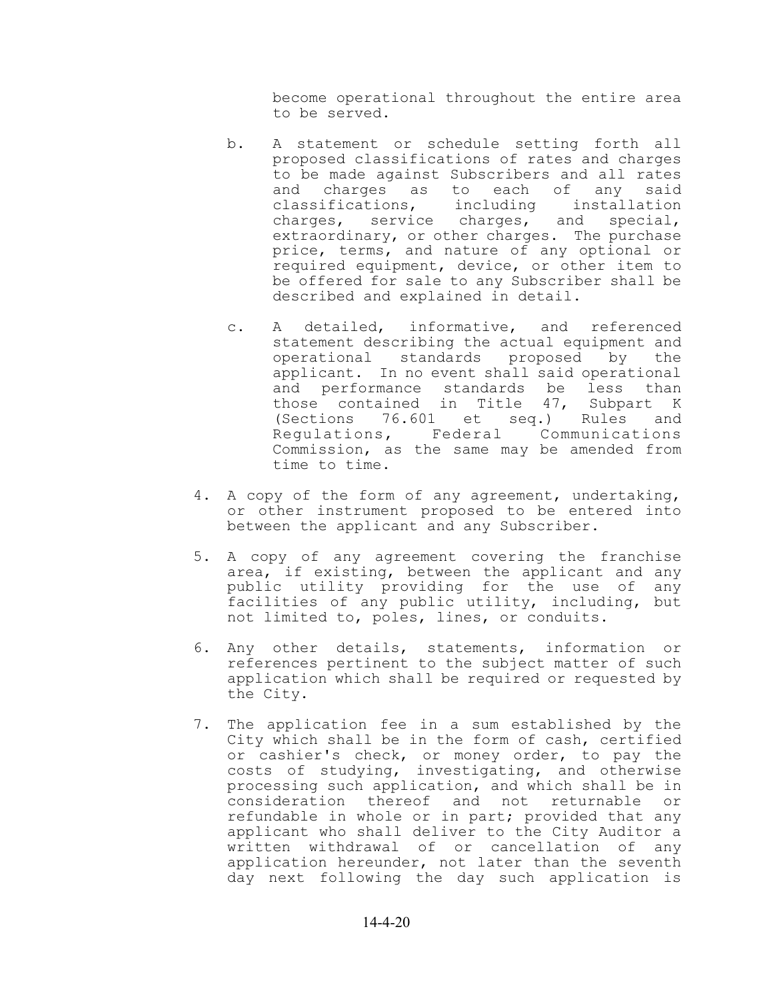become operational throughout the entire area to be served.

- b. A statement or schedule setting forth all proposed classifications of rates and charges to be made against Subscribers and all rates and charges as to each of any said classifications, including installation charges, service charges, and special, extraordinary, or other charges. The purchase price, terms, and nature of any optional or required equipment, device, or other item to be offered for sale to any Subscriber shall be described and explained in detail.
- c. A detailed, informative, and referenced statement describing the actual equipment and operational standards proposed by the applicant. In no event shall said operational and performance standards be less than those contained in Title 47, Subpart K (Sections 76.601 et seq.) Rules and Regulations, Federal Communications Commission, as the same may be amended from time to time.
- 4. A copy of the form of any agreement, undertaking, or other instrument proposed to be entered into between the applicant and any Subscriber.
- 5. A copy of any agreement covering the franchise area, if existing, between the applicant and any public utility providing for the use of any facilities of any public utility, including, but not limited to, poles, lines, or conduits.
- 6. Any other details, statements, information or references pertinent to the subject matter of such application which shall be required or requested by the City.
- 7. The application fee in a sum established by the City which shall be in the form of cash, certified or cashier's check, or money order, to pay the costs of studying, investigating, and otherwise processing such application, and which shall be in consideration thereof and not returnable or refundable in whole or in part; provided that any applicant who shall deliver to the City Auditor a written withdrawal of or cancellation of any application hereunder, not later than the seventh day next following the day such application is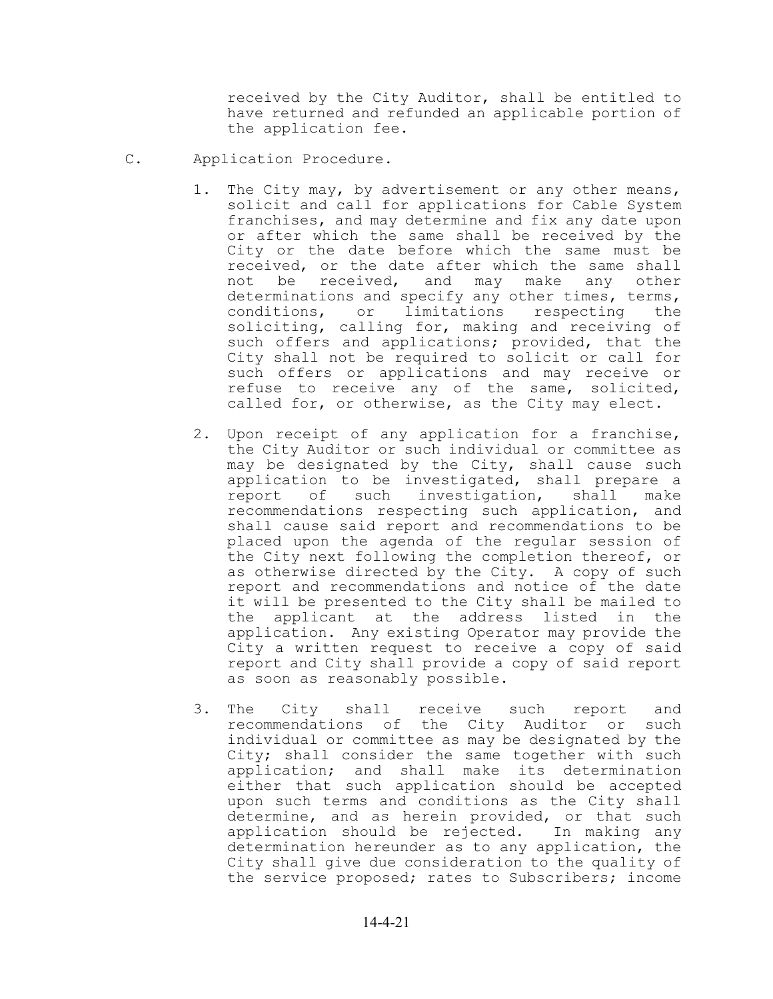received by the City Auditor, shall be entitled to have returned and refunded an applicable portion of the application fee.

- C. Application Procedure.
	- 1. The City may, by advertisement or any other means, solicit and call for applications for Cable System franchises, and may determine and fix any date upon or after which the same shall be received by the City or the date before which the same must be received, or the date after which the same shall not be received, and may make any other determinations and specify any other times, terms, conditions, or limitations respecting the soliciting, calling for, making and receiving of such offers and applications; provided, that the City shall not be required to solicit or call for such offers or applications and may receive or refuse to receive any of the same, solicited, called for, or otherwise, as the City may elect.
	- 2. Upon receipt of any application for a franchise, the City Auditor or such individual or committee as may be designated by the City, shall cause such application to be investigated, shall prepare a report of such investigation, shall make recommendations respecting such application, and shall cause said report and recommendations to be placed upon the agenda of the regular session of the City next following the completion thereof, or as otherwise directed by the City. A copy of such report and recommendations and notice of the date it will be presented to the City shall be mailed to the applicant at the address listed in the application. Any existing Operator may provide the City a written request to receive a copy of said report and City shall provide a copy of said report as soon as reasonably possible.
	- 3. The City shall receive such report and recommendations of the City Auditor or such individual or committee as may be designated by the City; shall consider the same together with such application; and shall make its determination either that such application should be accepted upon such terms and conditions as the City shall determine, and as herein provided, or that such application should be rejected. In making any determination hereunder as to any application, the City shall give due consideration to the quality of the service proposed; rates to Subscribers; income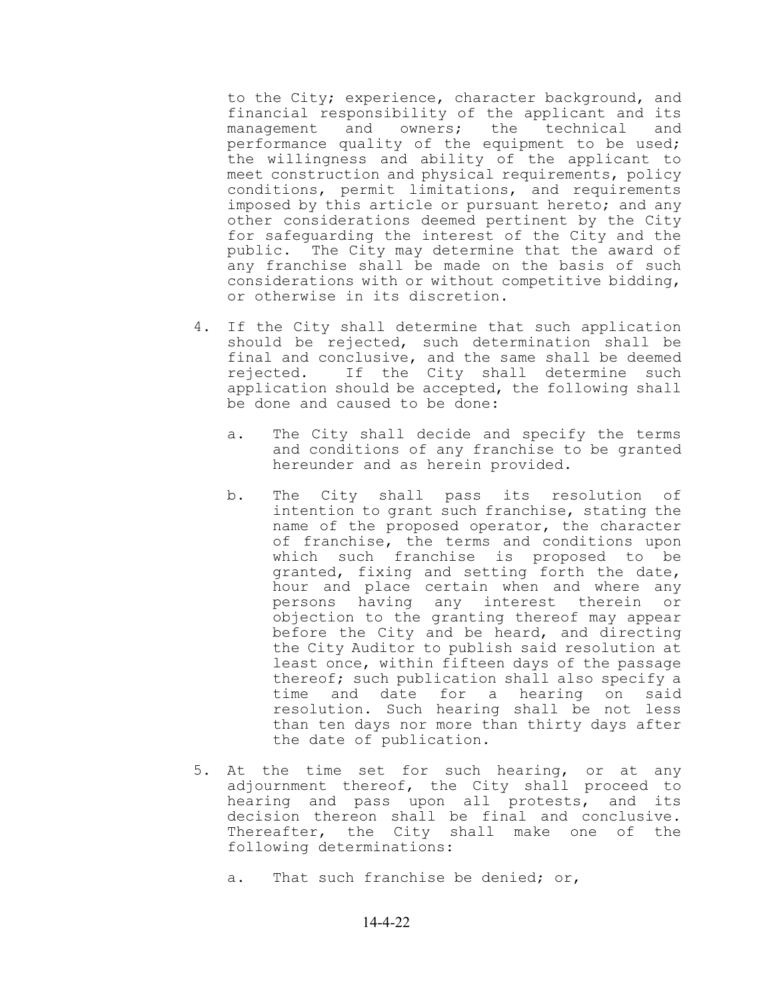to the City; experience, character background, and financial responsibility of the applicant and its management and owners; the technical and performance quality of the equipment to be used; the willingness and ability of the applicant to meet construction and physical requirements, policy conditions, permit limitations, and requirements imposed by this article or pursuant hereto; and any other considerations deemed pertinent by the City for safeguarding the interest of the City and the public. The City may determine that the award of any franchise shall be made on the basis of such considerations with or without competitive bidding, or otherwise in its discretion.

- 4. If the City shall determine that such application should be rejected, such determination shall be final and conclusive, and the same shall be deemed rejected. If the City shall determine such application should be accepted, the following shall be done and caused to be done:
	- a. The City shall decide and specify the terms and conditions of any franchise to be granted hereunder and as herein provided.
	- b. The City shall pass its resolution of intention to grant such franchise, stating the name of the proposed operator, the character of franchise, the terms and conditions upon which such franchise is proposed to be granted, fixing and setting forth the date, hour and place certain when and where any persons having any interest therein or objection to the granting thereof may appear before the City and be heard, and directing the City Auditor to publish said resolution at least once, within fifteen days of the passage thereof; such publication shall also specify a time and date for a hearing on said resolution. Such hearing shall be not less than ten days nor more than thirty days after the date of publication.
- 5. At the time set for such hearing, or at any adjournment thereof, the City shall proceed to hearing and pass upon all protests, and its decision thereon shall be final and conclusive. Thereafter, the City shall make one of the following determinations:
	- a. That such franchise be denied; or,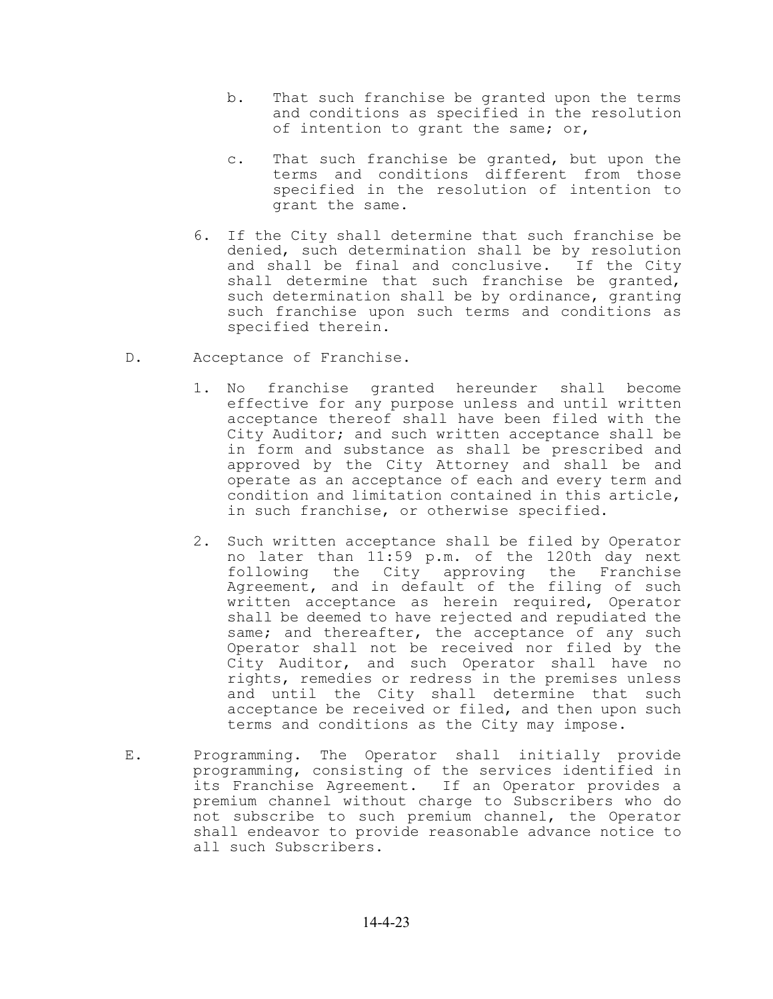- b. That such franchise be granted upon the terms and conditions as specified in the resolution of intention to grant the same; or,
- c. That such franchise be granted, but upon the terms and conditions different from those specified in the resolution of intention to grant the same.
- 6. If the City shall determine that such franchise be denied, such determination shall be by resolution and shall be final and conclusive. If the City shall determine that such franchise be granted, such determination shall be by ordinance, granting such franchise upon such terms and conditions as specified therein.
- D. Acceptance of Franchise.
	- 1. No franchise granted hereunder shall become effective for any purpose unless and until written acceptance thereof shall have been filed with the City Auditor; and such written acceptance shall be in form and substance as shall be prescribed and approved by the City Attorney and shall be and operate as an acceptance of each and every term and condition and limitation contained in this article, in such franchise, or otherwise specified.
	- 2. Such written acceptance shall be filed by Operator no later than 11:59 p.m. of the 120th day next following the City approving the Franchise Agreement, and in default of the filing of such written acceptance as herein required, Operator shall be deemed to have rejected and repudiated the same; and thereafter, the acceptance of any such Operator shall not be received nor filed by the City Auditor, and such Operator shall have no rights, remedies or redress in the premises unless and until the City shall determine that such acceptance be received or filed, and then upon such terms and conditions as the City may impose.
- E. Programming. The Operator shall initially provide programming, consisting of the services identified in its Franchise Agreement. If an Operator provides a premium channel without charge to Subscribers who do not subscribe to such premium channel, the Operator shall endeavor to provide reasonable advance notice to all such Subscribers.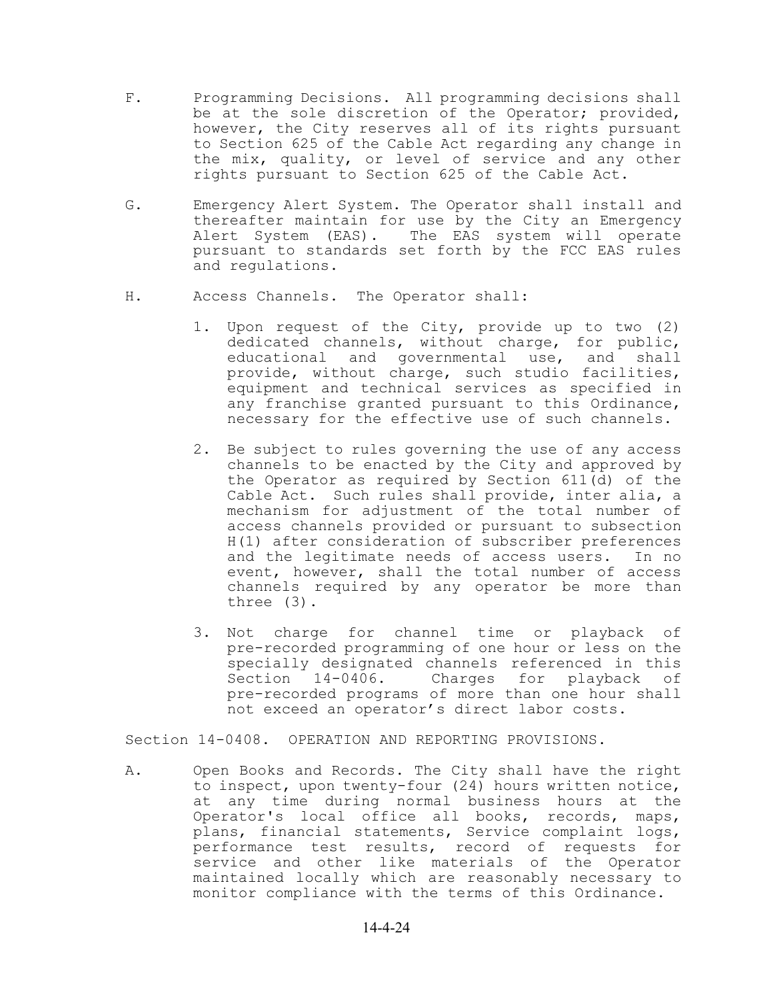- F. Programming Decisions. All programming decisions shall be at the sole discretion of the Operator; provided, however, the City reserves all of its rights pursuant to Section 625 of the Cable Act regarding any change in the mix, quality, or level of service and any other rights pursuant to Section 625 of the Cable Act.
- G. Emergency Alert System. The Operator shall install and thereafter maintain for use by the City an Emergency Alert System (EAS). The EAS system will operate pursuant to standards set forth by the FCC EAS rules and regulations.
- H. Access Channels. The Operator shall:
	- 1. Upon request of the City, provide up to two (2) dedicated channels, without charge, for public, educational and governmental use, and shall provide, without charge, such studio facilities, equipment and technical services as specified in any franchise granted pursuant to this Ordinance, necessary for the effective use of such channels.
	- 2. Be subject to rules governing the use of any access channels to be enacted by the City and approved by the Operator as required by Section 611(d) of the Cable Act. Such rules shall provide, inter alia, a mechanism for adjustment of the total number of access channels provided or pursuant to subsection H(1) after consideration of subscriber preferences and the legitimate needs of access users. In no event, however, shall the total number of access channels required by any operator be more than three (3).
	- 3. Not charge for channel time or playback of pre-recorded programming of one hour or less on the specially designated channels referenced in this Section 14-0406. Charges for playback of pre-recorded programs of more than one hour shall not exceed an operator's direct labor costs.

Section 14-0408. OPERATION AND REPORTING PROVISIONS.

A. Open Books and Records. The City shall have the right to inspect, upon twenty-four (24) hours written notice, at any time during normal business hours at the Operator's local office all books, records, maps, plans, financial statements, Service complaint logs, performance test results, record of requests for service and other like materials of the Operator maintained locally which are reasonably necessary to monitor compliance with the terms of this Ordinance.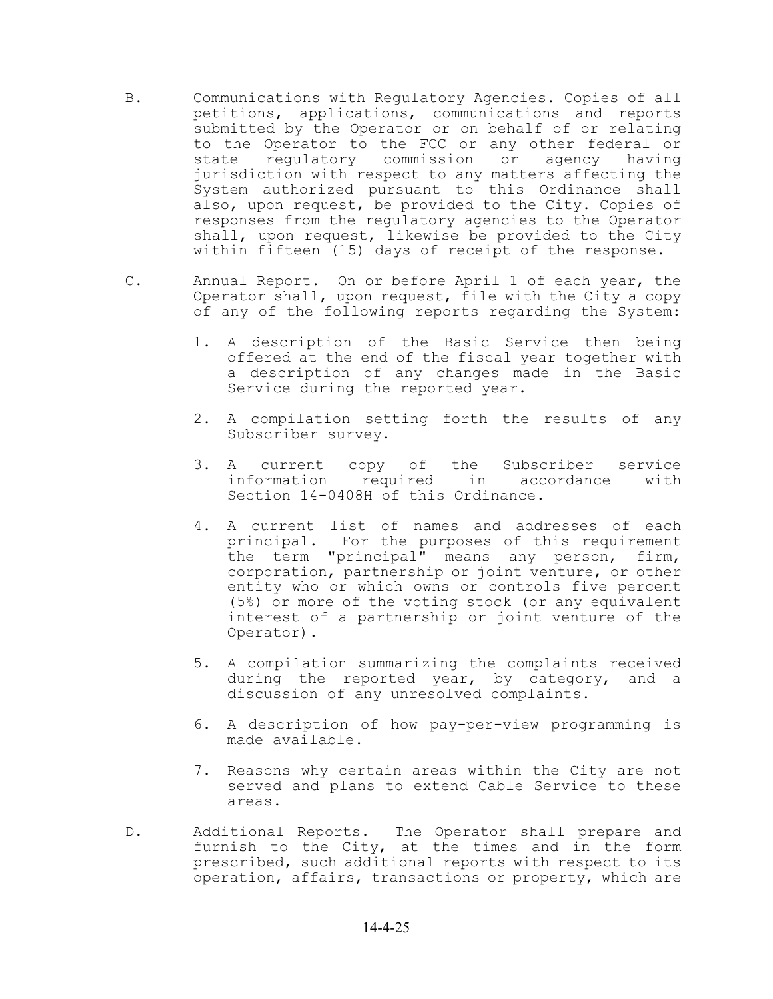- B. Communications with Regulatory Agencies. Copies of all petitions, applications, communications and reports submitted by the Operator or on behalf of or relating to the Operator to the FCC or any other federal or state regulatory commission or agency having jurisdiction with respect to any matters affecting the System authorized pursuant to this Ordinance shall also, upon request, be provided to the City. Copies of responses from the regulatory agencies to the Operator shall, upon request, likewise be provided to the City within fifteen (15) days of receipt of the response.
- C. Annual Report. On or before April 1 of each year, the Operator shall, upon request, file with the City a copy of any of the following reports regarding the System:
	- 1. A description of the Basic Service then being offered at the end of the fiscal year together with a description of any changes made in the Basic Service during the reported year.
	- 2. A compilation setting forth the results of any Subscriber survey.
	- 3. A current copy of the Subscriber service information required in accordance with Section 14-0408H of this Ordinance.
	- 4. A current list of names and addresses of each principal. For the purposes of this requirement the term "principal" means any person, firm, corporation, partnership or joint venture, or other entity who or which owns or controls five percent (5%) or more of the voting stock (or any equivalent interest of a partnership or joint venture of the Operator).
	- 5. A compilation summarizing the complaints received during the reported year, by category, and a discussion of any unresolved complaints.
	- 6. A description of how pay-per-view programming is made available.
	- 7. Reasons why certain areas within the City are not served and plans to extend Cable Service to these areas.
- D. Additional Reports. The Operator shall prepare and furnish to the City, at the times and in the form prescribed, such additional reports with respect to its operation, affairs, transactions or property, which are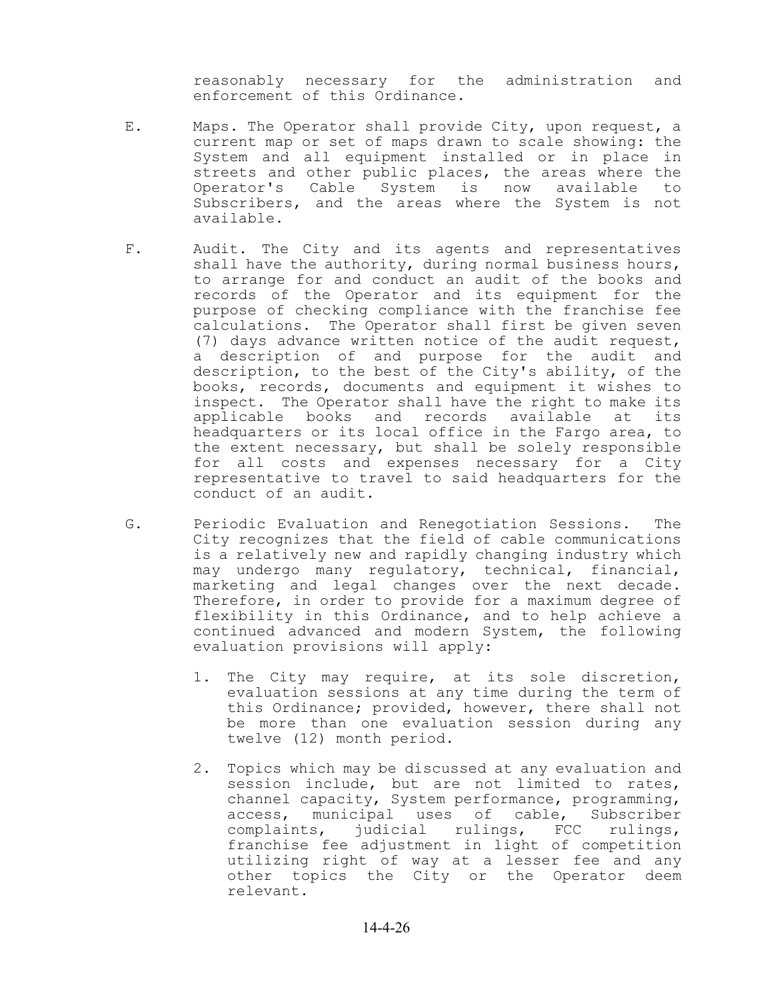reasonably necessary for the administration and enforcement of this Ordinance.

- E. Maps. The Operator shall provide City, upon request, a current map or set of maps drawn to scale showing: the System and all equipment installed or in place in streets and other public places, the areas where the Operator's Cable System is now available to Subscribers, and the areas where the System is not available.
- F. Audit. The City and its agents and representatives shall have the authority, during normal business hours, to arrange for and conduct an audit of the books and records of the Operator and its equipment for the purpose of checking compliance with the franchise fee calculations. The Operator shall first be given seven (7) days advance written notice of the audit request, a description of and purpose for the audit and description, to the best of the City's ability, of the books, records, documents and equipment it wishes to inspect. The Operator shall have the right to make its applicable books and records available at its headquarters or its local office in the Fargo area, to the extent necessary, but shall be solely responsible for all costs and expenses necessary for a City representative to travel to said headquarters for the conduct of an audit.
- G. Periodic Evaluation and Renegotiation Sessions. The City recognizes that the field of cable communications is a relatively new and rapidly changing industry which may undergo many regulatory, technical, financial, marketing and legal changes over the next decade. Therefore, in order to provide for a maximum degree of flexibility in this Ordinance, and to help achieve a continued advanced and modern System, the following evaluation provisions will apply:
	- 1. The City may require, at its sole discretion, evaluation sessions at any time during the term of this Ordinance; provided, however, there shall not be more than one evaluation session during any twelve (12) month period.
	- 2. Topics which may be discussed at any evaluation and session include, but are not limited to rates, channel capacity, System performance, programming, access, municipal uses of cable, Subscriber complaints, judicial rulings, FCC rulings, franchise fee adjustment in light of competition utilizing right of way at a lesser fee and any other topics the City or the Operator deem relevant.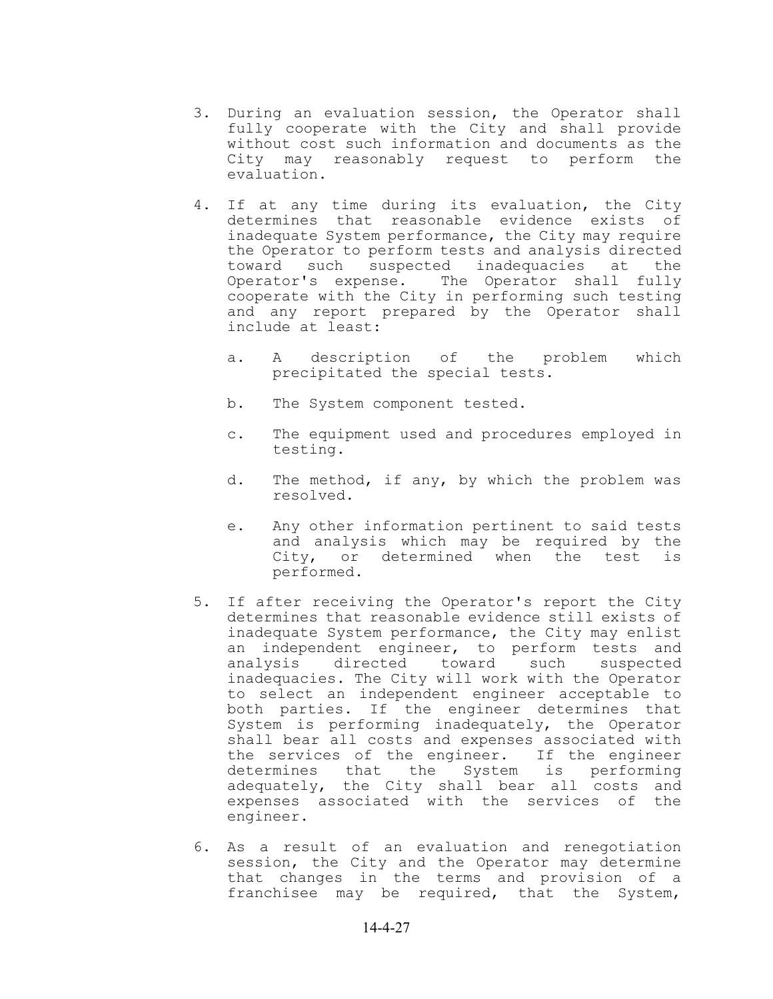- 3. During an evaluation session, the Operator shall fully cooperate with the City and shall provide without cost such information and documents as the City may reasonably request to perform the evaluation.
- 4. If at any time during its evaluation, the City determines that reasonable evidence exists of inadequate System performance, the City may require the Operator to perform tests and analysis directed toward such suspected inadequacies at the Operator's expense. The Operator shall fully cooperate with the City in performing such testing and any report prepared by the Operator shall include at least:
	- a. A description of the problem which precipitated the special tests.
	- b. The System component tested.
	- c. The equipment used and procedures employed in testing.
	- d. The method, if any, by which the problem was resolved.
	- e. Any other information pertinent to said tests and analysis which may be required by the City, or determined when the test is performed.
- 5. If after receiving the Operator's report the City determines that reasonable evidence still exists of inadequate System performance, the City may enlist an independent engineer, to perform tests and analysis directed toward such suspected inadequacies. The City will work with the Operator to select an independent engineer acceptable to both parties. If the engineer determines that System is performing inadequately, the Operator shall bear all costs and expenses associated with the services of the engineer. If the engineer determines that the System is performing adequately, the City shall bear all costs and expenses associated with the services of the engineer.
- 6. As a result of an evaluation and renegotiation session, the City and the Operator may determine that changes in the terms and provision of a franchisee may be required, that the System,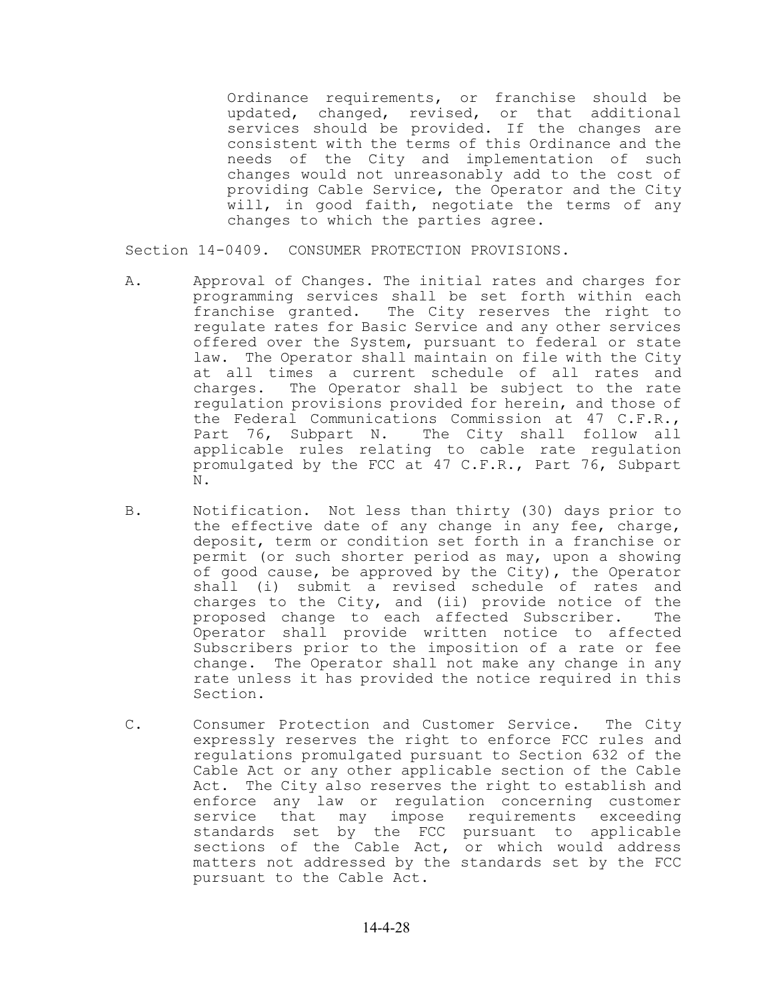Ordinance requirements, or franchise should be updated, changed, revised, or that additional services should be provided. If the changes are consistent with the terms of this Ordinance and the needs of the City and implementation of such changes would not unreasonably add to the cost of providing Cable Service, the Operator and the City will, in good faith, negotiate the terms of any changes to which the parties agree.

Section 14-0409. CONSUMER PROTECTION PROVISIONS.

- A. Approval of Changes. The initial rates and charges for programming services shall be set forth within each franchise granted. The City reserves the right to regulate rates for Basic Service and any other services offered over the System, pursuant to federal or state law. The Operator shall maintain on file with the City at all times a current schedule of all rates and charges. The Operator shall be subject to the rate regulation provisions provided for herein, and those of the Federal Communications Commission at 47 C.F.R., Part 76, Subpart N. The City shall follow all applicable rules relating to cable rate regulation promulgated by the FCC at 47 C.F.R., Part 76, Subpart N.
- B. Notification. Not less than thirty (30) days prior to the effective date of any change in any fee, charge, deposit, term or condition set forth in a franchise or permit (or such shorter period as may, upon a showing of good cause, be approved by the City), the Operator shall (i) submit a revised schedule of rates and charges to the City, and (ii) provide notice of the proposed change to each affected Subscriber. The Operator shall provide written notice to affected Subscribers prior to the imposition of a rate or fee change. The Operator shall not make any change in any rate unless it has provided the notice required in this Section.
- C. Consumer Protection and Customer Service. The City expressly reserves the right to enforce FCC rules and regulations promulgated pursuant to Section 632 of the Cable Act or any other applicable section of the Cable Act. The City also reserves the right to establish and enforce any law or regulation concerning customer service that may impose requirements exceeding standards set by the FCC pursuant to applicable sections of the Cable Act, or which would address matters not addressed by the standards set by the FCC pursuant to the Cable Act.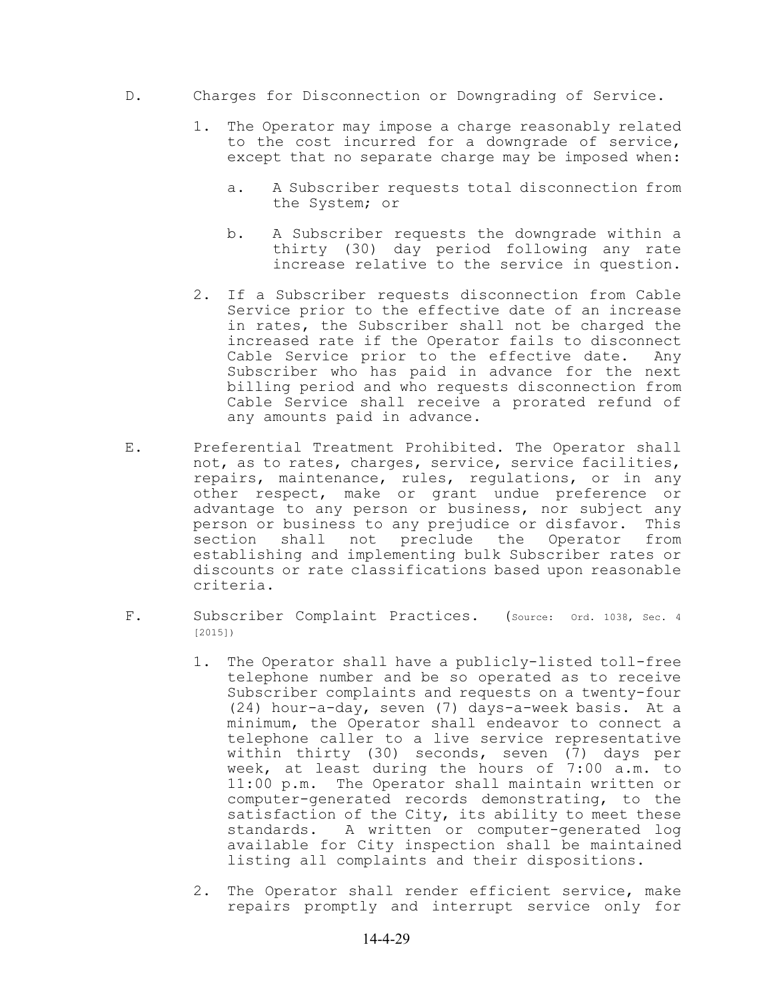- D. Charges for Disconnection or Downgrading of Service.
	- 1. The Operator may impose a charge reasonably related to the cost incurred for a downgrade of service, except that no separate charge may be imposed when:
		- a. A Subscriber requests total disconnection from the System; or
		- b. A Subscriber requests the downgrade within a thirty (30) day period following any rate increase relative to the service in question.
	- 2. If a Subscriber requests disconnection from Cable Service prior to the effective date of an increase in rates, the Subscriber shall not be charged the increased rate if the Operator fails to disconnect Cable Service prior to the effective date. Any Subscriber who has paid in advance for the next billing period and who requests disconnection from Cable Service shall receive a prorated refund of any amounts paid in advance.
- E. Preferential Treatment Prohibited. The Operator shall not, as to rates, charges, service, service facilities, repairs, maintenance, rules, regulations, or in any other respect, make or grant undue preference or advantage to any person or business, nor subject any person or business to any prejudice or disfavor. This section shall not preclude the Operator from establishing and implementing bulk Subscriber rates or discounts or rate classifications based upon reasonable criteria.
- F. Subscriber Complaint Practices. (Source: Ord. 1038, Sec. 4 [2015])
	- 1. The Operator shall have a publicly-listed toll-free telephone number and be so operated as to receive Subscriber complaints and requests on a twenty-four (24) hour-a-day, seven (7) days-a-week basis. At a minimum, the Operator shall endeavor to connect a telephone caller to a live service representative within thirty (30) seconds, seven (7) days per week, at least during the hours of 7:00 a.m. to 11:00 p.m. The Operator shall maintain written or computer-generated records demonstrating, to the satisfaction of the City, its ability to meet these standards. A written or computer-generated log available for City inspection shall be maintained listing all complaints and their dispositions.
	- 2. The Operator shall render efficient service, make repairs promptly and interrupt service only for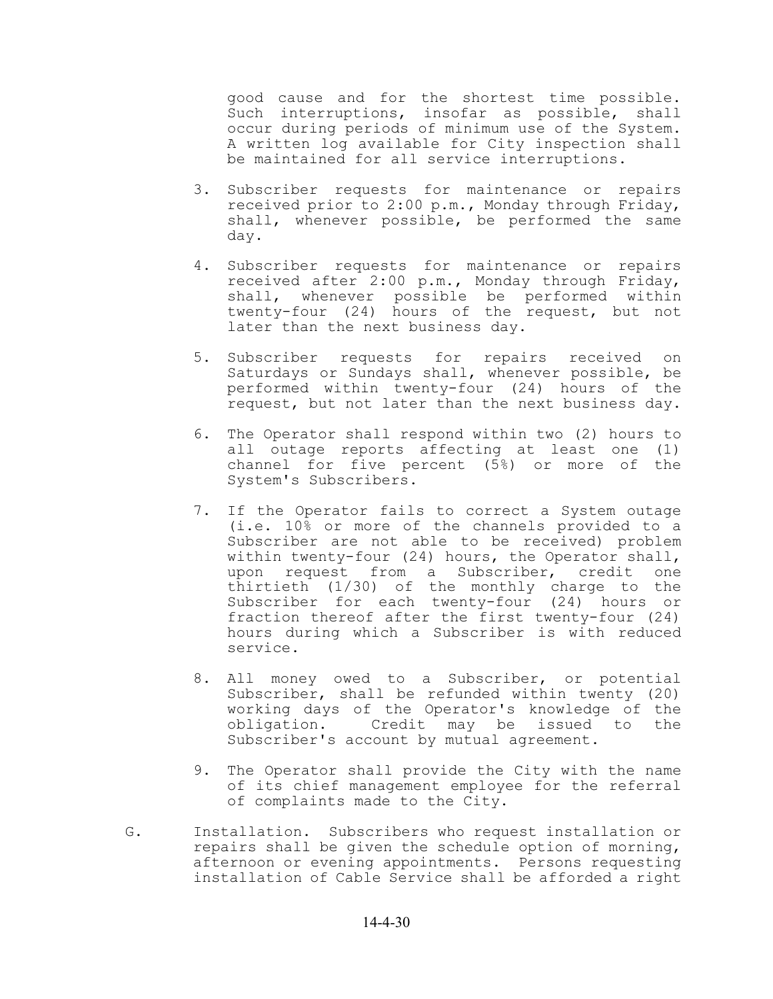good cause and for the shortest time possible. Such interruptions, insofar as possible, shall occur during periods of minimum use of the System. A written log available for City inspection shall be maintained for all service interruptions.

- 3. Subscriber requests for maintenance or repairs received prior to 2:00 p.m., Monday through Friday, shall, whenever possible, be performed the same day.
- 4. Subscriber requests for maintenance or repairs received after 2:00 p.m., Monday through Friday, shall, whenever possible be performed within twenty-four (24) hours of the request, but not later than the next business day.
- 5. Subscriber requests for repairs received on Saturdays or Sundays shall, whenever possible, be performed within twenty-four (24) hours of the request, but not later than the next business day.
- 6. The Operator shall respond within two (2) hours to all outage reports affecting at least one (1) channel for five percent (5%) or more of the System's Subscribers.
- 7. If the Operator fails to correct a System outage (i.e. 10% or more of the channels provided to a Subscriber are not able to be received) problem within twenty-four (24) hours, the Operator shall, upon request from a Subscriber, credit one thirtieth (1/30) of the monthly charge to the Subscriber for each twenty-four (24) hours or fraction thereof after the first twenty-four (24) hours during which a Subscriber is with reduced service.
- 8. All money owed to a Subscriber, or potential Subscriber, shall be refunded within twenty (20) working days of the Operator's knowledge of the obligation. Credit may be issued to the Subscriber's account by mutual agreement.
- 9. The Operator shall provide the City with the name of its chief management employee for the referral of complaints made to the City.
- G. Installation. Subscribers who request installation or repairs shall be given the schedule option of morning, afternoon or evening appointments. Persons requesting installation of Cable Service shall be afforded a right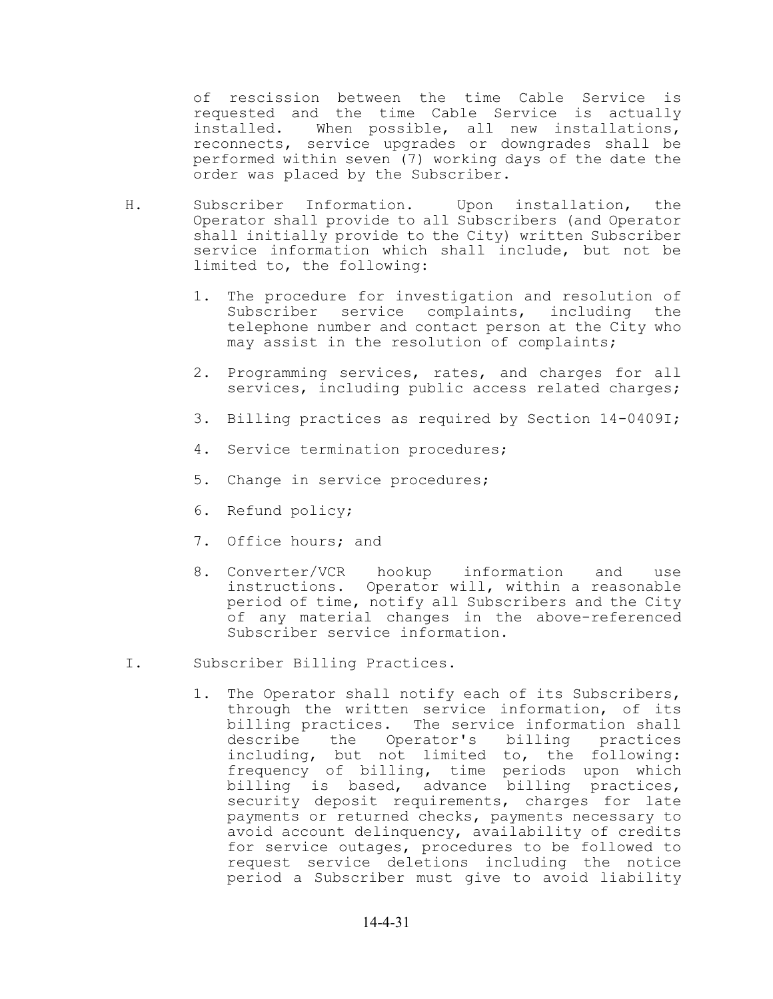of rescission between the time Cable Service is requested and the time Cable Service is actually<br>installed. When possible, all new installations, When possible, all new installations, reconnects, service upgrades or downgrades shall be performed within seven (7) working days of the date the order was placed by the Subscriber.

- H. Subscriber Information. Upon installation, the Operator shall provide to all Subscribers (and Operator shall initially provide to the City) written Subscriber service information which shall include, but not be limited to, the following:
	- 1. The procedure for investigation and resolution of Subscriber service complaints, including the telephone number and contact person at the City who may assist in the resolution of complaints;
	- 2. Programming services, rates, and charges for all services, including public access related charges;
	- 3. Billing practices as required by Section 14-0409I;
	- 4. Service termination procedures;
	- 5. Change in service procedures;
	- 6. Refund policy;
	- 7. Office hours; and
	- 8. Converter/VCR hookup information and use instructions. Operator will, within a reasonable period of time, notify all Subscribers and the City of any material changes in the above-referenced Subscriber service information.
- I. Subscriber Billing Practices.
	- 1. The Operator shall notify each of its Subscribers, through the written service information, of its billing practices. The service information shall describe the Operator's billing practices including, but not limited to, the following: frequency of billing, time periods upon which billing is based, advance billing practices, security deposit requirements, charges for late payments or returned checks, payments necessary to avoid account delinquency, availability of credits for service outages, procedures to be followed to request service deletions including the notice period a Subscriber must give to avoid liability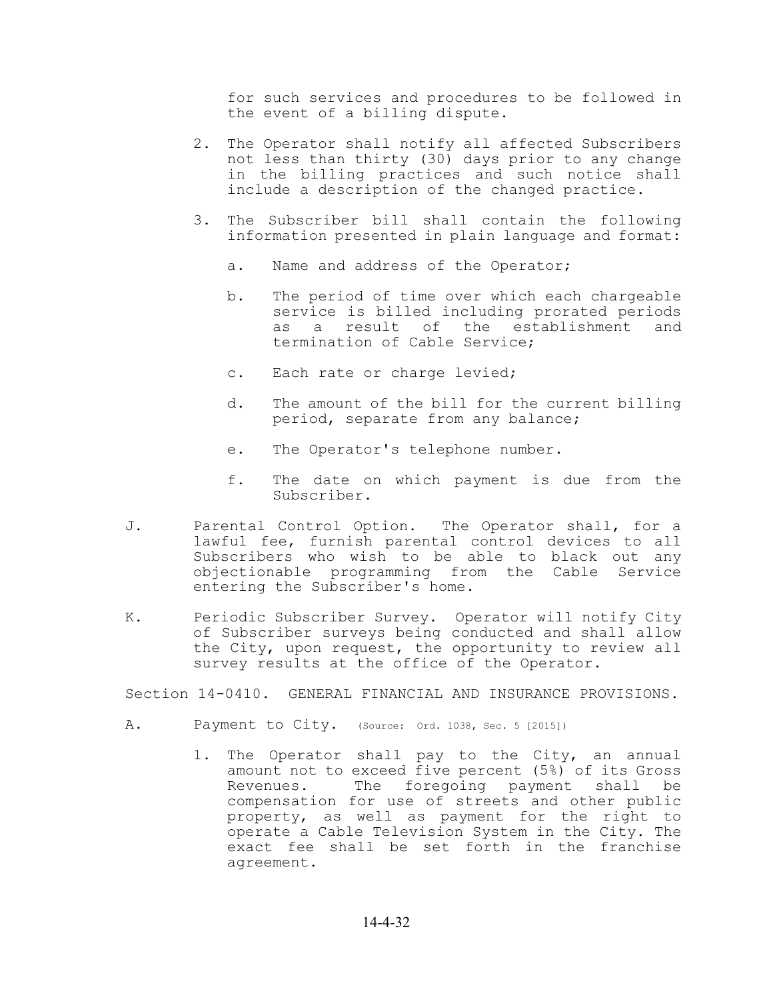for such services and procedures to be followed in the event of a billing dispute.

- 2. The Operator shall notify all affected Subscribers not less than thirty (30) days prior to any change in the billing practices and such notice shall include a description of the changed practice.
- 3. The Subscriber bill shall contain the following information presented in plain language and format:
	- a. Name and address of the Operator;
	- b. The period of time over which each chargeable service is billed including prorated periods as a result of the establishment and termination of Cable Service;
	- c. Each rate or charge levied;
	- d. The amount of the bill for the current billing period, separate from any balance;
	- e. The Operator's telephone number.
	- f. The date on which payment is due from the Subscriber.
- J. Parental Control Option. The Operator shall, for a lawful fee, furnish parental control devices to all Subscribers who wish to be able to black out any objectionable programming from the Cable Service entering the Subscriber's home.
- K. Periodic Subscriber Survey. Operator will notify City of Subscriber surveys being conducted and shall allow the City, upon request, the opportunity to review all survey results at the office of the Operator.

Section 14-0410. GENERAL FINANCIAL AND INSURANCE PROVISIONS.

- A. Payment to City. (Source: Ord. 1038, Sec. 5 [2015])
	- 1. The Operator shall pay to the City, an annual amount not to exceed five percent (5%) of its Gross Revenues. The foregoing payment shall be compensation for use of streets and other public property, as well as payment for the right to operate a Cable Television System in the City. The exact fee shall be set forth in the franchise agreement.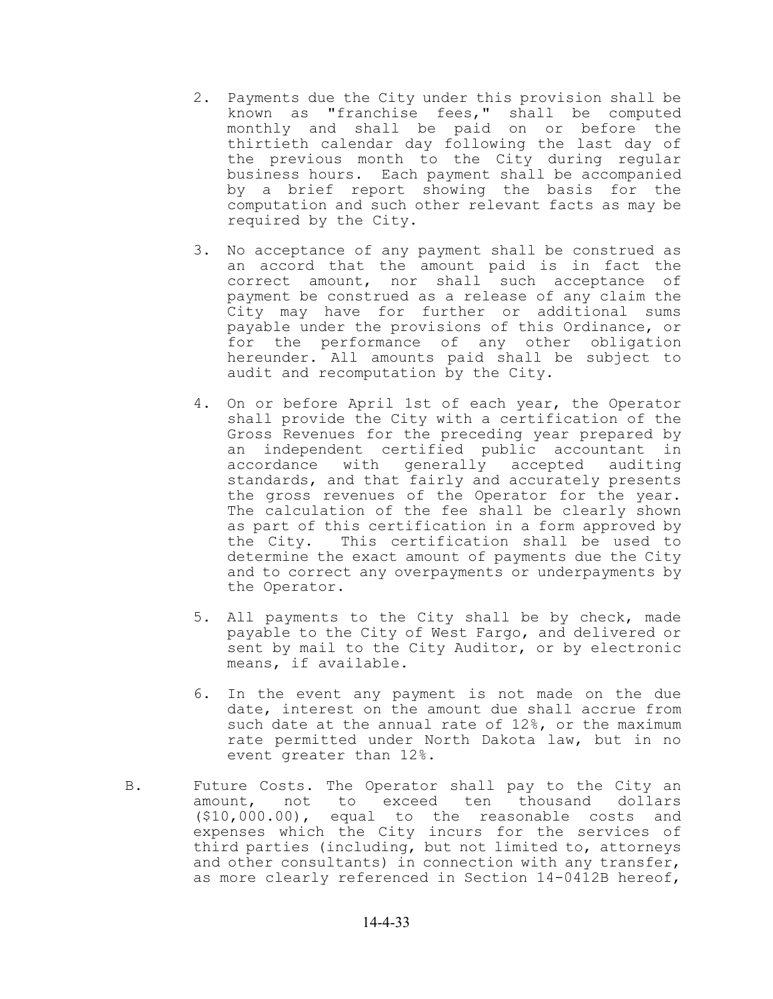- 2. Payments due the City under this provision shall be known as "franchise fees," shall be computed monthly and shall be paid on or before the thirtieth calendar day following the last day of the previous month to the City during regular business hours. Each payment shall be accompanied by a brief report showing the basis for the computation and such other relevant facts as may be required by the City.
- 3. No acceptance of any payment shall be construed as an accord that the amount paid is in fact the correct amount, nor shall such acceptance of payment be construed as a release of any claim the City may have for further or additional sums payable under the provisions of this Ordinance, or for the performance of any other obligation hereunder. All amounts paid shall be subject to audit and recomputation by the City.
- 4. On or before April 1st of each year, the Operator shall provide the City with a certification of the Gross Revenues for the preceding year prepared by an independent certified public accountant in accordance with generally accepted auditing standards, and that fairly and accurately presents the gross revenues of the Operator for the year. The calculation of the fee shall be clearly shown as part of this certification in a form approved by the City. This certification shall be used to determine the exact amount of payments due the City and to correct any overpayments or underpayments by the Operator.
- 5. All payments to the City shall be by check, made payable to the City of West Fargo, and delivered or sent by mail to the City Auditor, or by electronic means, if available.
- 6. In the event any payment is not made on the due date, interest on the amount due shall accrue from such date at the annual rate of 12%, or the maximum rate permitted under North Dakota law, but in no event greater than 12%.
- B. Future Costs. The Operator shall pay to the City an amount, not to exceed ten thousand dollars (\$10,000.00), equal to the reasonable costs and expenses which the City incurs for the services of third parties (including, but not limited to, attorneys and other consultants) in connection with any transfer, as more clearly referenced in Section 14-0412B hereof,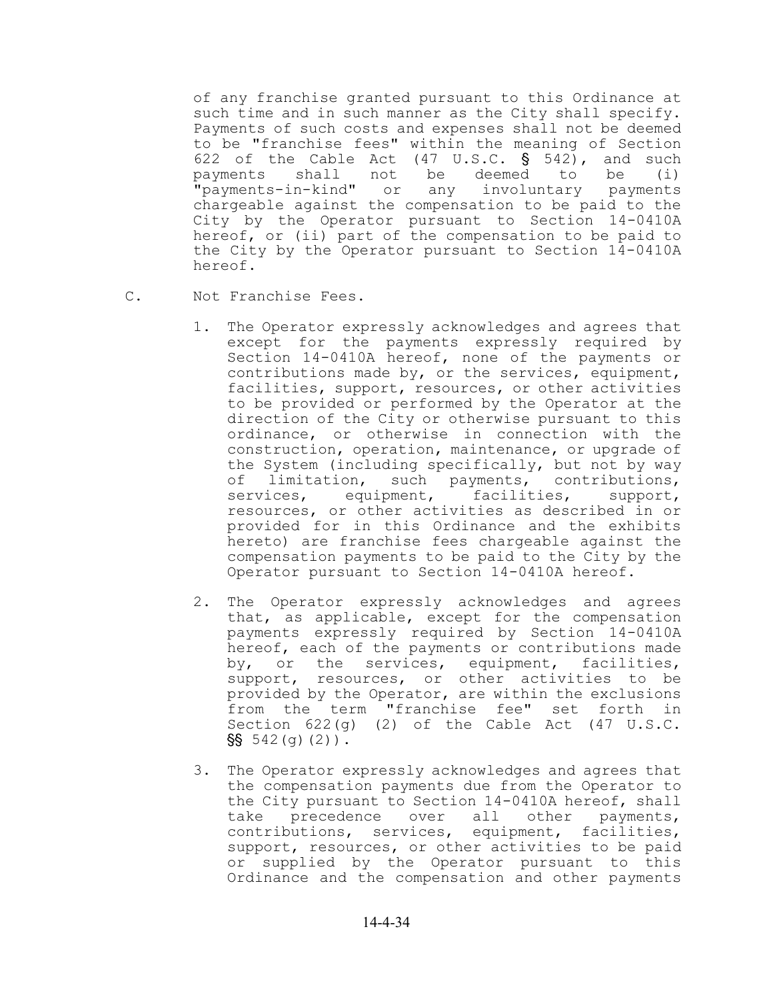of any franchise granted pursuant to this Ordinance at such time and in such manner as the City shall specify. Payments of such costs and expenses shall not be deemed to be "franchise fees" within the meaning of Section 622 of the Cable Act  $(47 \text{ U.S.C. } \S$  542), and such payments shall not be deemed to be (i) "payments-in-kind" or any involuntary payments chargeable against the compensation to be paid to the City by the Operator pursuant to Section 14-0410A hereof, or (ii) part of the compensation to be paid to the City by the Operator pursuant to Section 14-0410A hereof.

- 
- C. Not Franchise Fees.
	- 1. The Operator expressly acknowledges and agrees that except for the payments expressly required by Section 14-0410A hereof, none of the payments or contributions made by, or the services, equipment, facilities, support, resources, or other activities to be provided or performed by the Operator at the direction of the City or otherwise pursuant to this ordinance, or otherwise in connection with the construction, operation, maintenance, or upgrade of the System (including specifically, but not by way of limitation, such payments, contributions, services, equipment, facilities, support, resources, or other activities as described in or provided for in this Ordinance and the exhibits hereto) are franchise fees chargeable against the compensation payments to be paid to the City by the Operator pursuant to Section 14-0410A hereof.
	- 2. The Operator expressly acknowledges and agrees that, as applicable, except for the compensation payments expressly required by Section 14-0410A hereof, each of the payments or contributions made by, or the services, equipment, facilities, support, resources, or other activities to be provided by the Operator, are within the exclusions from the term "franchise fee" set forth in Section 622(g) (2) of the Cable Act (47 U.S.C.  $\$  542(g)(2)).
	- 3. The Operator expressly acknowledges and agrees that the compensation payments due from the Operator to the City pursuant to Section 14-0410A hereof, shall take precedence over all other payments, contributions, services, equipment, facilities, support, resources, or other activities to be paid or supplied by the Operator pursuant to this Ordinance and the compensation and other payments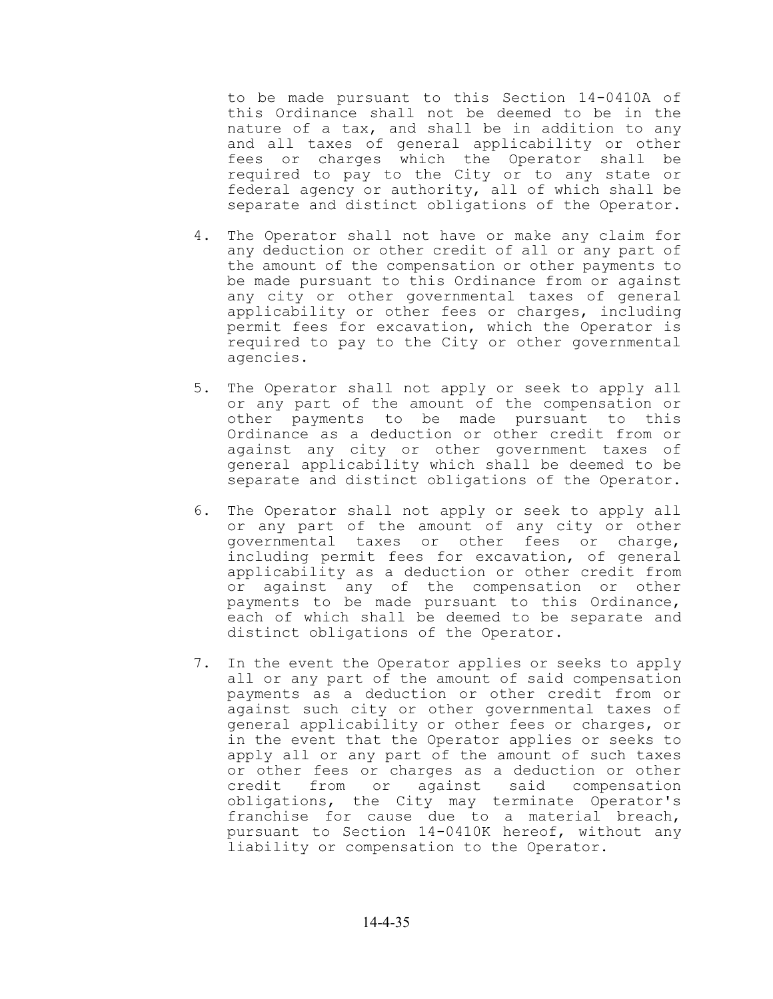to be made pursuant to this Section 14-0410A of this Ordinance shall not be deemed to be in the nature of a tax, and shall be in addition to any and all taxes of general applicability or other fees or charges which the Operator shall be required to pay to the City or to any state or federal agency or authority, all of which shall be separate and distinct obligations of the Operator.

- 4. The Operator shall not have or make any claim for any deduction or other credit of all or any part of the amount of the compensation or other payments to be made pursuant to this Ordinance from or against any city or other governmental taxes of general applicability or other fees or charges, including permit fees for excavation, which the Operator is required to pay to the City or other governmental agencies.
- 5. The Operator shall not apply or seek to apply all or any part of the amount of the compensation or other payments to be made pursuant to this Ordinance as a deduction or other credit from or against any city or other government taxes of general applicability which shall be deemed to be separate and distinct obligations of the Operator.
- 6. The Operator shall not apply or seek to apply all or any part of the amount of any city or other governmental taxes or other fees or charge, including permit fees for excavation, of general applicability as a deduction or other credit from or against any of the compensation or other payments to be made pursuant to this Ordinance, each of which shall be deemed to be separate and distinct obligations of the Operator.
- 7. In the event the Operator applies or seeks to apply all or any part of the amount of said compensation payments as a deduction or other credit from or against such city or other governmental taxes of general applicability or other fees or charges, or in the event that the Operator applies or seeks to apply all or any part of the amount of such taxes or other fees or charges as a deduction or other credit from or against said compensation obligations, the City may terminate Operator's franchise for cause due to a material breach, pursuant to Section 14-0410K hereof, without any liability or compensation to the Operator.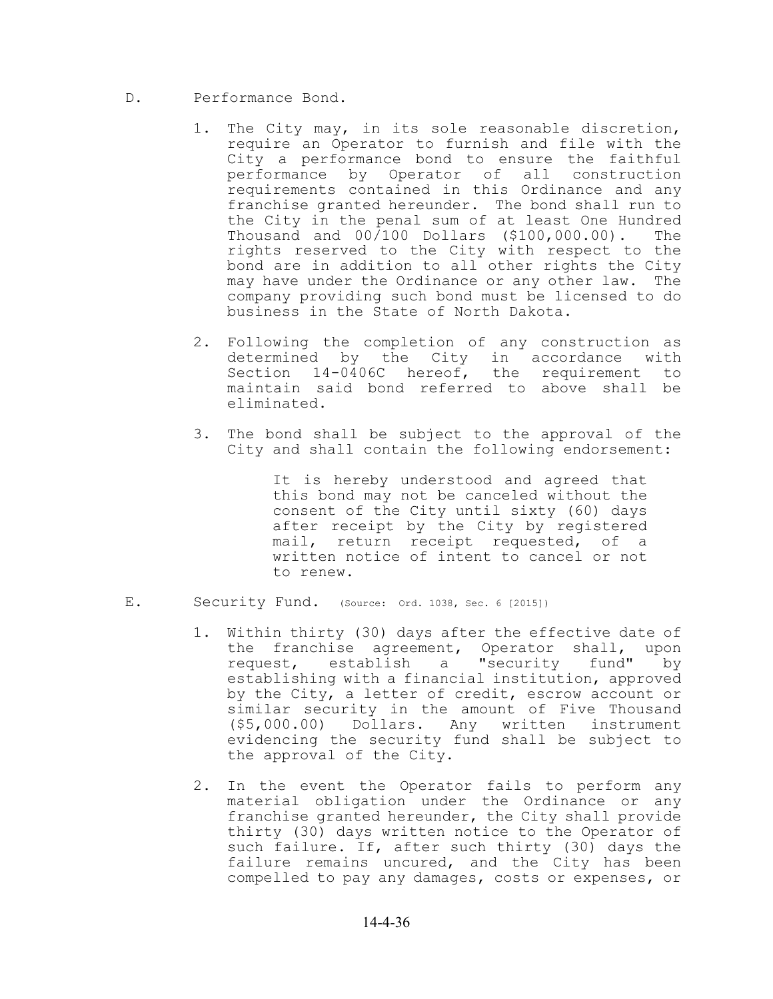- D. Performance Bond.
	- 1. The City may, in its sole reasonable discretion, require an Operator to furnish and file with the City a performance bond to ensure the faithful performance by Operator of all construction requirements contained in this Ordinance and any franchise granted hereunder. The bond shall run to the City in the penal sum of at least One Hundred Thousand and 00/100 Dollars (\$100,000.00). The rights reserved to the City with respect to the bond are in addition to all other rights the City may have under the Ordinance or any other law. The company providing such bond must be licensed to do business in the State of North Dakota.
	- 2. Following the completion of any construction as determined by the City in accordance with Section 14-0406C hereof, the requirement to maintain said bond referred to above shall be eliminated.
	- 3. The bond shall be subject to the approval of the City and shall contain the following endorsement:

It is hereby understood and agreed that this bond may not be canceled without the consent of the City until sixty (60) days after receipt by the City by registered mail, return receipt requested, of a written notice of intent to cancel or not to renew.

- E. Security Fund. (Source: Ord. 1038, Sec. 6 [2015])
	- 1. Within thirty (30) days after the effective date of the franchise agreement, Operator shall, upon request, establish a "security fund" by establishing with a financial institution, approved by the City, a letter of credit, escrow account or similar security in the amount of Five Thousand (\$5,000.00) Dollars. Any written instrument evidencing the security fund shall be subject to the approval of the City.
	- 2. In the event the Operator fails to perform any material obligation under the Ordinance or any franchise granted hereunder, the City shall provide thirty (30) days written notice to the Operator of such failure. If, after such thirty (30) days the failure remains uncured, and the City has been compelled to pay any damages, costs or expenses, or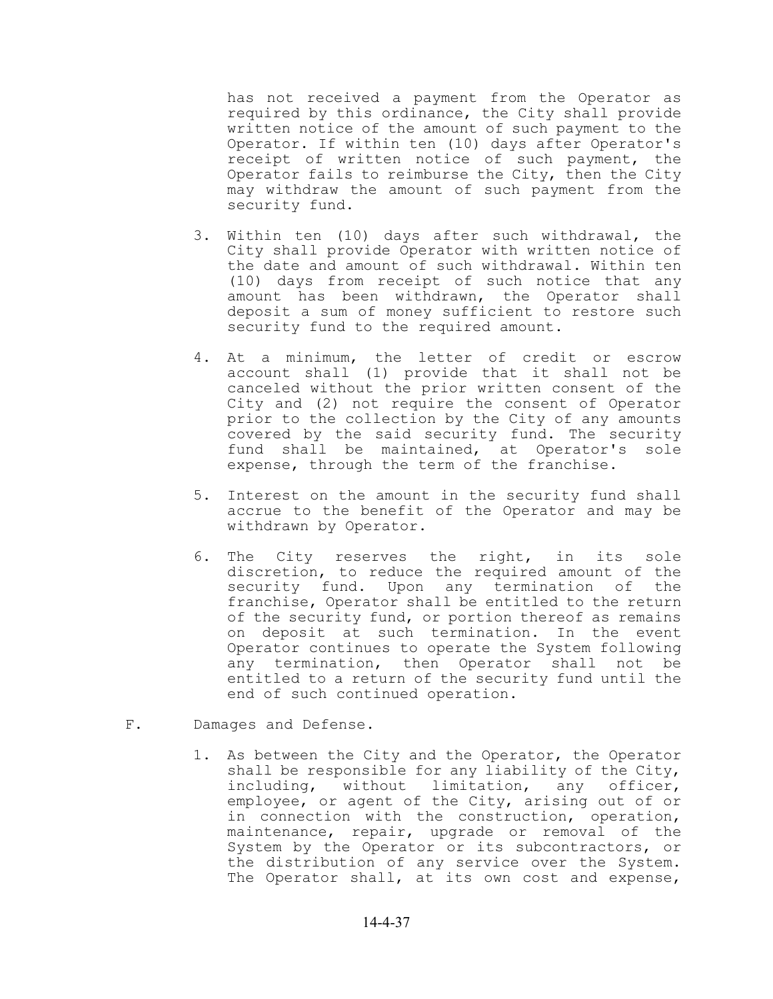has not received a payment from the Operator as required by this ordinance, the City shall provide written notice of the amount of such payment to the Operator. If within ten (10) days after Operator's receipt of written notice of such payment, the Operator fails to reimburse the City, then the City may withdraw the amount of such payment from the security fund.

- 3. Within ten (10) days after such withdrawal, the City shall provide Operator with written notice of the date and amount of such withdrawal. Within ten (10) days from receipt of such notice that any amount has been withdrawn, the Operator shall deposit a sum of money sufficient to restore such security fund to the required amount.
- 4. At a minimum, the letter of credit or escrow account shall (1) provide that it shall not be canceled without the prior written consent of the City and (2) not require the consent of Operator prior to the collection by the City of any amounts covered by the said security fund. The security fund shall be maintained, at Operator's sole expense, through the term of the franchise.
- 5. Interest on the amount in the security fund shall accrue to the benefit of the Operator and may be withdrawn by Operator.
- 6. The City reserves the right, in its sole discretion, to reduce the required amount of the security fund. Upon any termination of the franchise, Operator shall be entitled to the return of the security fund, or portion thereof as remains on deposit at such termination. In the event Operator continues to operate the System following any termination, then Operator shall not be entitled to a return of the security fund until the end of such continued operation.
- F. Damages and Defense.
	- 1. As between the City and the Operator, the Operator shall be responsible for any liability of the City, including, without limitation, any officer, employee, or agent of the City, arising out of or in connection with the construction, operation, maintenance, repair, upgrade or removal of the System by the Operator or its subcontractors, or the distribution of any service over the System. The Operator shall, at its own cost and expense,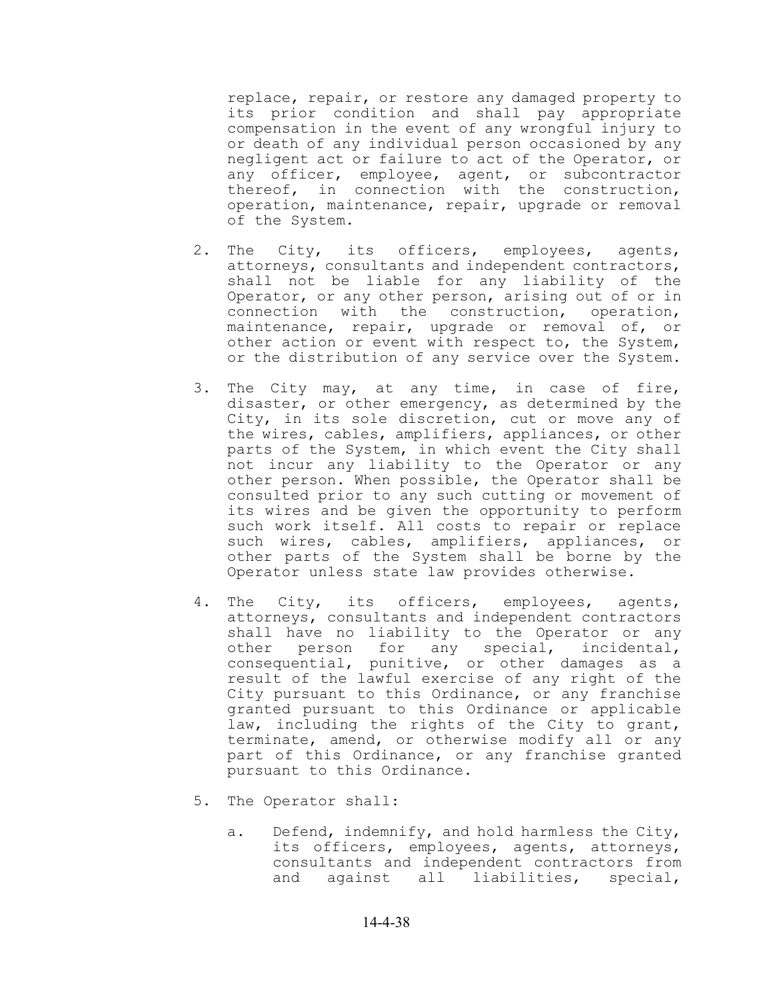replace, repair, or restore any damaged property to its prior condition and shall pay appropriate compensation in the event of any wrongful injury to or death of any individual person occasioned by any negligent act or failure to act of the Operator, or any officer, employee, agent, or subcontractor thereof, in connection with the construction, operation, maintenance, repair, upgrade or removal of the System.

- 2. The City, its officers, employees, agents, attorneys, consultants and independent contractors, shall not be liable for any liability of the Operator, or any other person, arising out of or in connection with the construction, operation, maintenance, repair, upgrade or removal of, or other action or event with respect to, the System, or the distribution of any service over the System.
- 3. The City may, at any time, in case of fire, disaster, or other emergency, as determined by the City, in its sole discretion, cut or move any of the wires, cables, amplifiers, appliances, or other parts of the System, in which event the City shall not incur any liability to the Operator or any other person. When possible, the Operator shall be consulted prior to any such cutting or movement of its wires and be given the opportunity to perform such work itself. All costs to repair or replace such wires, cables, amplifiers, appliances, or other parts of the System shall be borne by the Operator unless state law provides otherwise.
- 4. The City, its officers, employees, agents, attorneys, consultants and independent contractors shall have no liability to the Operator or any other person for any special, incidental, consequential, punitive, or other damages as a result of the lawful exercise of any right of the City pursuant to this Ordinance, or any franchise granted pursuant to this Ordinance or applicable law, including the rights of the City to grant, terminate, amend, or otherwise modify all or any part of this Ordinance, or any franchise granted pursuant to this Ordinance.
- 5. The Operator shall:
	- a. Defend, indemnify, and hold harmless the City, its officers, employees, agents, attorneys, consultants and independent contractors from and against all liabilities, special,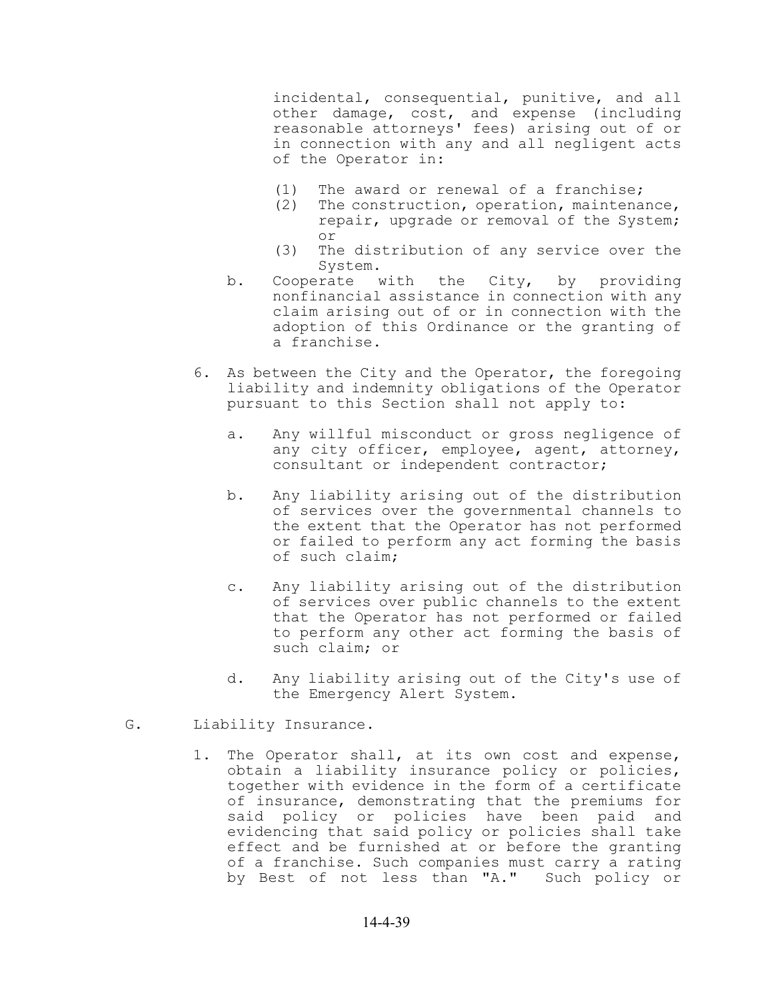incidental, consequential, punitive, and all other damage, cost, and expense (including reasonable attorneys' fees) arising out of or in connection with any and all negligent acts of the Operator in:

- (1) The award or renewal of a franchise;
- (2) The construction, operation, maintenance, repair, upgrade or removal of the System; or
- (3) The distribution of any service over the System.
- b. Cooperate with the City, by providing nonfinancial assistance in connection with any claim arising out of or in connection with the adoption of this Ordinance or the granting of a franchise.
- 6. As between the City and the Operator, the foregoing liability and indemnity obligations of the Operator pursuant to this Section shall not apply to:
	- a. Any willful misconduct or gross negligence of any city officer, employee, agent, attorney, consultant or independent contractor;
	- b. Any liability arising out of the distribution of services over the governmental channels to the extent that the Operator has not performed or failed to perform any act forming the basis of such claim;
	- c. Any liability arising out of the distribution of services over public channels to the extent that the Operator has not performed or failed to perform any other act forming the basis of such claim; or
	- d. Any liability arising out of the City's use of the Emergency Alert System.
- G. Liability Insurance.
	- 1. The Operator shall, at its own cost and expense, obtain a liability insurance policy or policies, together with evidence in the form of a certificate of insurance, demonstrating that the premiums for said policy or policies have been paid and evidencing that said policy or policies shall take effect and be furnished at or before the granting of a franchise. Such companies must carry a rating by Best of not less than "A." Such policy or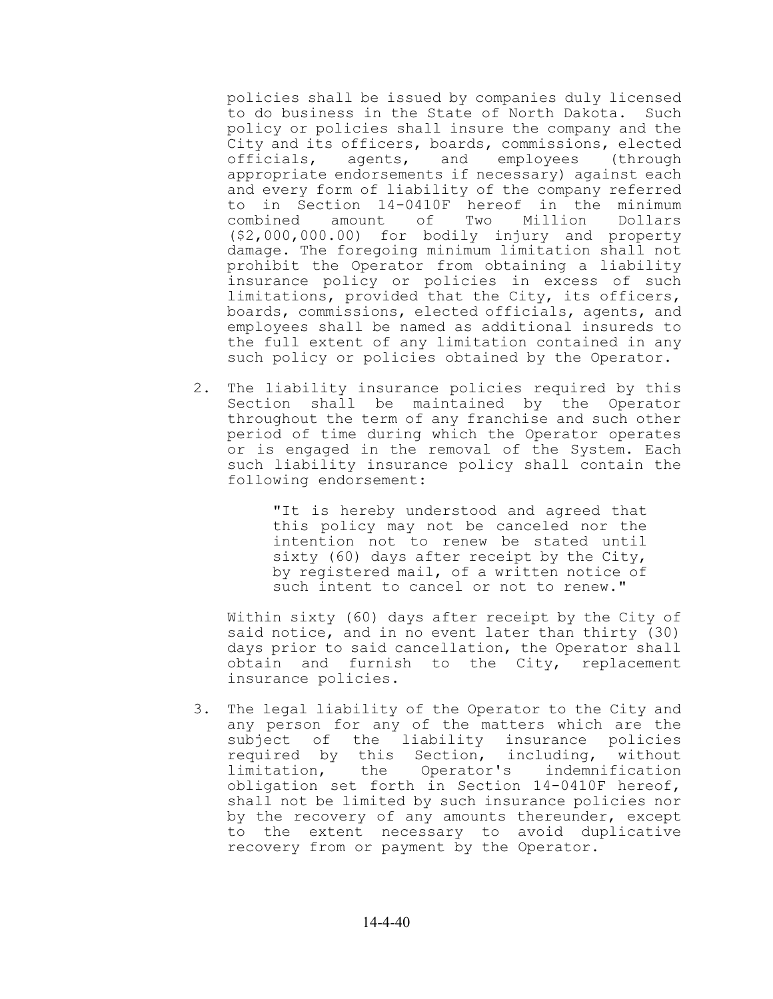policies shall be issued by companies duly licensed to do business in the State of North Dakota. Such policy or policies shall insure the company and the City and its officers, boards, commissions, elected officials, agents, and employees (through appropriate endorsements if necessary) against each and every form of liability of the company referred to in Section 14-0410F hereof in the minimum combined amount of Two Million Dollars (\$2,000,000.00) for bodily injury and property damage. The foregoing minimum limitation shall not prohibit the Operator from obtaining a liability insurance policy or policies in excess of such limitations, provided that the City, its officers, boards, commissions, elected officials, agents, and employees shall be named as additional insureds to the full extent of any limitation contained in any such policy or policies obtained by the Operator.

2. The liability insurance policies required by this Section shall be maintained by the Operator throughout the term of any franchise and such other period of time during which the Operator operates or is engaged in the removal of the System. Each such liability insurance policy shall contain the following endorsement:

> "It is hereby understood and agreed that this policy may not be canceled nor the intention not to renew be stated until sixty (60) days after receipt by the City, by registered mail, of a written notice of such intent to cancel or not to renew."

Within sixty (60) days after receipt by the City of said notice, and in no event later than thirty (30) days prior to said cancellation, the Operator shall obtain and furnish to the City, replacement insurance policies.

3. The legal liability of the Operator to the City and any person for any of the matters which are the subject of the liability insurance policies required by this Section, including, without<br>limitation, the Operator's indemnification limitation, the Operator's indemnification obligation set forth in Section 14-0410F hereof, shall not be limited by such insurance policies nor by the recovery of any amounts thereunder, except to the extent necessary to avoid duplicative recovery from or payment by the Operator.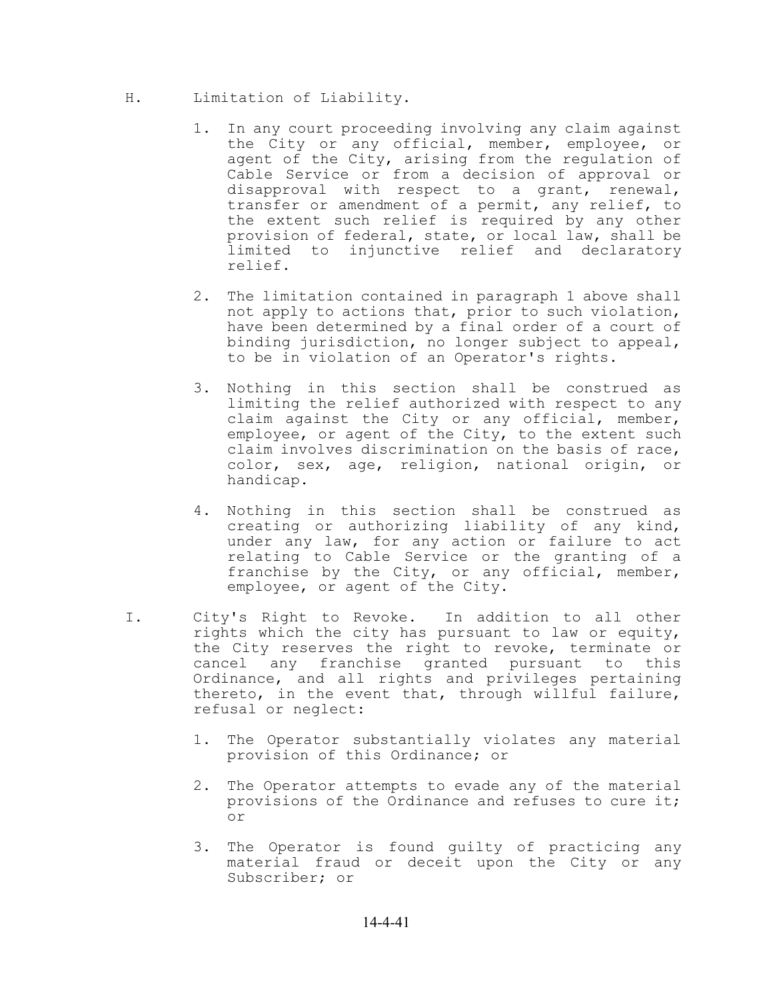- H. Limitation of Liability.
	- 1. In any court proceeding involving any claim against the City or any official, member, employee, or agent of the City, arising from the regulation of Cable Service or from a decision of approval or disapproval with respect to a grant, renewal, transfer or amendment of a permit, any relief, to the extent such relief is required by any other provision of federal, state, or local law, shall be limited to injunctive relief and declaratory relief.
	- 2. The limitation contained in paragraph 1 above shall not apply to actions that, prior to such violation, have been determined by a final order of a court of binding jurisdiction, no longer subject to appeal, to be in violation of an Operator's rights.
	- 3. Nothing in this section shall be construed as limiting the relief authorized with respect to any claim against the City or any official, member, employee, or agent of the City, to the extent such claim involves discrimination on the basis of race, color, sex, age, religion, national origin, or handicap.
	- 4. Nothing in this section shall be construed as creating or authorizing liability of any kind, under any law, for any action or failure to act relating to Cable Service or the granting of a franchise by the City, or any official, member, employee, or agent of the City.
- I. City's Right to Revoke. In addition to all other rights which the city has pursuant to law or equity, the City reserves the right to revoke, terminate or cancel any franchise granted pursuant to this Ordinance, and all rights and privileges pertaining thereto, in the event that, through willful failure, refusal or neglect:
	- 1. The Operator substantially violates any material provision of this Ordinance; or
	- 2. The Operator attempts to evade any of the material provisions of the Ordinance and refuses to cure it; or
	- 3. The Operator is found guilty of practicing any material fraud or deceit upon the City or any Subscriber; or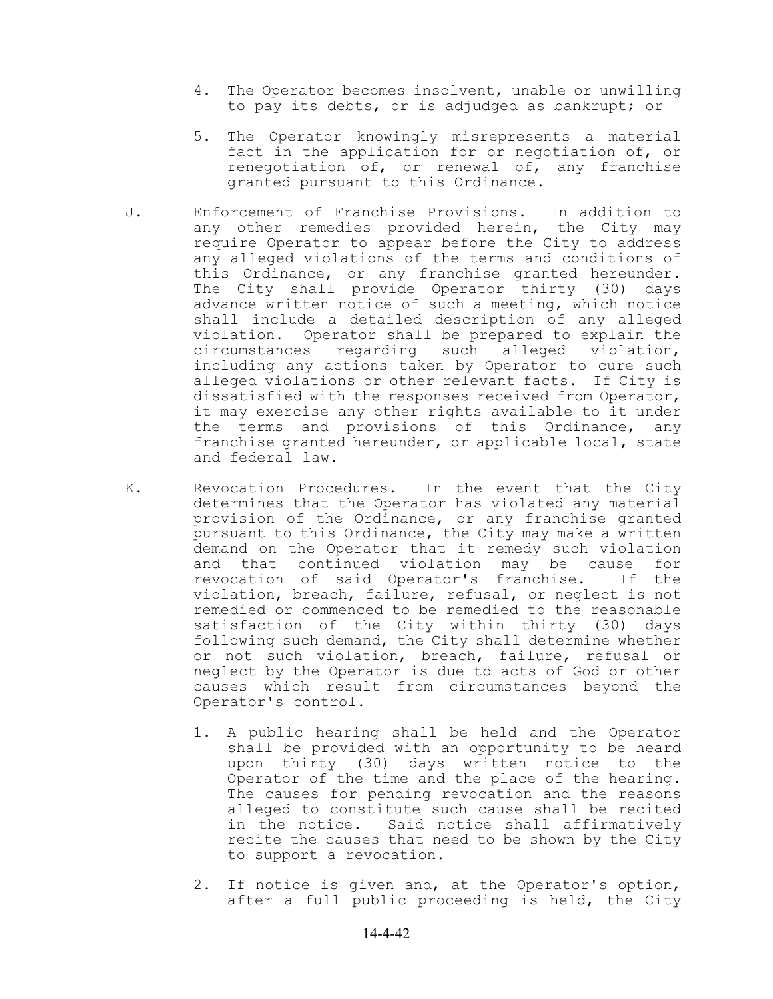- 4. The Operator becomes insolvent, unable or unwilling to pay its debts, or is adjudged as bankrupt; or
- 5. The Operator knowingly misrepresents a material fact in the application for or negotiation of, or renegotiation of, or renewal of, any franchise granted pursuant to this Ordinance.
- J. Enforcement of Franchise Provisions. In addition to any other remedies provided herein, the City may require Operator to appear before the City to address any alleged violations of the terms and conditions of this Ordinance, or any franchise granted hereunder. The City shall provide Operator thirty (30) days advance written notice of such a meeting, which notice shall include a detailed description of any alleged violation. Operator shall be prepared to explain the circumstances regarding such alleged violation, including any actions taken by Operator to cure such alleged violations or other relevant facts. If City is dissatisfied with the responses received from Operator, it may exercise any other rights available to it under the terms and provisions of this Ordinance, any franchise granted hereunder, or applicable local, state and federal law.
- K. Revocation Procedures. In the event that the City determines that the Operator has violated any material provision of the Ordinance, or any franchise granted pursuant to this Ordinance, the City may make a written demand on the Operator that it remedy such violation and that continued violation may be cause for<br>revocation of said Operator's franchise. If the revocation of said Operator's franchise. violation, breach, failure, refusal, or neglect is not remedied or commenced to be remedied to the reasonable satisfaction of the City within thirty (30) days following such demand, the City shall determine whether or not such violation, breach, failure, refusal or neglect by the Operator is due to acts of God or other causes which result from circumstances beyond the Operator's control.
	- 1. A public hearing shall be held and the Operator shall be provided with an opportunity to be heard upon thirty (30) days written notice to the Operator of the time and the place of the hearing. The causes for pending revocation and the reasons alleged to constitute such cause shall be recited in the notice. Said notice shall affirmatively recite the causes that need to be shown by the City to support a revocation.
	- 2. If notice is given and, at the Operator's option, after a full public proceeding is held, the City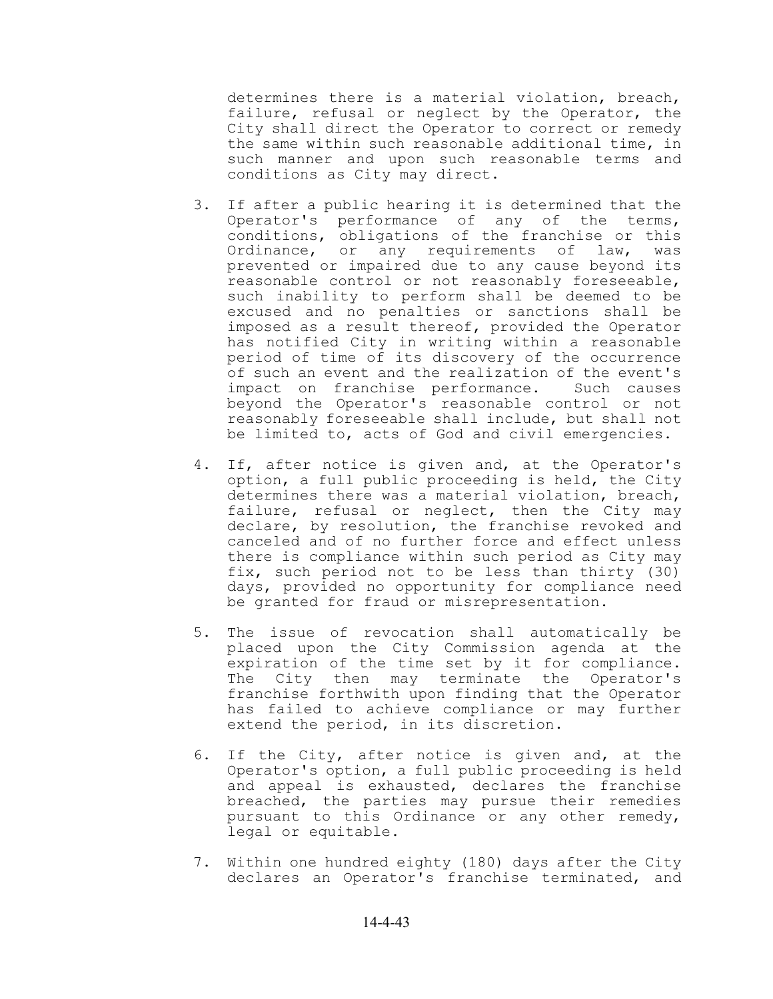determines there is a material violation, breach, failure, refusal or neglect by the Operator, the City shall direct the Operator to correct or remedy the same within such reasonable additional time, in such manner and upon such reasonable terms and conditions as City may direct.

- 3. If after a public hearing it is determined that the Operator's performance of any of the terms, conditions, obligations of the franchise or this Ordinance, or any requirements of law, was prevented or impaired due to any cause beyond its reasonable control or not reasonably foreseeable, such inability to perform shall be deemed to be excused and no penalties or sanctions shall be imposed as a result thereof, provided the Operator has notified City in writing within a reasonable period of time of its discovery of the occurrence of such an event and the realization of the event's impact on franchise performance. Such causes beyond the Operator's reasonable control or not reasonably foreseeable shall include, but shall not be limited to, acts of God and civil emergencies.
- 4. If, after notice is given and, at the Operator's option, a full public proceeding is held, the City determines there was a material violation, breach, failure, refusal or neglect, then the City may declare, by resolution, the franchise revoked and canceled and of no further force and effect unless there is compliance within such period as City may fix, such period not to be less than thirty (30) days, provided no opportunity for compliance need be granted for fraud or misrepresentation.
- 5. The issue of revocation shall automatically be placed upon the City Commission agenda at the expiration of the time set by it for compliance. The City then may terminate the Operator's franchise forthwith upon finding that the Operator has failed to achieve compliance or may further extend the period, in its discretion.
- 6. If the City, after notice is given and, at the Operator's option, a full public proceeding is held and appeal is exhausted, declares the franchise breached, the parties may pursue their remedies pursuant to this Ordinance or any other remedy, legal or equitable.
- 7. Within one hundred eighty (180) days after the City declares an Operator's franchise terminated, and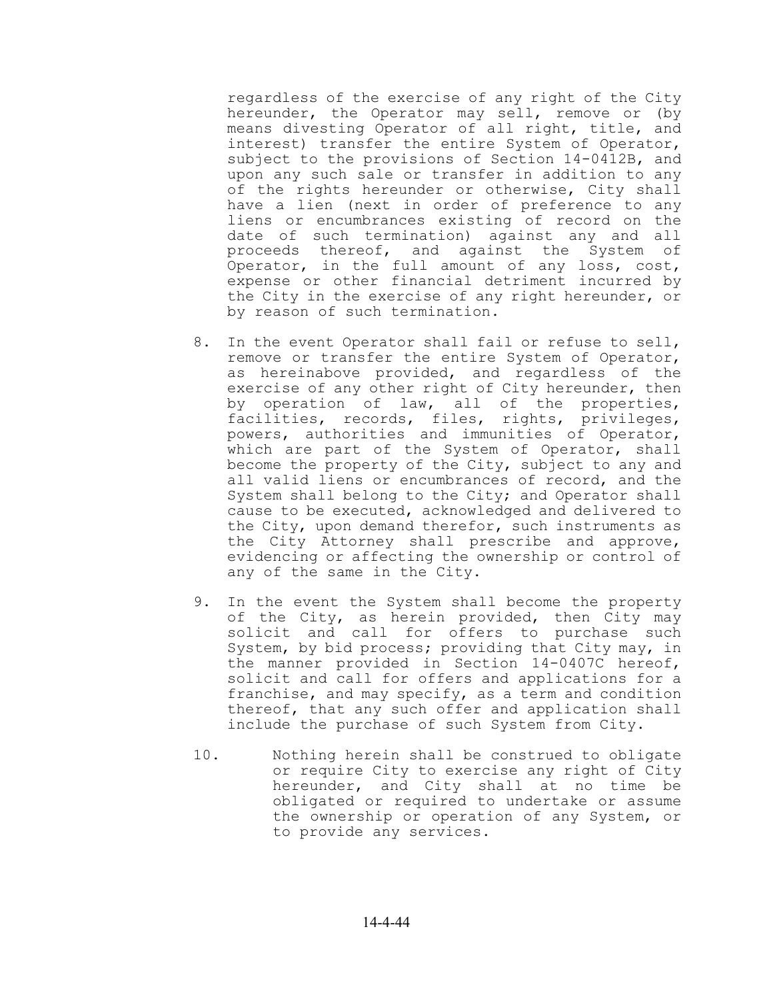regardless of the exercise of any right of the City hereunder, the Operator may sell, remove or (by means divesting Operator of all right, title, and interest) transfer the entire System of Operator, subject to the provisions of Section 14-0412B, and upon any such sale or transfer in addition to any of the rights hereunder or otherwise, City shall have a lien (next in order of preference to any liens or encumbrances existing of record on the date of such termination) against any and all proceeds thereof, and against the System of Operator, in the full amount of any loss, cost, expense or other financial detriment incurred by the City in the exercise of any right hereunder, or by reason of such termination.

- 8. In the event Operator shall fail or refuse to sell, remove or transfer the entire System of Operator, as hereinabove provided, and regardless of the exercise of any other right of City hereunder, then by operation of law, all of the properties, facilities, records, files, rights, privileges, powers, authorities and immunities of Operator, which are part of the System of Operator, shall become the property of the City, subject to any and all valid liens or encumbrances of record, and the System shall belong to the City; and Operator shall cause to be executed, acknowledged and delivered to the City, upon demand therefor, such instruments as the City Attorney shall prescribe and approve, evidencing or affecting the ownership or control of any of the same in the City.
- 9. In the event the System shall become the property of the City, as herein provided, then City may solicit and call for offers to purchase such System, by bid process; providing that City may, in the manner provided in Section 14-0407C hereof, solicit and call for offers and applications for a franchise, and may specify, as a term and condition thereof, that any such offer and application shall include the purchase of such System from City.
- 10. Nothing herein shall be construed to obligate or require City to exercise any right of City hereunder, and City shall at no time be obligated or required to undertake or assume the ownership or operation of any System, or to provide any services.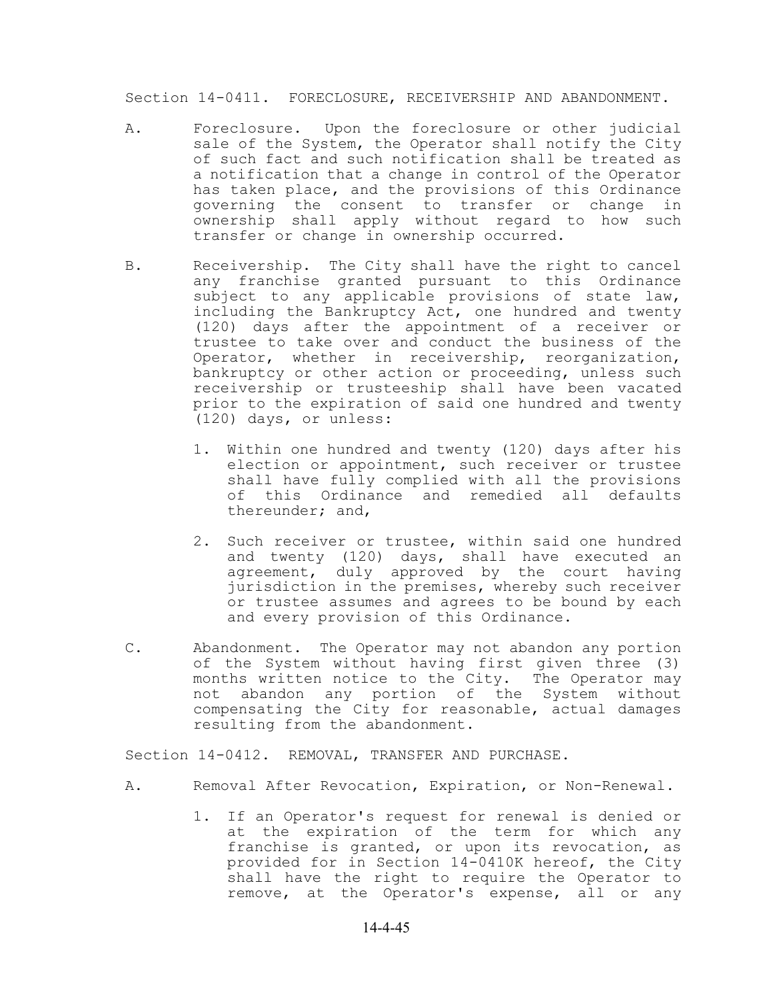Section 14-0411. FORECLOSURE, RECEIVERSHIP AND ABANDONMENT.

- A. Foreclosure. Upon the foreclosure or other judicial sale of the System, the Operator shall notify the City of such fact and such notification shall be treated as a notification that a change in control of the Operator has taken place, and the provisions of this Ordinance governing the consent to transfer or change in ownership shall apply without regard to how such transfer or change in ownership occurred.
- B. Receivership. The City shall have the right to cancel any franchise granted pursuant to this Ordinance subject to any applicable provisions of state law, including the Bankruptcy Act, one hundred and twenty (120) days after the appointment of a receiver or trustee to take over and conduct the business of the Operator, whether in receivership, reorganization, bankruptcy or other action or proceeding, unless such receivership or trusteeship shall have been vacated prior to the expiration of said one hundred and twenty (120) days, or unless:
	- 1. Within one hundred and twenty (120) days after his election or appointment, such receiver or trustee shall have fully complied with all the provisions of this Ordinance and remedied all defaults thereunder; and,
	- 2. Such receiver or trustee, within said one hundred and twenty (120) days, shall have executed an agreement, duly approved by the court having jurisdiction in the premises, whereby such receiver or trustee assumes and agrees to be bound by each and every provision of this Ordinance.
- C. Abandonment. The Operator may not abandon any portion of the System without having first given three (3) months written notice to the City. The Operator may not abandon any portion of the System without compensating the City for reasonable, actual damages resulting from the abandonment.

Section 14-0412. REMOVAL, TRANSFER AND PURCHASE.

- A. Removal After Revocation, Expiration, or Non-Renewal.
	- 1. If an Operator's request for renewal is denied or at the expiration of the term for which any franchise is granted, or upon its revocation, as provided for in Section 14-0410K hereof, the City shall have the right to require the Operator to remove, at the Operator's expense, all or any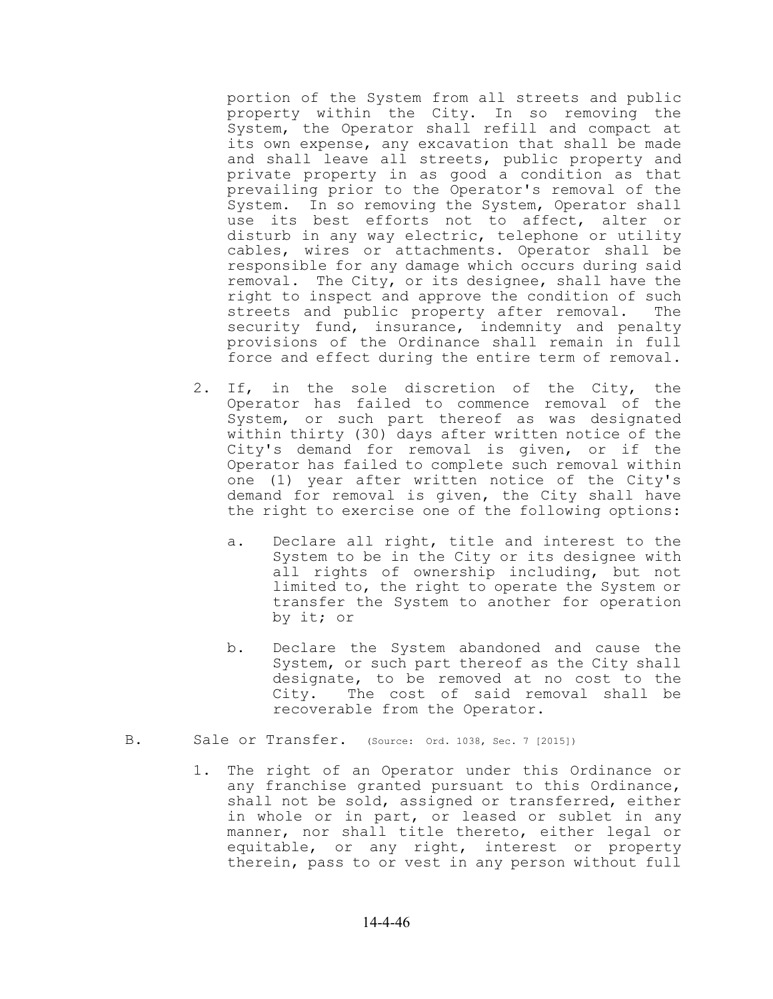portion of the System from all streets and public property within the City. In so removing the System, the Operator shall refill and compact at its own expense, any excavation that shall be made and shall leave all streets, public property and private property in as good a condition as that prevailing prior to the Operator's removal of the System. In so removing the System, Operator shall use its best efforts not to affect, alter or disturb in any way electric, telephone or utility cables, wires or attachments. Operator shall be responsible for any damage which occurs during said removal. The City, or its designee, shall have the right to inspect and approve the condition of such streets and public property after removal. The security fund, insurance, indemnity and penalty provisions of the Ordinance shall remain in full force and effect during the entire term of removal.

- 2. If, in the sole discretion of the City, the Operator has failed to commence removal of the System, or such part thereof as was designated within thirty (30) days after written notice of the City's demand for removal is given, or if the Operator has failed to complete such removal within one (1) year after written notice of the City's demand for removal is given, the City shall have the right to exercise one of the following options:
	- a. Declare all right, title and interest to the System to be in the City or its designee with all rights of ownership including, but not limited to, the right to operate the System or transfer the System to another for operation by it; or
	- b. Declare the System abandoned and cause the System, or such part thereof as the City shall designate, to be removed at no cost to the City. The cost of said removal shall be recoverable from the Operator.
- B. Sale or Transfer. (Source: Ord. 1038, Sec. 7 [2015])
	- 1. The right of an Operator under this Ordinance or any franchise granted pursuant to this Ordinance, shall not be sold, assigned or transferred, either in whole or in part, or leased or sublet in any manner, nor shall title thereto, either legal or equitable, or any right, interest or property therein, pass to or vest in any person without full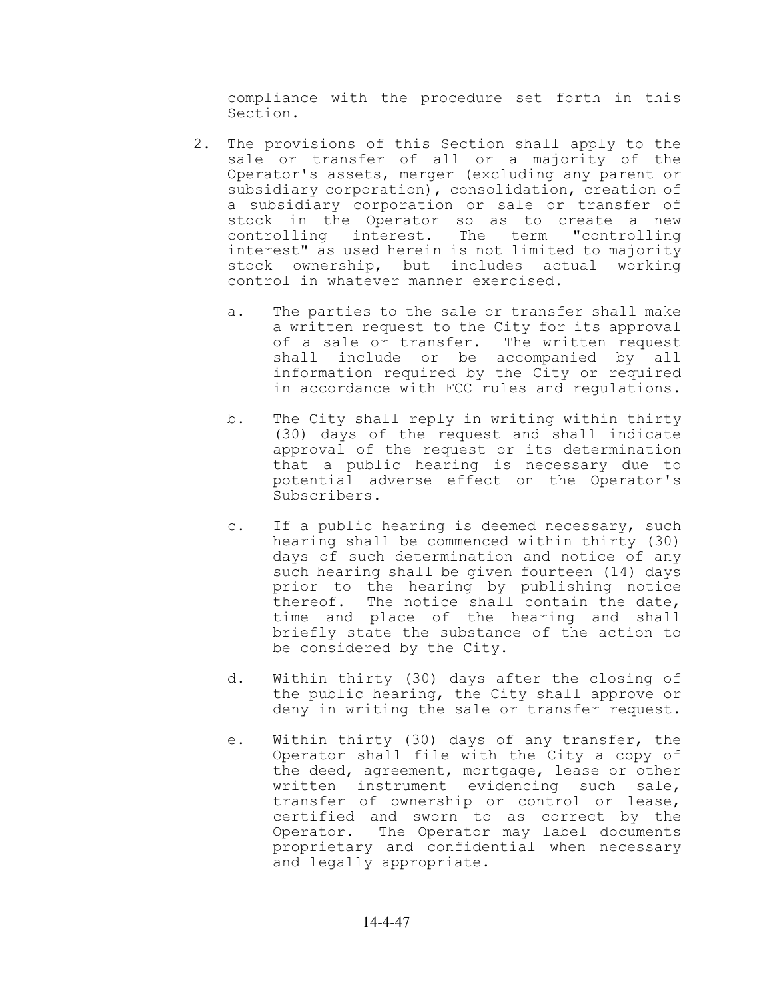compliance with the procedure set forth in this Section.

- 2. The provisions of this Section shall apply to the sale or transfer of all or a majority of the Operator's assets, merger (excluding any parent or subsidiary corporation), consolidation, creation of a subsidiary corporation or sale or transfer of stock in the Operator so as to create a new controlling interest. The term "controlling interest" as used herein is not limited to majority stock ownership, but includes actual working control in whatever manner exercised.
	- a. The parties to the sale or transfer shall make a written request to the City for its approval of a sale or transfer. The written request shall include or be accompanied by all information required by the City or required in accordance with FCC rules and regulations.
	- b. The City shall reply in writing within thirty (30) days of the request and shall indicate approval of the request or its determination that a public hearing is necessary due to potential adverse effect on the Operator's Subscribers.
	- c. If a public hearing is deemed necessary, such hearing shall be commenced within thirty (30) days of such determination and notice of any such hearing shall be given fourteen (14) days prior to the hearing by publishing notice thereof. The notice shall contain the date, time and place of the hearing and shall briefly state the substance of the action to be considered by the City.
	- d. Within thirty (30) days after the closing of the public hearing, the City shall approve or deny in writing the sale or transfer request.
	- e. Within thirty (30) days of any transfer, the Operator shall file with the City a copy of the deed, agreement, mortgage, lease or other written instrument evidencing such sale, transfer of ownership or control or lease, certified and sworn to as correct by the Operator. The Operator may label documents proprietary and confidential when necessary and legally appropriate.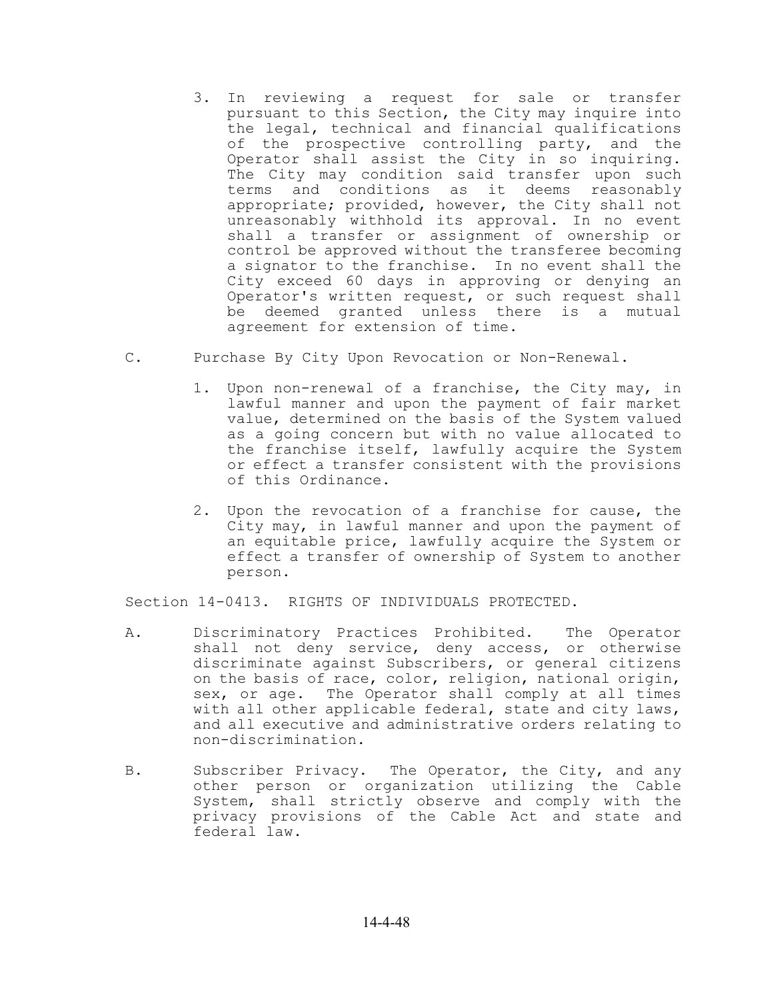- 3. In reviewing a request for sale or transfer pursuant to this Section, the City may inquire into the legal, technical and financial qualifications of the prospective controlling party, and the Operator shall assist the City in so inquiring. The City may condition said transfer upon such terms and conditions as it deems reasonably appropriate; provided, however, the City shall not unreasonably withhold its approval. In no event shall a transfer or assignment of ownership or control be approved without the transferee becoming a signator to the franchise. In no event shall the City exceed 60 days in approving or denying an Operator's written request, or such request shall be deemed granted unless there is a mutual agreement for extension of time.
- C. Purchase By City Upon Revocation or Non-Renewal.
	- 1. Upon non-renewal of a franchise, the City may, in lawful manner and upon the payment of fair market value, determined on the basis of the System valued as a going concern but with no value allocated to the franchise itself, lawfully acquire the System or effect a transfer consistent with the provisions of this Ordinance.
	- 2. Upon the revocation of a franchise for cause, the City may, in lawful manner and upon the payment of an equitable price, lawfully acquire the System or effect a transfer of ownership of System to another person.

Section 14-0413. RIGHTS OF INDIVIDUALS PROTECTED.

- A. Discriminatory Practices Prohibited. The Operator shall not deny service, deny access, or otherwise discriminate against Subscribers, or general citizens on the basis of race, color, religion, national origin, sex, or age. The Operator shall comply at all times with all other applicable federal, state and city laws, and all executive and administrative orders relating to non-discrimination.
- B. Subscriber Privacy. The Operator, the City, and any other person or organization utilizing the Cable System, shall strictly observe and comply with the privacy provisions of the Cable Act and state and federal law.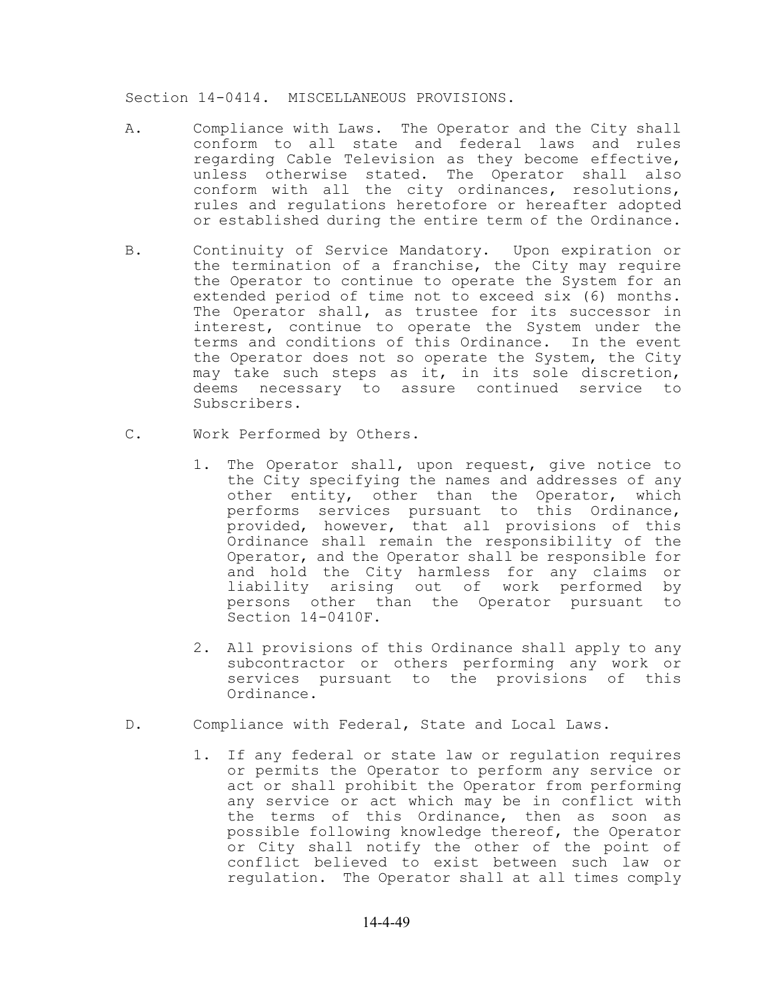Section 14-0414. MISCELLANEOUS PROVISIONS.

- A. Compliance with Laws. The Operator and the City shall conform to all state and federal laws and rules regarding Cable Television as they become effective, unless otherwise stated. The Operator shall also conform with all the city ordinances, resolutions, rules and regulations heretofore or hereafter adopted or established during the entire term of the Ordinance.
- B. Continuity of Service Mandatory. Upon expiration or the termination of a franchise, the City may require the Operator to continue to operate the System for an extended period of time not to exceed six (6) months. The Operator shall, as trustee for its successor in interest, continue to operate the System under the terms and conditions of this Ordinance. In the event the Operator does not so operate the System, the City may take such steps as it, in its sole discretion, deems necessary to assure continued service to Subscribers.
- C. Work Performed by Others.
	- 1. The Operator shall, upon request, give notice to the City specifying the names and addresses of any other entity, other than the Operator, which performs services pursuant to this Ordinance, provided, however, that all provisions of this Ordinance shall remain the responsibility of the Operator, and the Operator shall be responsible for and hold the City harmless for any claims or liability arising out of work performed by persons other than the Operator pursuant to Section 14-0410F.
	- 2. All provisions of this Ordinance shall apply to any subcontractor or others performing any work or services pursuant to the provisions of this Ordinance.
- D. Compliance with Federal, State and Local Laws.
	- 1. If any federal or state law or regulation requires or permits the Operator to perform any service or act or shall prohibit the Operator from performing any service or act which may be in conflict with the terms of this Ordinance, then as soon as possible following knowledge thereof, the Operator or City shall notify the other of the point of conflict believed to exist between such law or regulation. The Operator shall at all times comply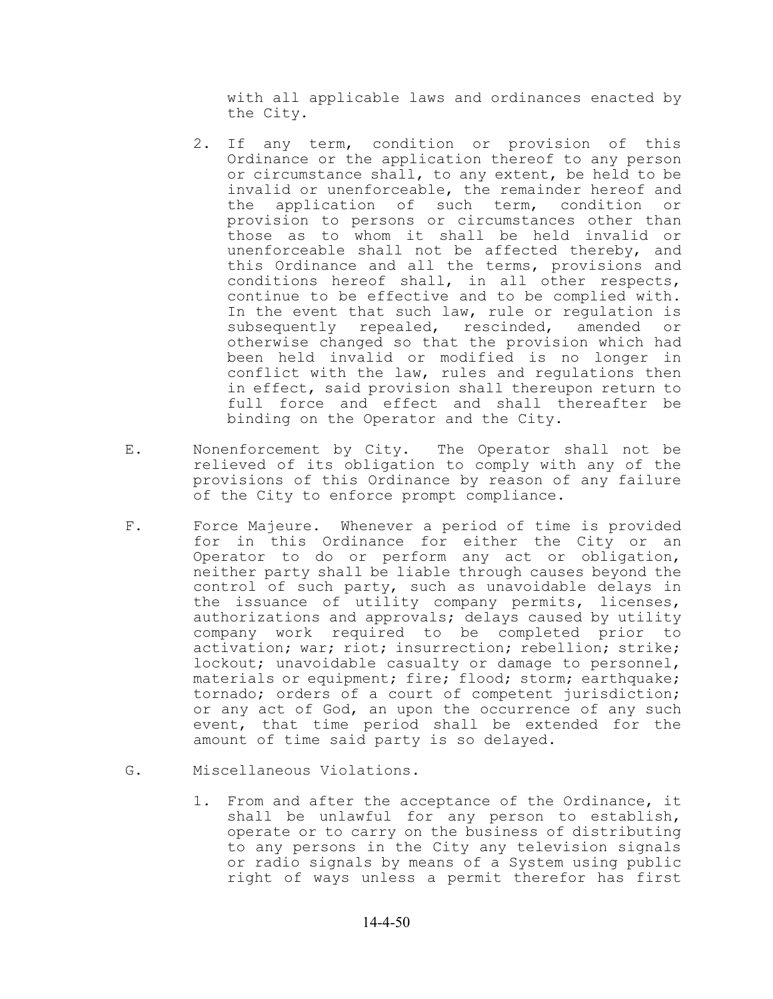with all applicable laws and ordinances enacted by the City.

- 2. If any term, condition or provision of this Ordinance or the application thereof to any person or circumstance shall, to any extent, be held to be invalid or unenforceable, the remainder hereof and the application of such term, condition or provision to persons or circumstances other than those as to whom it shall be held invalid or unenforceable shall not be affected thereby, and this Ordinance and all the terms, provisions and conditions hereof shall, in all other respects, continue to be effective and to be complied with. In the event that such law, rule or regulation is subsequently repealed, rescinded, amended or otherwise changed so that the provision which had been held invalid or modified is no longer in conflict with the law, rules and regulations then in effect, said provision shall thereupon return to full force and effect and shall thereafter be binding on the Operator and the City.
- E. Nonenforcement by City. The Operator shall not be relieved of its obligation to comply with any of the provisions of this Ordinance by reason of any failure of the City to enforce prompt compliance.
- F. Force Majeure. Whenever a period of time is provided for in this Ordinance for either the City or an Operator to do or perform any act or obligation, neither party shall be liable through causes beyond the control of such party, such as unavoidable delays in the issuance of utility company permits, licenses, authorizations and approvals; delays caused by utility company work required to be completed prior to activation; war; riot; insurrection; rebellion; strike; lockout; unavoidable casualty or damage to personnel, materials or equipment; fire; flood; storm; earthquake; tornado; orders of a court of competent jurisdiction; or any act of God, an upon the occurrence of any such event, that time period shall be extended for the amount of time said party is so delayed.
- G. Miscellaneous Violations.
	- 1. From and after the acceptance of the Ordinance, it shall be unlawful for any person to establish, operate or to carry on the business of distributing to any persons in the City any television signals or radio signals by means of a System using public right of ways unless a permit therefor has first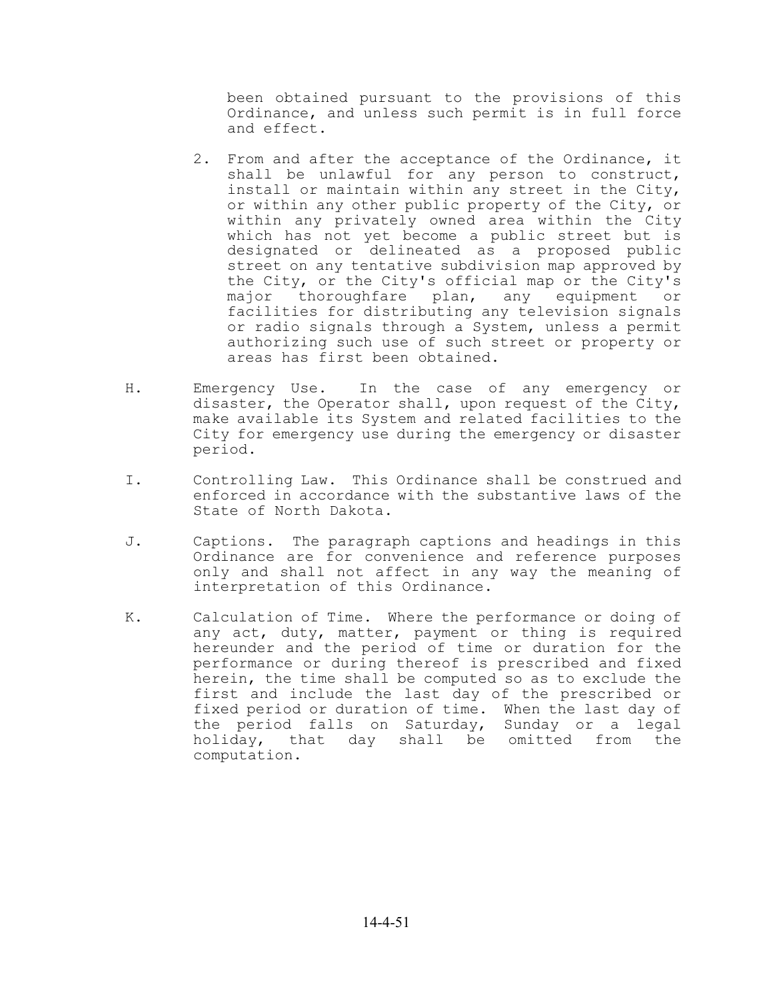been obtained pursuant to the provisions of this Ordinance, and unless such permit is in full force and effect.

- 2. From and after the acceptance of the Ordinance, it shall be unlawful for any person to construct, install or maintain within any street in the City, or within any other public property of the City, or within any privately owned area within the City which has not yet become a public street but is designated or delineated as a proposed public street on any tentative subdivision map approved by the City, or the City's official map or the City's major thoroughfare plan, any equipment or facilities for distributing any television signals or radio signals through a System, unless a permit authorizing such use of such street or property or areas has first been obtained.
- H. Emergency Use. In the case of any emergency or disaster, the Operator shall, upon request of the City, make available its System and related facilities to the City for emergency use during the emergency or disaster period.
- I. Controlling Law. This Ordinance shall be construed and enforced in accordance with the substantive laws of the State of North Dakota.
- J. Captions. The paragraph captions and headings in this Ordinance are for convenience and reference purposes only and shall not affect in any way the meaning of interpretation of this Ordinance.
- K. Calculation of Time. Where the performance or doing of any act, duty, matter, payment or thing is required hereunder and the period of time or duration for the performance or during thereof is prescribed and fixed herein, the time shall be computed so as to exclude the first and include the last day of the prescribed or fixed period or duration of time. When the last day of the period falls on Saturday, Sunday or a legal holiday, that day shall be omitted from the computation.